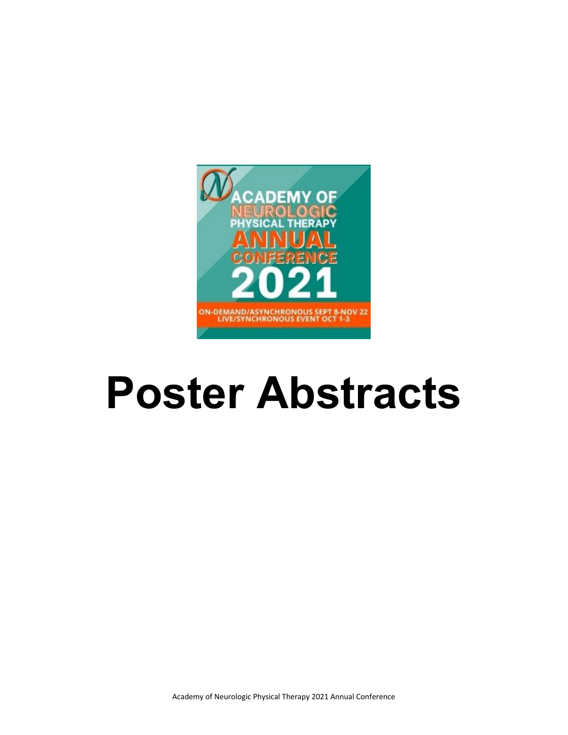

# **Poster Abstracts**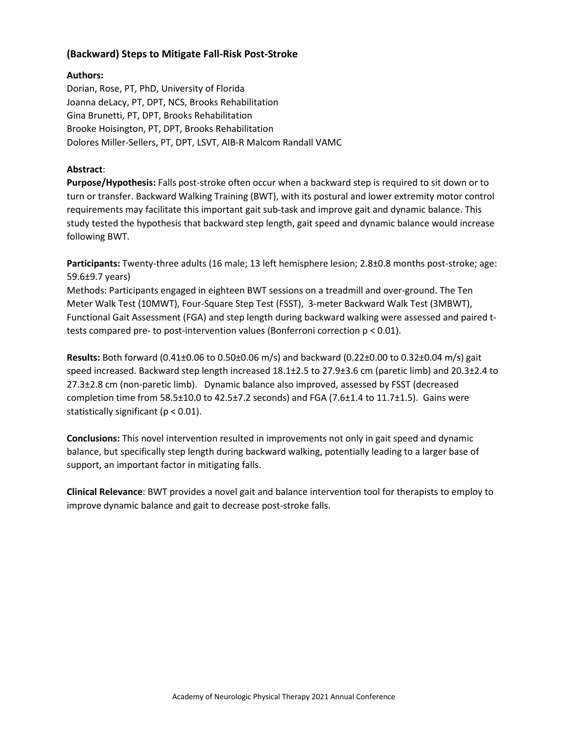## **(Backward) Steps to Mitigate Fall-Risk Post-Stroke**

#### **Authors:**

Dorian, Rose, PT, PhD, University of Florida Joanna deLacy, PT, DPT, NCS, Brooks Rehabilitation Gina Brunetti, PT, DPT, Brooks Rehabilitation Brooke Hoisington, PT, DPT, Brooks Rehabilitation Dolores Miller-Sellers, PT, DPT, LSVT, AIB-R Malcom Randall VAMC

## **Abstract**:

**Purpose/Hypothesis:** Falls post-stroke often occur when a backward step is required to sit down or to turn or transfer. Backward Walking Training (BWT), with its postural and lower extremity motor control requirements may facilitate this important gait sub-task and improve gait and dynamic balance. This study tested the hypothesis that backward step length, gait speed and dynamic balance would increase following BWT.

**Participants:** Twenty-three adults (16 male; 13 left hemisphere lesion; 2.8±0.8 months post-stroke; age: 59.6±9.7 years)

Methods: Participants engaged in eighteen BWT sessions on a treadmill and over-ground. The Ten Meter Walk Test (10MWT), Four-Square Step Test (FSST), 3-meter Backward Walk Test (3MBWT), Functional Gait Assessment (FGA) and step length during backward walking were assessed and paired ttests compared pre- to post-intervention values (Bonferroni correction p < 0.01).

**Results:** Both forward (0.41±0.06 to 0.50±0.06 m/s) and backward (0.22±0.00 to 0.32±0.04 m/s) gait speed increased. Backward step length increased 18.1±2.5 to 27.9±3.6 cm (paretic limb) and 20.3±2.4 to 27.3±2.8 cm (non-paretic limb). Dynamic balance also improved, assessed by FSST (decreased completion time from 58.5±10.0 to 42.5±7.2 seconds) and FGA (7.6±1.4 to 11.7±1.5). Gains were statistically significant (p < 0.01).

**Conclusions:** This novel intervention resulted in improvements not only in gait speed and dynamic balance, but specifically step length during backward walking, potentially leading to a larger base of support, an important factor in mitigating falls.

**Clinical Relevance**: BWT provides a novel gait and balance intervention tool for therapists to employ to improve dynamic balance and gait to decrease post-stroke falls.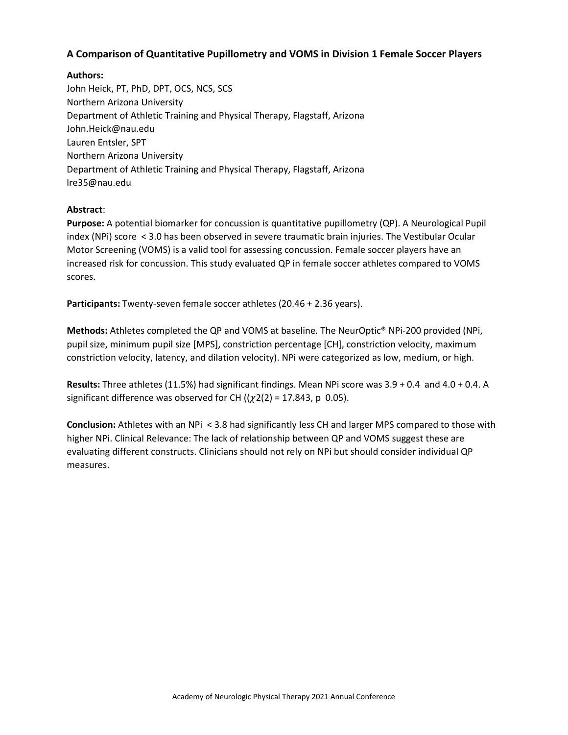## **A Comparison of Quantitative Pupillometry and VOMS in Division 1 Female Soccer Players**

## **Authors:**

John Heick, PT, PhD, DPT, OCS, NCS, SCS Northern Arizona University Department of Athletic Training and Physical Therapy, Flagstaff, Arizona John.Heick@nau.edu Lauren Entsler, SPT Northern Arizona University Department of Athletic Training and Physical Therapy, Flagstaff, Arizona lre35@nau.edu

## **Abstract**:

**Purpose:** A potential biomarker for concussion is quantitative pupillometry (QP). A Neurological Pupil index (NPi) score < 3.0 has been observed in severe traumatic brain injuries. The Vestibular Ocular Motor Screening (VOMS) is a valid tool for assessing concussion. Female soccer players have an increased risk for concussion. This study evaluated QP in female soccer athletes compared to VOMS scores.

**Participants:** Twenty-seven female soccer athletes (20.46 + 2.36 years).

**Methods:** Athletes completed the QP and VOMS at baseline. The NeurOptic® NPi-200 provided (NPi, pupil size, minimum pupil size [MPS], constriction percentage [CH], constriction velocity, maximum constriction velocity, latency, and dilation velocity). NPi were categorized as low, medium, or high.

**Results:** Three athletes (11.5%) had significant findings. Mean NPi score was 3.9 + 0.4 and 4.0 + 0.4. A significant difference was observed for CH  $((\chi2(2) = 17.843, p \ 0.05)$ .

**Conclusion:** Athletes with an NPi < 3.8 had significantly less CH and larger MPS compared to those with higher NPi. Clinical Relevance: The lack of relationship between QP and VOMS suggest these are evaluating different constructs. Clinicians should not rely on NPi but should consider individual QP measures.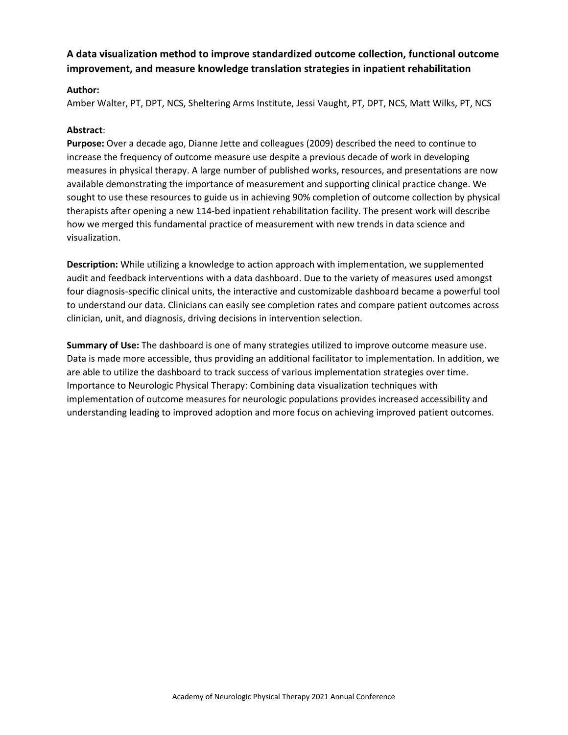# **A data visualization method to improve standardized outcome collection, functional outcome improvement, and measure knowledge translation strategies in inpatient rehabilitation**

#### **Author:**

Amber Walter, PT, DPT, NCS, Sheltering Arms Institute, Jessi Vaught, PT, DPT, NCS, Matt Wilks, PT, NCS

#### **Abstract**:

**Purpose:** Over a decade ago, Dianne Jette and colleagues (2009) described the need to continue to increase the frequency of outcome measure use despite a previous decade of work in developing measures in physical therapy. A large number of published works, resources, and presentations are now available demonstrating the importance of measurement and supporting clinical practice change. We sought to use these resources to guide us in achieving 90% completion of outcome collection by physical therapists after opening a new 114-bed inpatient rehabilitation facility. The present work will describe how we merged this fundamental practice of measurement with new trends in data science and visualization.

**Description:** While utilizing a knowledge to action approach with implementation, we supplemented audit and feedback interventions with a data dashboard. Due to the variety of measures used amongst four diagnosis-specific clinical units, the interactive and customizable dashboard became a powerful tool to understand our data. Clinicians can easily see completion rates and compare patient outcomes across clinician, unit, and diagnosis, driving decisions in intervention selection.

**Summary of Use:** The dashboard is one of many strategies utilized to improve outcome measure use. Data is made more accessible, thus providing an additional facilitator to implementation. In addition, we are able to utilize the dashboard to track success of various implementation strategies over time. Importance to Neurologic Physical Therapy: Combining data visualization techniques with implementation of outcome measures for neurologic populations provides increased accessibility and understanding leading to improved adoption and more focus on achieving improved patient outcomes.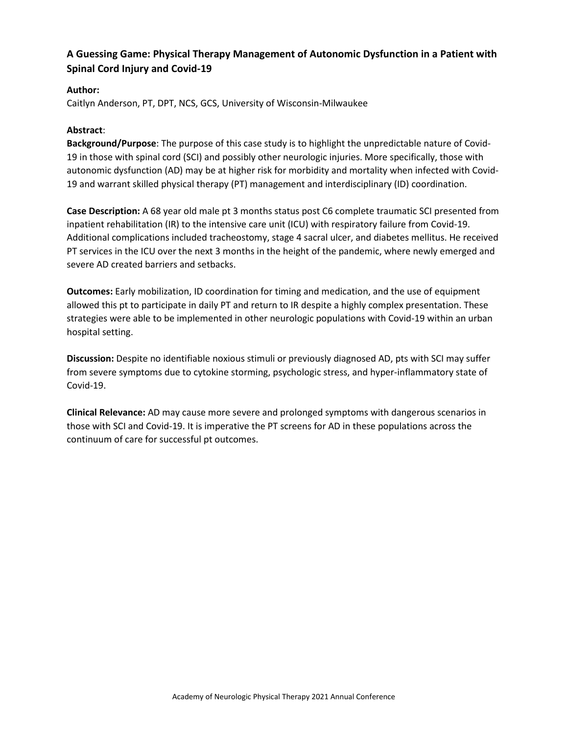# **A Guessing Game: Physical Therapy Management of Autonomic Dysfunction in a Patient with Spinal Cord Injury and Covid-19**

## **Author:**

Caitlyn Anderson, PT, DPT, NCS, GCS, University of Wisconsin-Milwaukee

#### **Abstract**:

**Background/Purpose**: The purpose of this case study is to highlight the unpredictable nature of Covid-19 in those with spinal cord (SCI) and possibly other neurologic injuries. More specifically, those with autonomic dysfunction (AD) may be at higher risk for morbidity and mortality when infected with Covid-19 and warrant skilled physical therapy (PT) management and interdisciplinary (ID) coordination.

**Case Description:** A 68 year old male pt 3 months status post C6 complete traumatic SCI presented from inpatient rehabilitation (IR) to the intensive care unit (ICU) with respiratory failure from Covid-19. Additional complications included tracheostomy, stage 4 sacral ulcer, and diabetes mellitus. He received PT services in the ICU over the next 3 months in the height of the pandemic, where newly emerged and severe AD created barriers and setbacks.

**Outcomes:** Early mobilization, ID coordination for timing and medication, and the use of equipment allowed this pt to participate in daily PT and return to IR despite a highly complex presentation. These strategies were able to be implemented in other neurologic populations with Covid-19 within an urban hospital setting.

**Discussion:** Despite no identifiable noxious stimuli or previously diagnosed AD, pts with SCI may suffer from severe symptoms due to cytokine storming, psychologic stress, and hyper-inflammatory state of Covid-19.

**Clinical Relevance:** AD may cause more severe and prolonged symptoms with dangerous scenarios in those with SCI and Covid-19. It is imperative the PT screens for AD in these populations across the continuum of care for successful pt outcomes.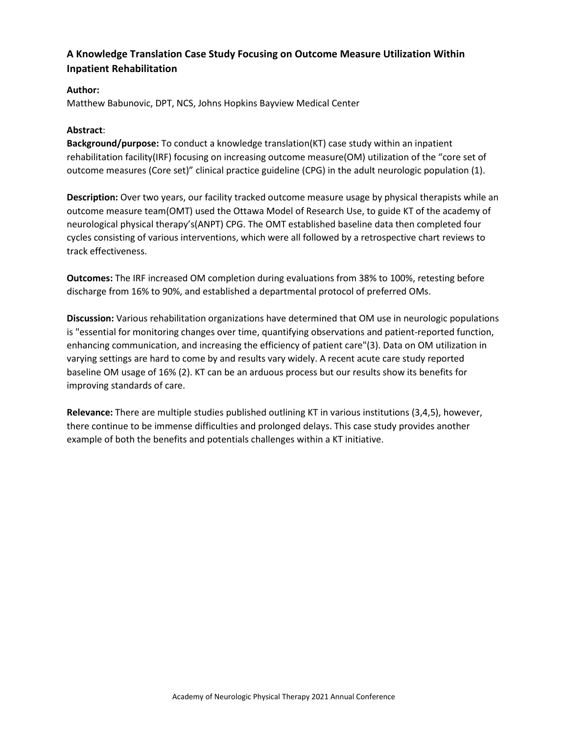# **A Knowledge Translation Case Study Focusing on Outcome Measure Utilization Within Inpatient Rehabilitation**

## **Author:**

Matthew Babunovic, DPT, NCS, Johns Hopkins Bayview Medical Center

#### **Abstract**:

**Background/purpose:** To conduct a knowledge translation(KT) case study within an inpatient rehabilitation facility(IRF) focusing on increasing outcome measure(OM) utilization of the "core set of outcome measures (Core set)" clinical practice guideline (CPG) in the adult neurologic population (1).

**Description:** Over two years, our facility tracked outcome measure usage by physical therapists while an outcome measure team(OMT) used the Ottawa Model of Research Use, to guide KT of the academy of neurological physical therapy's(ANPT) CPG. The OMT established baseline data then completed four cycles consisting of various interventions, which were all followed by a retrospective chart reviews to track effectiveness.

**Outcomes:** The IRF increased OM completion during evaluations from 38% to 100%, retesting before discharge from 16% to 90%, and established a departmental protocol of preferred OMs.

**Discussion:** Various rehabilitation organizations have determined that OM use in neurologic populations is "essential for monitoring changes over time, quantifying observations and patient-reported function, enhancing communication, and increasing the efficiency of patient care"(3). Data on OM utilization in varying settings are hard to come by and results vary widely. A recent acute care study reported baseline OM usage of 16% (2). KT can be an arduous process but our results show its benefits for improving standards of care.

**Relevance:** There are multiple studies published outlining KT in various institutions (3,4,5), however, there continue to be immense difficulties and prolonged delays. This case study provides another example of both the benefits and potentials challenges within a KT initiative.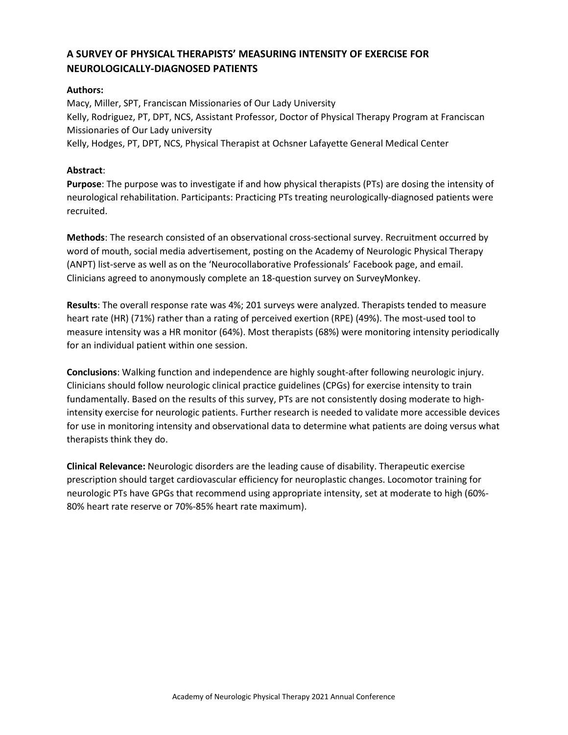# **A SURVEY OF PHYSICAL THERAPISTS' MEASURING INTENSITY OF EXERCISE FOR NEUROLOGICALLY-DIAGNOSED PATIENTS**

## **Authors:**

Macy, Miller, SPT, Franciscan Missionaries of Our Lady University Kelly, Rodriguez, PT, DPT, NCS, Assistant Professor, Doctor of Physical Therapy Program at Franciscan Missionaries of Our Lady university Kelly, Hodges, PT, DPT, NCS, Physical Therapist at Ochsner Lafayette General Medical Center

#### **Abstract**:

**Purpose**: The purpose was to investigate if and how physical therapists (PTs) are dosing the intensity of neurological rehabilitation. Participants: Practicing PTs treating neurologically-diagnosed patients were recruited.

**Methods**: The research consisted of an observational cross-sectional survey. Recruitment occurred by word of mouth, social media advertisement, posting on the Academy of Neurologic Physical Therapy (ANPT) list-serve as well as on the 'Neurocollaborative Professionals' Facebook page, and email. Clinicians agreed to anonymously complete an 18-question survey on SurveyMonkey.

**Results**: The overall response rate was 4%; 201 surveys were analyzed. Therapists tended to measure heart rate (HR) (71%) rather than a rating of perceived exertion (RPE) (49%). The most-used tool to measure intensity was a HR monitor (64%). Most therapists (68%) were monitoring intensity periodically for an individual patient within one session.

**Conclusions**: Walking function and independence are highly sought-after following neurologic injury. Clinicians should follow neurologic clinical practice guidelines (CPGs) for exercise intensity to train fundamentally. Based on the results of this survey, PTs are not consistently dosing moderate to highintensity exercise for neurologic patients. Further research is needed to validate more accessible devices for use in monitoring intensity and observational data to determine what patients are doing versus what therapists think they do.

**Clinical Relevance:** Neurologic disorders are the leading cause of disability. Therapeutic exercise prescription should target cardiovascular efficiency for neuroplastic changes. Locomotor training for neurologic PTs have GPGs that recommend using appropriate intensity, set at moderate to high (60%- 80% heart rate reserve or 70%-85% heart rate maximum).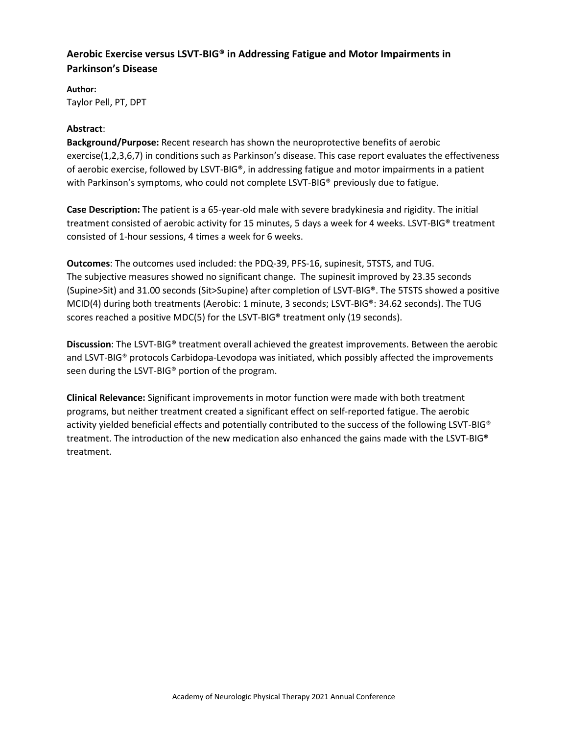# **Aerobic Exercise versus LSVT-BIG® in Addressing Fatigue and Motor Impairments in Parkinson's Disease**

**Author:**  Taylor Pell, PT, DPT

#### **Abstract**:

**Background/Purpose:** Recent research has shown the neuroprotective benefits of aerobic exercise(1,2,3,6,7) in conditions such as Parkinson's disease. This case report evaluates the effectiveness of aerobic exercise, followed by LSVT-BIG®, in addressing fatigue and motor impairments in a patient with Parkinson's symptoms, who could not complete LSVT-BIG® previously due to fatigue.

**Case Description:** The patient is a 65-year-old male with severe bradykinesia and rigidity. The initial treatment consisted of aerobic activity for 15 minutes, 5 days a week for 4 weeks. LSVT-BIG® treatment consisted of 1-hour sessions, 4 times a week for 6 weeks.

**Outcomes**: The outcomes used included: the PDQ-39, PFS-16, supinesit, 5TSTS, and TUG. The subjective measures showed no significant change. The supinesit improved by 23.35 seconds (Supine>Sit) and 31.00 seconds (Sit>Supine) after completion of LSVT-BIG®. The 5TSTS showed a positive MCID(4) during both treatments (Aerobic: 1 minute, 3 seconds; LSVT-BIG®: 34.62 seconds). The TUG scores reached a positive MDC(5) for the LSVT-BIG® treatment only (19 seconds).

**Discussion**: The LSVT-BIG® treatment overall achieved the greatest improvements. Between the aerobic and LSVT-BIG<sup>®</sup> protocols Carbidopa-Levodopa was initiated, which possibly affected the improvements seen during the LSVT-BIG® portion of the program.

**Clinical Relevance:** Significant improvements in motor function were made with both treatment programs, but neither treatment created a significant effect on self-reported fatigue. The aerobic activity yielded beneficial effects and potentially contributed to the success of the following LSVT-BIG® treatment. The introduction of the new medication also enhanced the gains made with the LSVT-BIG® treatment.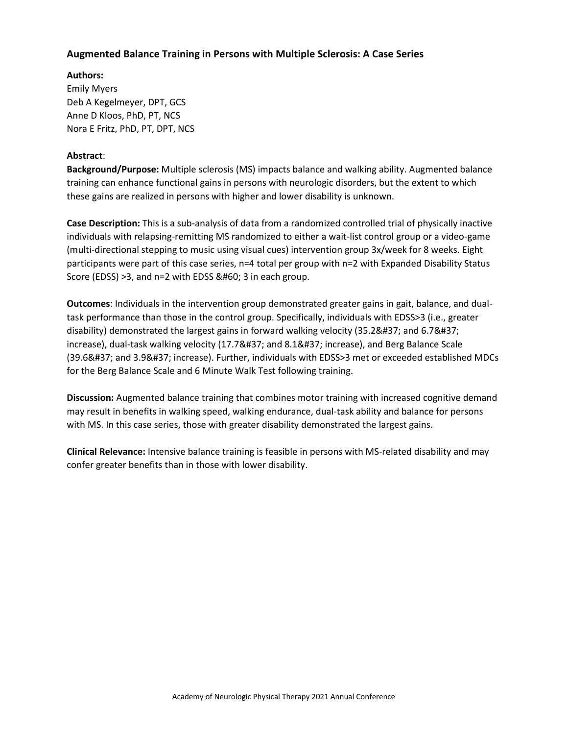## **Augmented Balance Training in Persons with Multiple Sclerosis: A Case Series**

**Authors:**  Emily Myers Deb A Kegelmeyer, DPT, GCS Anne D Kloos, PhD, PT, NCS Nora E Fritz, PhD, PT, DPT, NCS

#### **Abstract**:

**Background/Purpose:** Multiple sclerosis (MS) impacts balance and walking ability. Augmented balance training can enhance functional gains in persons with neurologic disorders, but the extent to which these gains are realized in persons with higher and lower disability is unknown.

**Case Description:** This is a sub-analysis of data from a randomized controlled trial of physically inactive individuals with relapsing-remitting MS randomized to either a wait-list control group or a video-game (multi-directional stepping to music using visual cues) intervention group 3x/week for 8 weeks. Eight participants were part of this case series, n=4 total per group with n=2 with Expanded Disability Status Score (EDSS)  $>3$ , and n=2 with EDSS < 3 in each group.

**Outcomes**: Individuals in the intervention group demonstrated greater gains in gait, balance, and dualtask performance than those in the control group. Specifically, individuals with EDSS>3 (i.e., greater disability) demonstrated the largest gains in forward walking velocity (35.2% and 6.7% increase), dual-task walking velocity (17.7% and 8.1% increase), and Berg Balance Scale (39.6% and 3.9% increase). Further, individuals with EDSS>3 met or exceeded established MDCs for the Berg Balance Scale and 6 Minute Walk Test following training.

**Discussion:** Augmented balance training that combines motor training with increased cognitive demand may result in benefits in walking speed, walking endurance, dual-task ability and balance for persons with MS. In this case series, those with greater disability demonstrated the largest gains.

**Clinical Relevance:** Intensive balance training is feasible in persons with MS-related disability and may confer greater benefits than in those with lower disability.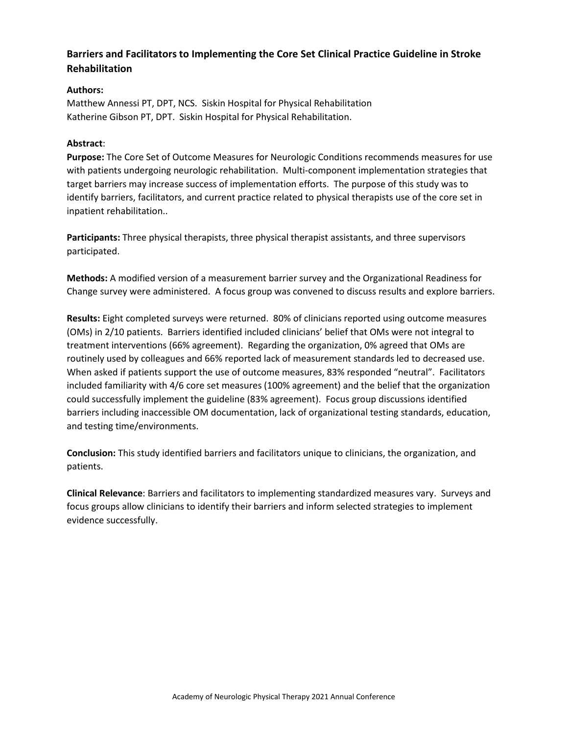# **Barriers and Facilitators to Implementing the Core Set Clinical Practice Guideline in Stroke Rehabilitation**

## **Authors:**

Matthew Annessi PT, DPT, NCS. Siskin Hospital for Physical Rehabilitation Katherine Gibson PT, DPT. Siskin Hospital for Physical Rehabilitation.

#### **Abstract**:

**Purpose:** The Core Set of Outcome Measures for Neurologic Conditions recommends measures for use with patients undergoing neurologic rehabilitation. Multi-component implementation strategies that target barriers may increase success of implementation efforts. The purpose of this study was to identify barriers, facilitators, and current practice related to physical therapists use of the core set in inpatient rehabilitation..

**Participants:** Three physical therapists, three physical therapist assistants, and three supervisors participated.

**Methods:** A modified version of a measurement barrier survey and the Organizational Readiness for Change survey were administered. A focus group was convened to discuss results and explore barriers.

**Results:** Eight completed surveys were returned. 80% of clinicians reported using outcome measures (OMs) in 2/10 patients. Barriers identified included clinicians' belief that OMs were not integral to treatment interventions (66% agreement). Regarding the organization, 0% agreed that OMs are routinely used by colleagues and 66% reported lack of measurement standards led to decreased use. When asked if patients support the use of outcome measures, 83% responded "neutral". Facilitators included familiarity with 4/6 core set measures (100% agreement) and the belief that the organization could successfully implement the guideline (83% agreement). Focus group discussions identified barriers including inaccessible OM documentation, lack of organizational testing standards, education, and testing time/environments.

**Conclusion:** This study identified barriers and facilitators unique to clinicians, the organization, and patients.

**Clinical Relevance**: Barriers and facilitators to implementing standardized measures vary. Surveys and focus groups allow clinicians to identify their barriers and inform selected strategies to implement evidence successfully.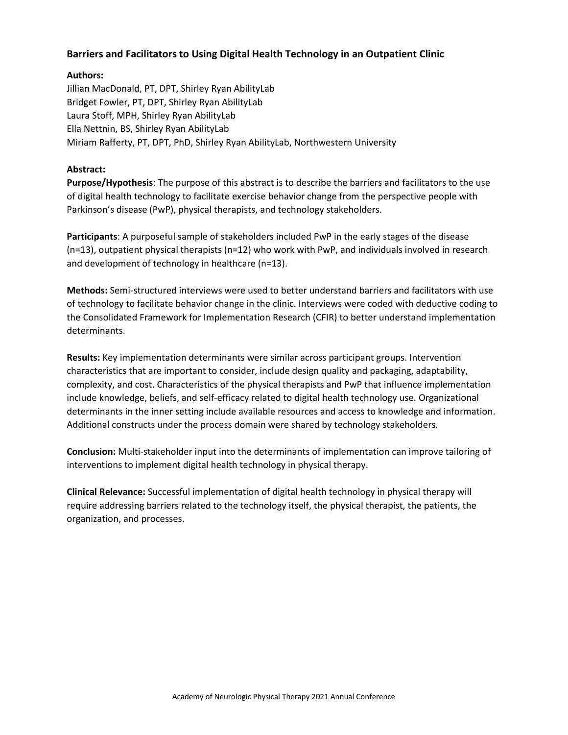## **Barriers and Facilitators to Using Digital Health Technology in an Outpatient Clinic**

## **Authors:**

Jillian MacDonald, PT, DPT, Shirley Ryan AbilityLab Bridget Fowler, PT, DPT, Shirley Ryan AbilityLab Laura Stoff, MPH, Shirley Ryan AbilityLab Ella Nettnin, BS, Shirley Ryan AbilityLab Miriam Rafferty, PT, DPT, PhD, Shirley Ryan AbilityLab, Northwestern University

## **Abstract:**

**Purpose/Hypothesis**: The purpose of this abstract is to describe the barriers and facilitators to the use of digital health technology to facilitate exercise behavior change from the perspective people with Parkinson's disease (PwP), physical therapists, and technology stakeholders.

**Participants**: A purposeful sample of stakeholders included PwP in the early stages of the disease (n=13), outpatient physical therapists (n=12) who work with PwP, and individuals involved in research and development of technology in healthcare (n=13).

**Methods:** Semi-structured interviews were used to better understand barriers and facilitators with use of technology to facilitate behavior change in the clinic. Interviews were coded with deductive coding to the Consolidated Framework for Implementation Research (CFIR) to better understand implementation determinants.

**Results:** Key implementation determinants were similar across participant groups. Intervention characteristics that are important to consider, include design quality and packaging, adaptability, complexity, and cost. Characteristics of the physical therapists and PwP that influence implementation include knowledge, beliefs, and self-efficacy related to digital health technology use. Organizational determinants in the inner setting include available resources and access to knowledge and information. Additional constructs under the process domain were shared by technology stakeholders.

**Conclusion:** Multi-stakeholder input into the determinants of implementation can improve tailoring of interventions to implement digital health technology in physical therapy.

**Clinical Relevance:** Successful implementation of digital health technology in physical therapy will require addressing barriers related to the technology itself, the physical therapist, the patients, the organization, and processes.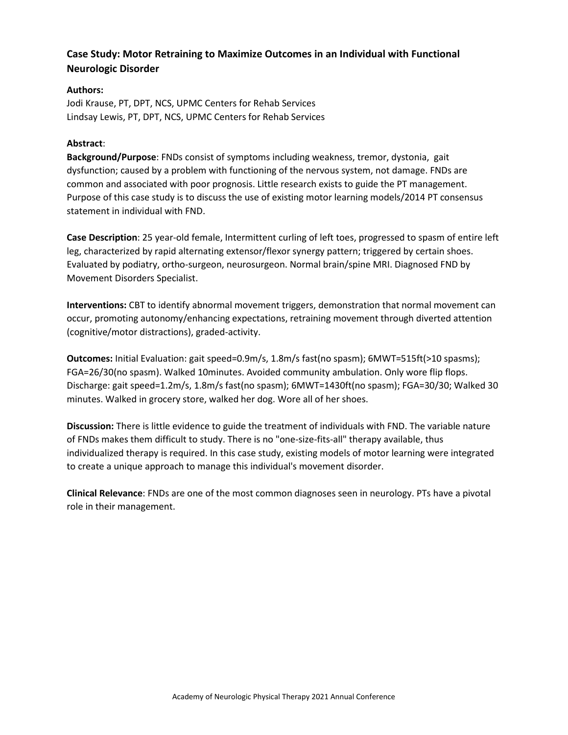# **Case Study: Motor Retraining to Maximize Outcomes in an Individual with Functional Neurologic Disorder**

## **Authors:**

Jodi Krause, PT, DPT, NCS, UPMC Centers for Rehab Services Lindsay Lewis, PT, DPT, NCS, UPMC Centers for Rehab Services

## **Abstract**:

**Background/Purpose**: FNDs consist of symptoms including weakness, tremor, dystonia, gait dysfunction; caused by a problem with functioning of the nervous system, not damage. FNDs are common and associated with poor prognosis. Little research exists to guide the PT management. Purpose of this case study is to discuss the use of existing motor learning models/2014 PT consensus statement in individual with FND.

**Case Description**: 25 year-old female, Intermittent curling of left toes, progressed to spasm of entire left leg, characterized by rapid alternating extensor/flexor synergy pattern; triggered by certain shoes. Evaluated by podiatry, ortho-surgeon, neurosurgeon. Normal brain/spine MRI. Diagnosed FND by Movement Disorders Specialist.

**Interventions:** CBT to identify abnormal movement triggers, demonstration that normal movement can occur, promoting autonomy/enhancing expectations, retraining movement through diverted attention (cognitive/motor distractions), graded-activity.

**Outcomes:** Initial Evaluation: gait speed=0.9m/s, 1.8m/s fast(no spasm); 6MWT=515ft(>10 spasms); FGA=26/30(no spasm). Walked 10minutes. Avoided community ambulation. Only wore flip flops. Discharge: gait speed=1.2m/s, 1.8m/s fast(no spasm); 6MWT=1430ft(no spasm); FGA=30/30; Walked 30 minutes. Walked in grocery store, walked her dog. Wore all of her shoes.

**Discussion:** There is little evidence to guide the treatment of individuals with FND. The variable nature of FNDs makes them difficult to study. There is no "one-size-fits-all" therapy available, thus individualized therapy is required. In this case study, existing models of motor learning were integrated to create a unique approach to manage this individual's movement disorder.

**Clinical Relevance**: FNDs are one of the most common diagnoses seen in neurology. PTs have a pivotal role in their management.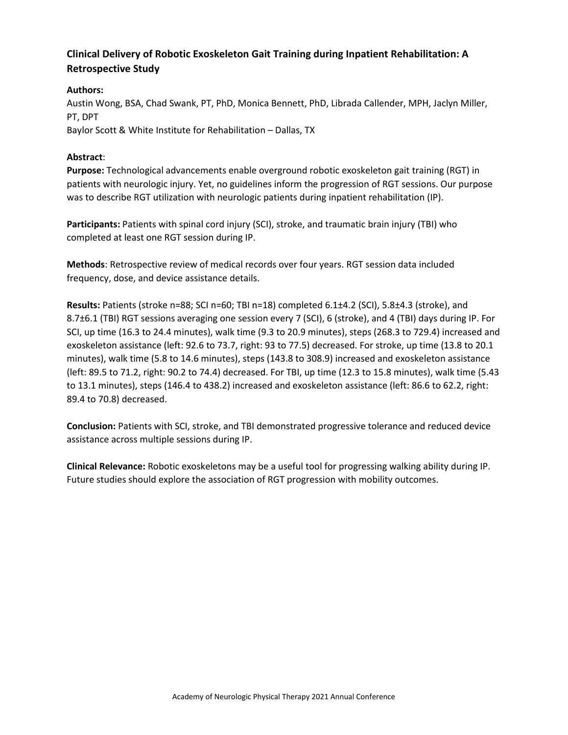# **Clinical Delivery of Robotic Exoskeleton Gait Training during Inpatient Rehabilitation: A Retrospective Study**

## **Authors:**

Austin Wong, BSA, Chad Swank, PT, PhD, Monica Bennett, PhD, Librada Callender, MPH, Jaclyn Miller, PT, DPT Baylor Scott & White Institute for Rehabilitation – Dallas, TX

## **Abstract**:

**Purpose:** Technological advancements enable overground robotic exoskeleton gait training (RGT) in patients with neurologic injury. Yet, no guidelines inform the progression of RGT sessions. Our purpose was to describe RGT utilization with neurologic patients during inpatient rehabilitation (IP).

**Participants:** Patients with spinal cord injury (SCI), stroke, and traumatic brain injury (TBI) who completed at least one RGT session during IP.

**Methods**: Retrospective review of medical records over four years. RGT session data included frequency, dose, and device assistance details.

**Results:** Patients (stroke n=88; SCI n=60; TBI n=18) completed 6.1±4.2 (SCI), 5.8±4.3 (stroke), and 8.7±6.1 (TBI) RGT sessions averaging one session every 7 (SCI), 6 (stroke), and 4 (TBI) days during IP. For SCI, up time (16.3 to 24.4 minutes), walk time (9.3 to 20.9 minutes), steps (268.3 to 729.4) increased and exoskeleton assistance (left: 92.6 to 73.7, right: 93 to 77.5) decreased. For stroke, up time (13.8 to 20.1 minutes), walk time (5.8 to 14.6 minutes), steps (143.8 to 308.9) increased and exoskeleton assistance (left: 89.5 to 71.2, right: 90.2 to 74.4) decreased. For TBI, up time (12.3 to 15.8 minutes), walk time (5.43 to 13.1 minutes), steps (146.4 to 438.2) increased and exoskeleton assistance (left: 86.6 to 62.2, right: 89.4 to 70.8) decreased.

**Conclusion:** Patients with SCI, stroke, and TBI demonstrated progressive tolerance and reduced device assistance across multiple sessions during IP.

**Clinical Relevance:** Robotic exoskeletons may be a useful tool for progressing walking ability during IP. Future studies should explore the association of RGT progression with mobility outcomes.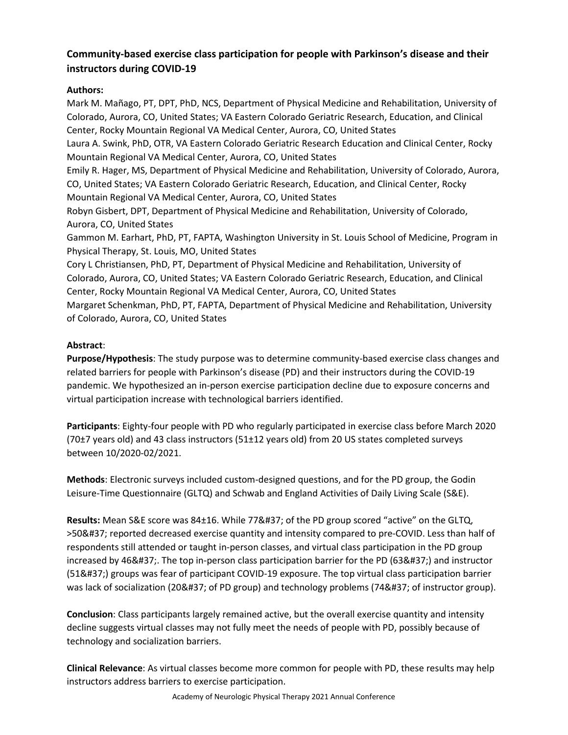# **Community-based exercise class participation for people with Parkinson's disease and their instructors during COVID-19**

## **Authors:**

Mark M. Mañago, PT, DPT, PhD, NCS, Department of Physical Medicine and Rehabilitation, University of Colorado, Aurora, CO, United States; VA Eastern Colorado Geriatric Research, Education, and Clinical Center, Rocky Mountain Regional VA Medical Center, Aurora, CO, United States Laura A. Swink, PhD, OTR, VA Eastern Colorado Geriatric Research Education and Clinical Center, Rocky Mountain Regional VA Medical Center, Aurora, CO, United States Emily R. Hager, MS, Department of Physical Medicine and Rehabilitation, University of Colorado, Aurora, CO, United States; VA Eastern Colorado Geriatric Research, Education, and Clinical Center, Rocky Mountain Regional VA Medical Center, Aurora, CO, United States Robyn Gisbert, DPT, Department of Physical Medicine and Rehabilitation, University of Colorado, Aurora, CO, United States Gammon M. Earhart, PhD, PT, FAPTA, Washington University in St. Louis School of Medicine, Program in Physical Therapy, St. Louis, MO, United States Cory L Christiansen, PhD, PT, Department of Physical Medicine and Rehabilitation, University of Colorado, Aurora, CO, United States; VA Eastern Colorado Geriatric Research, Education, and Clinical Center, Rocky Mountain Regional VA Medical Center, Aurora, CO, United States Margaret Schenkman, PhD, PT, FAPTA, Department of Physical Medicine and Rehabilitation, University of Colorado, Aurora, CO, United States

## **Abstract**:

**Purpose/Hypothesis**: The study purpose was to determine community-based exercise class changes and related barriers for people with Parkinson's disease (PD) and their instructors during the COVID-19 pandemic. We hypothesized an in-person exercise participation decline due to exposure concerns and virtual participation increase with technological barriers identified.

**Participants**: Eighty-four people with PD who regularly participated in exercise class before March 2020 (70±7 years old) and 43 class instructors (51±12 years old) from 20 US states completed surveys between 10/2020-02/2021.

**Methods**: Electronic surveys included custom-designed questions, and for the PD group, the Godin Leisure-Time Questionnaire (GLTQ) and Schwab and England Activities of Daily Living Scale (S&E).

Results: Mean S&E score was 84±16. While 77% of the PD group scored "active" on the GLTQ, >50% reported decreased exercise quantity and intensity compared to pre-COVID. Less than half of respondents still attended or taught in-person classes, and virtual class participation in the PD group increased by 46%. The top in-person class participation barrier for the PD (63%) and instructor (51%) groups was fear of participant COVID-19 exposure. The top virtual class participation barrier was lack of socialization (20% of PD group) and technology problems (74% of instructor group).

**Conclusion**: Class participants largely remained active, but the overall exercise quantity and intensity decline suggests virtual classes may not fully meet the needs of people with PD, possibly because of technology and socialization barriers.

**Clinical Relevance**: As virtual classes become more common for people with PD, these results may help instructors address barriers to exercise participation.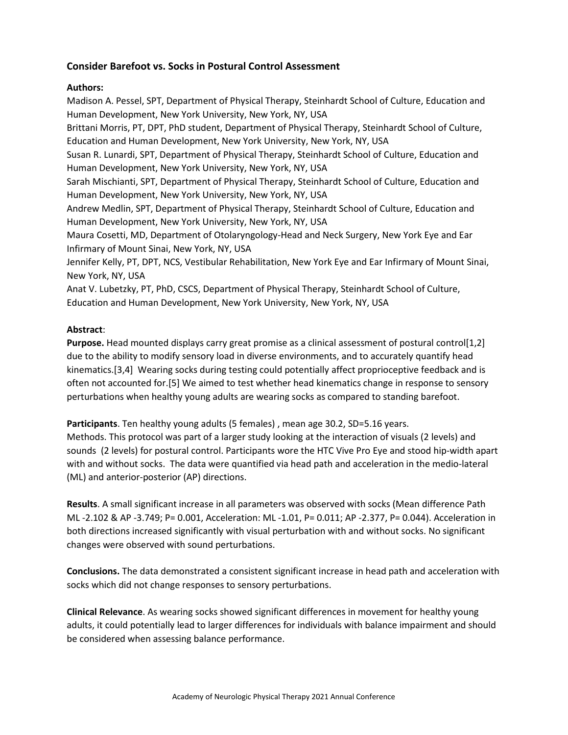## **Consider Barefoot vs. Socks in Postural Control Assessment**

## **Authors:**

Madison A. Pessel, SPT, Department of Physical Therapy, Steinhardt School of Culture, Education and Human Development, New York University, New York, NY, USA

Brittani Morris, PT, DPT, PhD student, Department of Physical Therapy, Steinhardt School of Culture, Education and Human Development, New York University, New York, NY, USA

Susan R. Lunardi, SPT, Department of Physical Therapy, Steinhardt School of Culture, Education and Human Development, New York University, New York, NY, USA

Sarah Mischianti, SPT, Department of Physical Therapy, Steinhardt School of Culture, Education and Human Development, New York University, New York, NY, USA

Andrew Medlin, SPT, Department of Physical Therapy, Steinhardt School of Culture, Education and Human Development, New York University, New York, NY, USA

Maura Cosetti, MD, Department of Otolaryngology-Head and Neck Surgery, New York Eye and Ear Infirmary of Mount Sinai, New York, NY, USA

Jennifer Kelly, PT, DPT, NCS, Vestibular Rehabilitation, New York Eye and Ear Infirmary of Mount Sinai, New York, NY, USA

Anat V. Lubetzky, PT, PhD, CSCS, Department of Physical Therapy, Steinhardt School of Culture, Education and Human Development, New York University, New York, NY, USA

## **Abstract**:

**Purpose.** Head mounted displays carry great promise as a clinical assessment of postural control[1,2] due to the ability to modify sensory load in diverse environments, and to accurately quantify head kinematics.[3,4] Wearing socks during testing could potentially affect proprioceptive feedback and is often not accounted for.[5] We aimed to test whether head kinematics change in response to sensory perturbations when healthy young adults are wearing socks as compared to standing barefoot.

**Participants**. Ten healthy young adults (5 females) , mean age 30.2, SD=5.16 years.

Methods. This protocol was part of a larger study looking at the interaction of visuals (2 levels) and sounds (2 levels) for postural control. Participants wore the HTC Vive Pro Eye and stood hip-width apart with and without socks. The data were quantified via head path and acceleration in the medio-lateral (ML) and anterior-posterior (AP) directions.

**Results**. A small significant increase in all parameters was observed with socks (Mean difference Path ML -2.102 & AP -3.749; P= 0.001, Acceleration: ML -1.01, P= 0.011; AP -2.377, P= 0.044). Acceleration in both directions increased significantly with visual perturbation with and without socks. No significant changes were observed with sound perturbations.

**Conclusions.** The data demonstrated a consistent significant increase in head path and acceleration with socks which did not change responses to sensory perturbations.

**Clinical Relevance**. As wearing socks showed significant differences in movement for healthy young adults, it could potentially lead to larger differences for individuals with balance impairment and should be considered when assessing balance performance.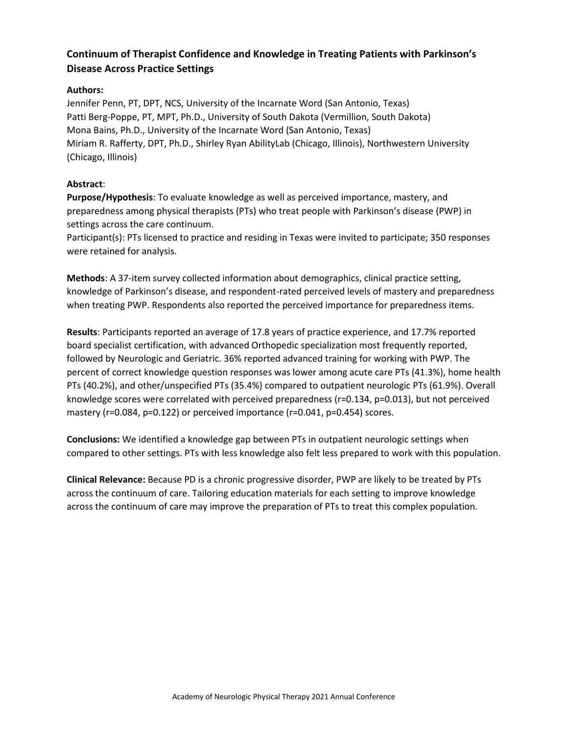# **Continuum of Therapist Confidence and Knowledge in Treating Patients with Parkinson's Disease Across Practice Settings**

## **Authors:**

Jennifer Penn, PT, DPT, NCS, University of the Incarnate Word (San Antonio, Texas) Patti Berg-Poppe, PT, MPT, Ph.D., University of South Dakota (Vermillion, South Dakota) Mona Bains, Ph.D., University of the Incarnate Word (San Antonio, Texas) Miriam R. Rafferty, DPT, Ph.D., Shirley Ryan AbilityLab (Chicago, Illinois), Northwestern University (Chicago, Illinois)

## **Abstract**:

**Purpose/Hypothesis**: To evaluate knowledge as well as perceived importance, mastery, and preparedness among physical therapists (PTs) who treat people with Parkinson's disease (PWP) in settings across the care continuum.

Participant(s): PTs licensed to practice and residing in Texas were invited to participate; 350 responses were retained for analysis.

**Methods**: A 37-item survey collected information about demographics, clinical practice setting, knowledge of Parkinson's disease, and respondent-rated perceived levels of mastery and preparedness when treating PWP. Respondents also reported the perceived importance for preparedness items.

**Results**: Participants reported an average of 17.8 years of practice experience, and 17.7% reported board specialist certification, with advanced Orthopedic specialization most frequently reported, followed by Neurologic and Geriatric. 36% reported advanced training for working with PWP. The percent of correct knowledge question responses was lower among acute care PTs (41.3%), home health PTs (40.2%), and other/unspecified PTs (35.4%) compared to outpatient neurologic PTs (61.9%). Overall knowledge scores were correlated with perceived preparedness (r=0.134, p=0.013), but not perceived mastery (r=0.084, p=0.122) or perceived importance (r=0.041, p=0.454) scores.

**Conclusions:** We identified a knowledge gap between PTs in outpatient neurologic settings when compared to other settings. PTs with less knowledge also felt less prepared to work with this population.

**Clinical Relevance:** Because PD is a chronic progressive disorder, PWP are likely to be treated by PTs across the continuum of care. Tailoring education materials for each setting to improve knowledge across the continuum of care may improve the preparation of PTs to treat this complex population.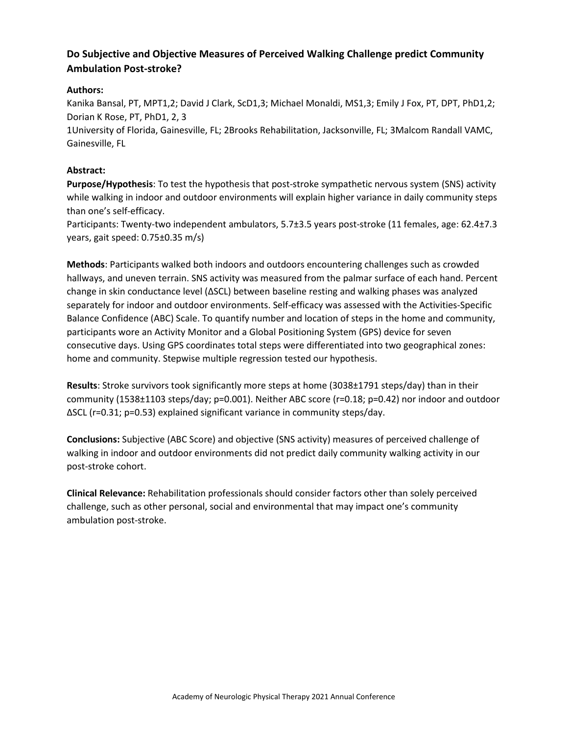# **Do Subjective and Objective Measures of Perceived Walking Challenge predict Community Ambulation Post-stroke?**

## **Authors:**

Kanika Bansal, PT, MPT1,2; David J Clark, ScD1,3; Michael Monaldi, MS1,3; Emily J Fox, PT, DPT, PhD1,2; Dorian K Rose, PT, PhD1, 2, 3

1University of Florida, Gainesville, FL; 2Brooks Rehabilitation, Jacksonville, FL; 3Malcom Randall VAMC, Gainesville, FL

#### **Abstract:**

**Purpose/Hypothesis**: To test the hypothesis that post-stroke sympathetic nervous system (SNS) activity while walking in indoor and outdoor environments will explain higher variance in daily community steps than one's self-efficacy.

Participants: Twenty-two independent ambulators, 5.7±3.5 years post-stroke (11 females, age: 62.4±7.3 years, gait speed: 0.75±0.35 m/s)

**Methods**: Participants walked both indoors and outdoors encountering challenges such as crowded hallways, and uneven terrain. SNS activity was measured from the palmar surface of each hand. Percent change in skin conductance level (ΔSCL) between baseline resting and walking phases was analyzed separately for indoor and outdoor environments. Self-efficacy was assessed with the Activities-Specific Balance Confidence (ABC) Scale. To quantify number and location of steps in the home and community, participants wore an Activity Monitor and a Global Positioning System (GPS) device for seven consecutive days. Using GPS coordinates total steps were differentiated into two geographical zones: home and community. Stepwise multiple regression tested our hypothesis.

**Results**: Stroke survivors took significantly more steps at home (3038±1791 steps/day) than in their community (1538±1103 steps/day; p=0.001). Neither ABC score (r=0.18; p=0.42) nor indoor and outdoor ΔSCL (r=0.31; p=0.53) explained significant variance in community steps/day.

**Conclusions:** Subjective (ABC Score) and objective (SNS activity) measures of perceived challenge of walking in indoor and outdoor environments did not predict daily community walking activity in our post-stroke cohort.

**Clinical Relevance:** Rehabilitation professionals should consider factors other than solely perceived challenge, such as other personal, social and environmental that may impact one's community ambulation post-stroke.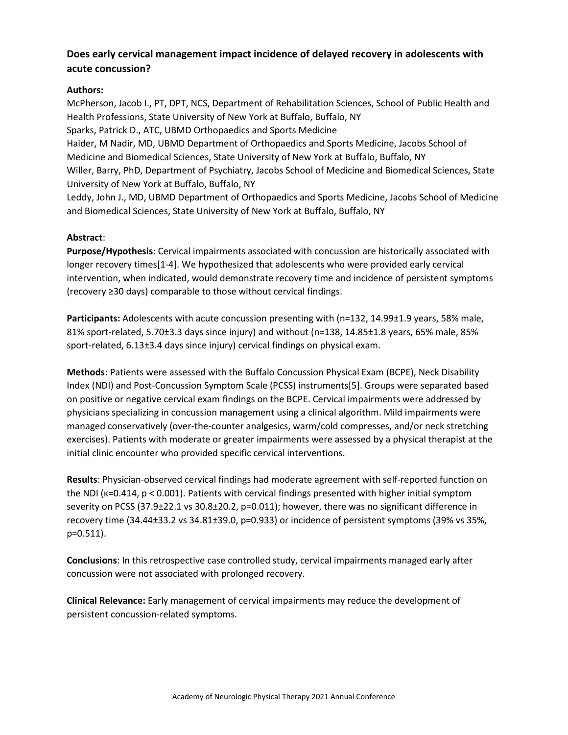# **Does early cervical management impact incidence of delayed recovery in adolescents with acute concussion?**

## **Authors:**

McPherson, Jacob I., PT, DPT, NCS, Department of Rehabilitation Sciences, School of Public Health and Health Professions, State University of New York at Buffalo, Buffalo, NY Sparks, Patrick D., ATC, UBMD Orthopaedics and Sports Medicine Haider, M Nadir, MD, UBMD Department of Orthopaedics and Sports Medicine, Jacobs School of Medicine and Biomedical Sciences, State University of New York at Buffalo, Buffalo, NY

Willer, Barry, PhD, Department of Psychiatry, Jacobs School of Medicine and Biomedical Sciences, State University of New York at Buffalo, Buffalo, NY

Leddy, John J., MD, UBMD Department of Orthopaedics and Sports Medicine, Jacobs School of Medicine and Biomedical Sciences, State University of New York at Buffalo, Buffalo, NY

## **Abstract**:

**Purpose/Hypothesis**: Cervical impairments associated with concussion are historically associated with longer recovery times[1-4]. We hypothesized that adolescents who were provided early cervical intervention, when indicated, would demonstrate recovery time and incidence of persistent symptoms (recovery ≥30 days) comparable to those without cervical findings.

**Participants:** Adolescents with acute concussion presenting with (n=132, 14.99±1.9 years, 58% male, 81% sport-related, 5.70±3.3 days since injury) and without (n=138, 14.85±1.8 years, 65% male, 85% sport-related, 6.13±3.4 days since injury) cervical findings on physical exam.

**Methods**: Patients were assessed with the Buffalo Concussion Physical Exam (BCPE), Neck Disability Index (NDI) and Post-Concussion Symptom Scale (PCSS) instruments[5]. Groups were separated based on positive or negative cervical exam findings on the BCPE. Cervical impairments were addressed by physicians specializing in concussion management using a clinical algorithm. Mild impairments were managed conservatively (over-the-counter analgesics, warm/cold compresses, and/or neck stretching exercises). Patients with moderate or greater impairments were assessed by a physical therapist at the initial clinic encounter who provided specific cervical interventions.

**Results**: Physician-observed cervical findings had moderate agreement with self-reported function on the NDI (ĸ=0.414, p < 0.001). Patients with cervical findings presented with higher initial symptom severity on PCSS (37.9±22.1 vs 30.8±20.2, p=0.011); however, there was no significant difference in recovery time (34.44±33.2 vs 34.81±39.0, p=0.933) or incidence of persistent symptoms (39% vs 35%, p=0.511).

**Conclusions**: In this retrospective case controlled study, cervical impairments managed early after concussion were not associated with prolonged recovery.

**Clinical Relevance:** Early management of cervical impairments may reduce the development of persistent concussion-related symptoms.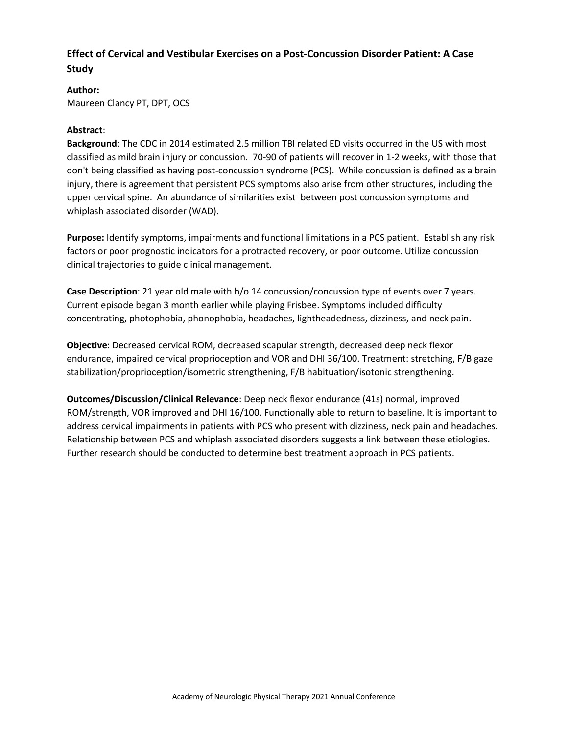# **Effect of Cervical and Vestibular Exercises on a Post-Concussion Disorder Patient: A Case Study**

#### **Author:**

Maureen Clancy PT, DPT, OCS

#### **Abstract**:

**Background**: The CDC in 2014 estimated 2.5 million TBI related ED visits occurred in the US with most classified as mild brain injury or concussion. 70-90 of patients will recover in 1-2 weeks, with those that don't being classified as having post-concussion syndrome (PCS). While concussion is defined as a brain injury, there is agreement that persistent PCS symptoms also arise from other structures, including the upper cervical spine. An abundance of similarities exist between post concussion symptoms and whiplash associated disorder (WAD).

**Purpose:** Identify symptoms, impairments and functional limitations in a PCS patient. Establish any risk factors or poor prognostic indicators for a protracted recovery, or poor outcome. Utilize concussion clinical trajectories to guide clinical management.

**Case Description**: 21 year old male with h/o 14 concussion/concussion type of events over 7 years. Current episode began 3 month earlier while playing Frisbee. Symptoms included difficulty concentrating, photophobia, phonophobia, headaches, lightheadedness, dizziness, and neck pain.

**Objective**: Decreased cervical ROM, decreased scapular strength, decreased deep neck flexor endurance, impaired cervical proprioception and VOR and DHI 36/100. Treatment: stretching, F/B gaze stabilization/proprioception/isometric strengthening, F/B habituation/isotonic strengthening.

**Outcomes/Discussion/Clinical Relevance**: Deep neck flexor endurance (41s) normal, improved ROM/strength, VOR improved and DHI 16/100. Functionally able to return to baseline. It is important to address cervical impairments in patients with PCS who present with dizziness, neck pain and headaches. Relationship between PCS and whiplash associated disorders suggests a link between these etiologies. Further research should be conducted to determine best treatment approach in PCS patients.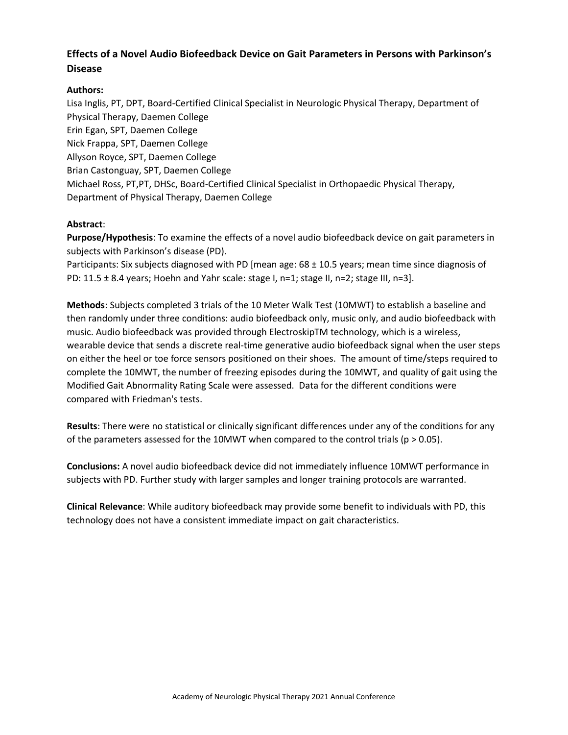# **Effects of a Novel Audio Biofeedback Device on Gait Parameters in Persons with Parkinson's Disease**

## **Authors:**

Lisa Inglis, PT, DPT, Board-Certified Clinical Specialist in Neurologic Physical Therapy, Department of Physical Therapy, Daemen College Erin Egan, SPT, Daemen College Nick Frappa, SPT, Daemen College Allyson Royce, SPT, Daemen College Brian Castonguay, SPT, Daemen College Michael Ross, PT,PT, DHSc, Board-Certified Clinical Specialist in Orthopaedic Physical Therapy, Department of Physical Therapy, Daemen College

## **Abstract**:

**Purpose/Hypothesis**: To examine the effects of a novel audio biofeedback device on gait parameters in subjects with Parkinson's disease (PD).

Participants: Six subjects diagnosed with PD [mean age: 68 ± 10.5 years; mean time since diagnosis of PD:  $11.5 \pm 8.4$  years; Hoehn and Yahr scale: stage I, n=1; stage II, n=2; stage III, n=3].

**Methods**: Subjects completed 3 trials of the 10 Meter Walk Test (10MWT) to establish a baseline and then randomly under three conditions: audio biofeedback only, music only, and audio biofeedback with music. Audio biofeedback was provided through ElectroskipTM technology, which is a wireless, wearable device that sends a discrete real-time generative audio biofeedback signal when the user steps on either the heel or toe force sensors positioned on their shoes. The amount of time/steps required to complete the 10MWT, the number of freezing episodes during the 10MWT, and quality of gait using the Modified Gait Abnormality Rating Scale were assessed. Data for the different conditions were compared with Friedman's tests.

**Results**: There were no statistical or clinically significant differences under any of the conditions for any of the parameters assessed for the 10MWT when compared to the control trials ( $p > 0.05$ ).

**Conclusions:** A novel audio biofeedback device did not immediately influence 10MWT performance in subjects with PD. Further study with larger samples and longer training protocols are warranted.

**Clinical Relevance**: While auditory biofeedback may provide some benefit to individuals with PD, this technology does not have a consistent immediate impact on gait characteristics.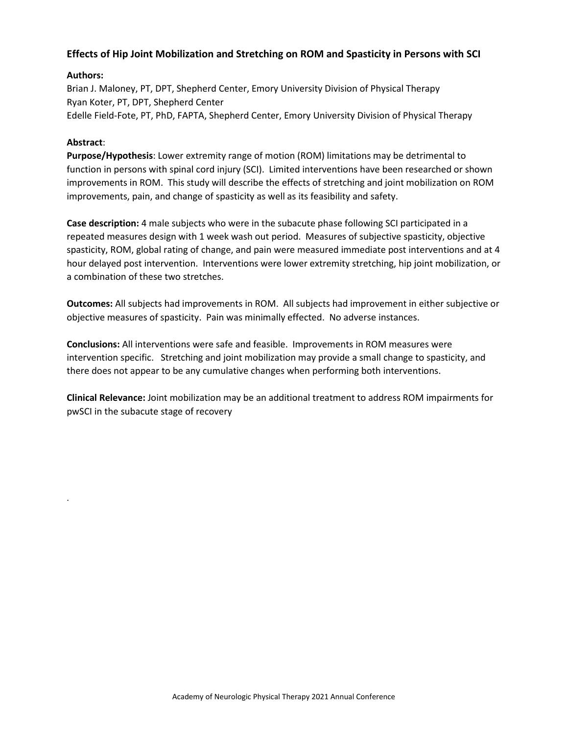## **Effects of Hip Joint Mobilization and Stretching on ROM and Spasticity in Persons with SCI**

## **Authors:**

Brian J. Maloney, PT, DPT, Shepherd Center, Emory University Division of Physical Therapy Ryan Koter, PT, DPT, Shepherd Center Edelle Field-Fote, PT, PhD, FAPTA, Shepherd Center, Emory University Division of Physical Therapy

#### **Abstract**:

.

**Purpose/Hypothesis**: Lower extremity range of motion (ROM) limitations may be detrimental to function in persons with spinal cord injury (SCI). Limited interventions have been researched or shown improvements in ROM. This study will describe the effects of stretching and joint mobilization on ROM improvements, pain, and change of spasticity as well as its feasibility and safety.

**Case description:** 4 male subjects who were in the subacute phase following SCI participated in a repeated measures design with 1 week wash out period. Measures of subjective spasticity, objective spasticity, ROM, global rating of change, and pain were measured immediate post interventions and at 4 hour delayed post intervention. Interventions were lower extremity stretching, hip joint mobilization, or a combination of these two stretches.

**Outcomes:** All subjects had improvements in ROM. All subjects had improvement in either subjective or objective measures of spasticity. Pain was minimally effected. No adverse instances.

**Conclusions:** All interventions were safe and feasible. Improvements in ROM measures were intervention specific. Stretching and joint mobilization may provide a small change to spasticity, and there does not appear to be any cumulative changes when performing both interventions.

**Clinical Relevance:** Joint mobilization may be an additional treatment to address ROM impairments for pwSCI in the subacute stage of recovery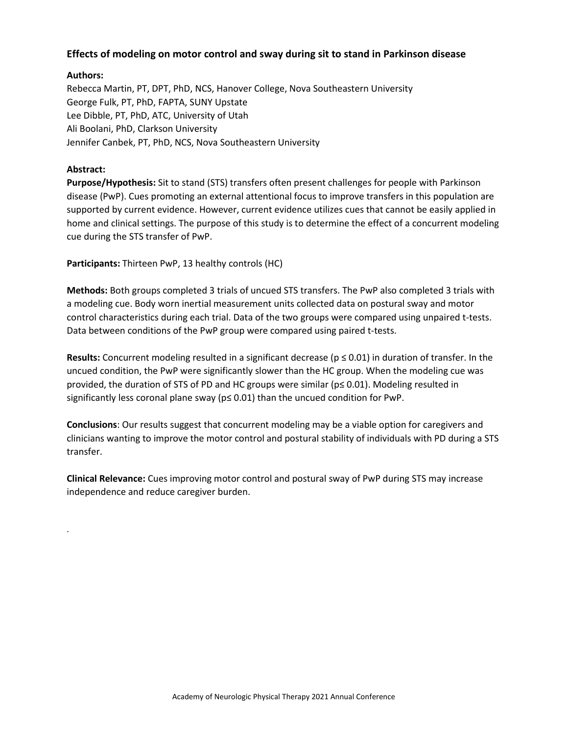## **Effects of modeling on motor control and sway during sit to stand in Parkinson disease**

## **Authors:**

Rebecca Martin, PT, DPT, PhD, NCS, Hanover College, Nova Southeastern University George Fulk, PT, PhD, FAPTA, SUNY Upstate Lee Dibble, PT, PhD, ATC, University of Utah Ali Boolani, PhD, Clarkson University Jennifer Canbek, PT, PhD, NCS, Nova Southeastern University

## **Abstract:**

.

**Purpose/Hypothesis:** Sit to stand (STS) transfers often present challenges for people with Parkinson disease (PwP). Cues promoting an external attentional focus to improve transfers in this population are supported by current evidence. However, current evidence utilizes cues that cannot be easily applied in home and clinical settings. The purpose of this study is to determine the effect of a concurrent modeling cue during the STS transfer of PwP.

**Participants:** Thirteen PwP, 13 healthy controls (HC)

**Methods:** Both groups completed 3 trials of uncued STS transfers. The PwP also completed 3 trials with a modeling cue. Body worn inertial measurement units collected data on postural sway and motor control characteristics during each trial. Data of the two groups were compared using unpaired t-tests. Data between conditions of the PwP group were compared using paired t-tests.

**Results:** Concurrent modeling resulted in a significant decrease ( $p \le 0.01$ ) in duration of transfer. In the uncued condition, the PwP were significantly slower than the HC group. When the modeling cue was provided, the duration of STS of PD and HC groups were similar (p≤ 0.01). Modeling resulted in significantly less coronal plane sway (p≤ 0.01) than the uncued condition for PwP.

**Conclusions**: Our results suggest that concurrent modeling may be a viable option for caregivers and clinicians wanting to improve the motor control and postural stability of individuals with PD during a STS transfer.

**Clinical Relevance:** Cues improving motor control and postural sway of PwP during STS may increase independence and reduce caregiver burden.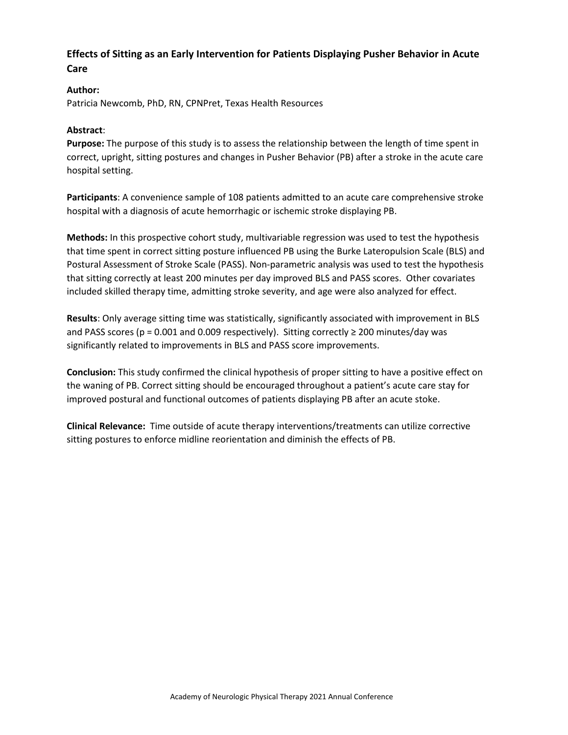# **Effects of Sitting as an Early Intervention for Patients Displaying Pusher Behavior in Acute Care**

## **Author:**

Patricia Newcomb, PhD, RN, CPNPret, Texas Health Resources

#### **Abstract**:

**Purpose:** The purpose of this study is to assess the relationship between the length of time spent in correct, upright, sitting postures and changes in Pusher Behavior (PB) after a stroke in the acute care hospital setting.

**Participants**: A convenience sample of 108 patients admitted to an acute care comprehensive stroke hospital with a diagnosis of acute hemorrhagic or ischemic stroke displaying PB.

**Methods:** In this prospective cohort study, multivariable regression was used to test the hypothesis that time spent in correct sitting posture influenced PB using the Burke Lateropulsion Scale (BLS) and Postural Assessment of Stroke Scale (PASS). Non-parametric analysis was used to test the hypothesis that sitting correctly at least 200 minutes per day improved BLS and PASS scores. Other covariates included skilled therapy time, admitting stroke severity, and age were also analyzed for effect.

**Results**: Only average sitting time was statistically, significantly associated with improvement in BLS and PASS scores (p = 0.001 and 0.009 respectively). Sitting correctly  $\geq$  200 minutes/day was significantly related to improvements in BLS and PASS score improvements.

**Conclusion:** This study confirmed the clinical hypothesis of proper sitting to have a positive effect on the waning of PB. Correct sitting should be encouraged throughout a patient's acute care stay for improved postural and functional outcomes of patients displaying PB after an acute stoke.

**Clinical Relevance:** Time outside of acute therapy interventions/treatments can utilize corrective sitting postures to enforce midline reorientation and diminish the effects of PB.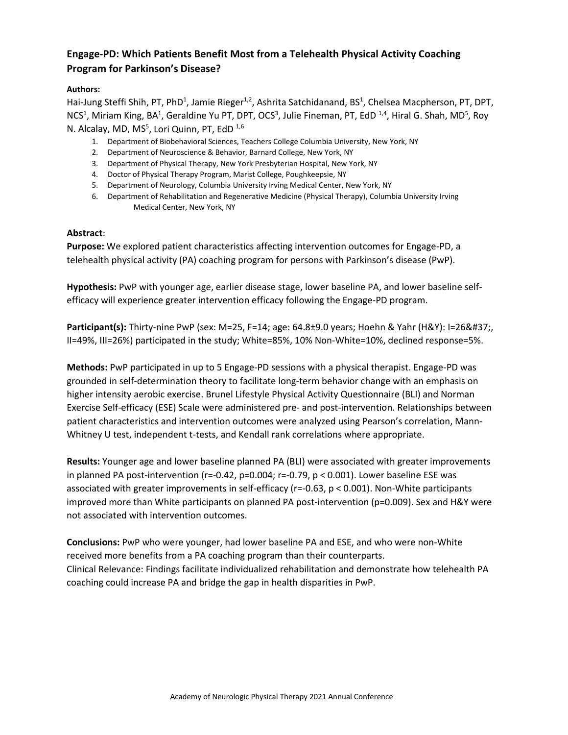# **Engage-PD: Which Patients Benefit Most from a Telehealth Physical Activity Coaching Program for Parkinson's Disease?**

## **Authors:**

Hai-Jung Steffi Shih, PT, PhD<sup>1</sup>, Jamie Rieger<sup>1,2</sup>, Ashrita Satchidanand, BS<sup>1</sup>, Chelsea Macpherson, PT, DPT, NCS<sup>1</sup>, Miriam King, BA<sup>1</sup>, Geraldine Yu PT, DPT, OCS<sup>3</sup>, Julie Fineman, PT, EdD <sup>1,4</sup>, Hiral G. Shah, MD<sup>5</sup>, Roy N. Alcalay, MD, MS<sup>5</sup>, Lori Quinn, PT, EdD<sup>1,6</sup>

- 1. Department of Biobehavioral Sciences, Teachers College Columbia University, New York, NY
- 2. Department of Neuroscience & Behavior, Barnard College, New York, NY
- 3. Department of Physical Therapy, New York Presbyterian Hospital, New York, NY
- 4. Doctor of Physical Therapy Program, Marist College, Poughkeepsie, NY
- 5. Department of Neurology, Columbia University Irving Medical Center, New York, NY
- 6. Department of Rehabilitation and Regenerative Medicine (Physical Therapy), Columbia University Irving Medical Center, New York, NY

#### **Abstract**:

**Purpose:** We explored patient characteristics affecting intervention outcomes for Engage-PD, a telehealth physical activity (PA) coaching program for persons with Parkinson's disease (PwP).

**Hypothesis:** PwP with younger age, earlier disease stage, lower baseline PA, and lower baseline selfefficacy will experience greater intervention efficacy following the Engage-PD program.

**Participant(s):** Thirty-nine PwP (sex: M=25, F=14; age: 64.8±9.0 years; Hoehn & Yahr (H&Y): I=26%, II=49%, III=26%) participated in the study; White=85%, 10% Non-White=10%, declined response=5%.

**Methods:** PwP participated in up to 5 Engage-PD sessions with a physical therapist. Engage-PD was grounded in self-determination theory to facilitate long-term behavior change with an emphasis on higher intensity aerobic exercise. Brunel Lifestyle Physical Activity Questionnaire (BLI) and Norman Exercise Self-efficacy (ESE) Scale were administered pre- and post-intervention. Relationships between patient characteristics and intervention outcomes were analyzed using Pearson's correlation, Mann-Whitney U test, independent t-tests, and Kendall rank correlations where appropriate.

**Results:** Younger age and lower baseline planned PA (BLI) were associated with greater improvements in planned PA post-intervention (r=-0.42, p=0.004; r=-0.79, p < 0.001). Lower baseline ESE was associated with greater improvements in self-efficacy (r=-0.63, p < 0.001). Non-White participants improved more than White participants on planned PA post-intervention (p=0.009). Sex and H&Y were not associated with intervention outcomes.

**Conclusions:** PwP who were younger, had lower baseline PA and ESE, and who were non-White received more benefits from a PA coaching program than their counterparts. Clinical Relevance: Findings facilitate individualized rehabilitation and demonstrate how telehealth PA coaching could increase PA and bridge the gap in health disparities in PwP.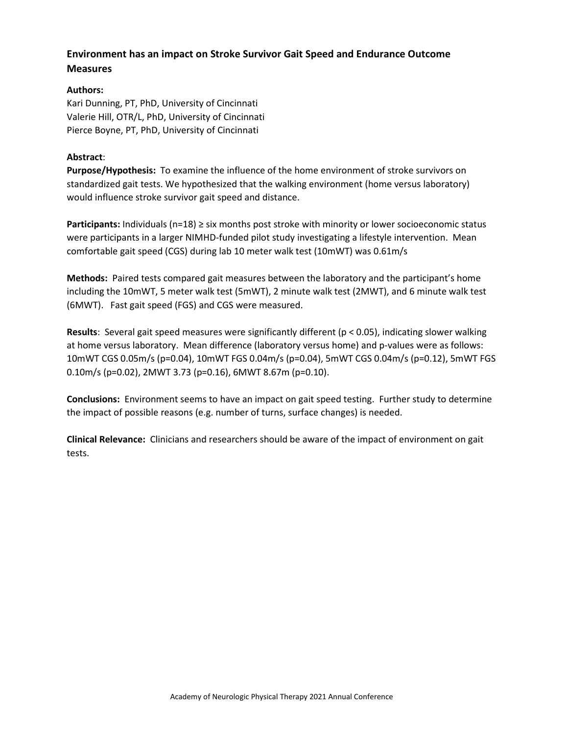# **Environment has an impact on Stroke Survivor Gait Speed and Endurance Outcome Measures**

## **Authors:**

Kari Dunning, PT, PhD, University of Cincinnati Valerie Hill, OTR/L, PhD, University of Cincinnati Pierce Boyne, PT, PhD, University of Cincinnati

## **Abstract**:

**Purpose/Hypothesis:** To examine the influence of the home environment of stroke survivors on standardized gait tests. We hypothesized that the walking environment (home versus laboratory) would influence stroke survivor gait speed and distance.

**Participants:** Individuals (n=18) ≥ six months post stroke with minority or lower socioeconomic status were participants in a larger NIMHD-funded pilot study investigating a lifestyle intervention. Mean comfortable gait speed (CGS) during lab 10 meter walk test (10mWT) was 0.61m/s

**Methods:** Paired tests compared gait measures between the laboratory and the participant's home including the 10mWT, 5 meter walk test (5mWT), 2 minute walk test (2MWT), and 6 minute walk test (6MWT). Fast gait speed (FGS) and CGS were measured.

**Results**: Several gait speed measures were significantly different (p < 0.05), indicating slower walking at home versus laboratory. Mean difference (laboratory versus home) and p-values were as follows: 10mWT CGS 0.05m/s (p=0.04), 10mWT FGS 0.04m/s (p=0.04), 5mWT CGS 0.04m/s (p=0.12), 5mWT FGS 0.10m/s (p=0.02), 2MWT 3.73 (p=0.16), 6MWT 8.67m (p=0.10).

**Conclusions:** Environment seems to have an impact on gait speed testing. Further study to determine the impact of possible reasons (e.g. number of turns, surface changes) is needed.

**Clinical Relevance:** Clinicians and researchers should be aware of the impact of environment on gait tests.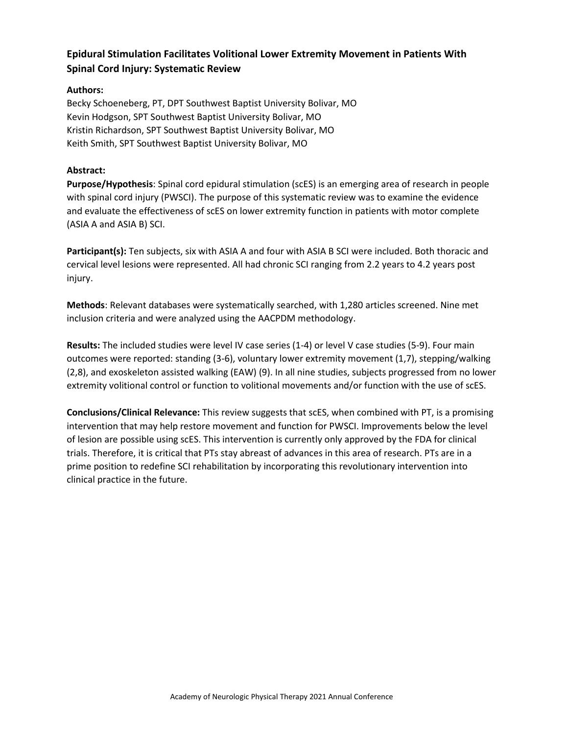# **Epidural Stimulation Facilitates Volitional Lower Extremity Movement in Patients With Spinal Cord Injury: Systematic Review**

## **Authors:**

Becky Schoeneberg, PT, DPT Southwest Baptist University Bolivar, MO Kevin Hodgson, SPT Southwest Baptist University Bolivar, MO Kristin Richardson, SPT Southwest Baptist University Bolivar, MO Keith Smith, SPT Southwest Baptist University Bolivar, MO

## **Abstract:**

**Purpose/Hypothesis**: Spinal cord epidural stimulation (scES) is an emerging area of research in people with spinal cord injury (PWSCI). The purpose of this systematic review was to examine the evidence and evaluate the effectiveness of scES on lower extremity function in patients with motor complete (ASIA A and ASIA B) SCI.

**Participant(s):** Ten subjects, six with ASIA A and four with ASIA B SCI were included. Both thoracic and cervical level lesions were represented. All had chronic SCI ranging from 2.2 years to 4.2 years post injury.

**Methods**: Relevant databases were systematically searched, with 1,280 articles screened. Nine met inclusion criteria and were analyzed using the AACPDM methodology.

**Results:** The included studies were level IV case series (1-4) or level V case studies (5-9). Four main outcomes were reported: standing (3-6), voluntary lower extremity movement (1,7), stepping/walking (2,8), and exoskeleton assisted walking (EAW) (9). In all nine studies, subjects progressed from no lower extremity volitional control or function to volitional movements and/or function with the use of scES.

**Conclusions/Clinical Relevance:** This review suggests that scES, when combined with PT, is a promising intervention that may help restore movement and function for PWSCI. Improvements below the level of lesion are possible using scES. This intervention is currently only approved by the FDA for clinical trials. Therefore, it is critical that PTs stay abreast of advances in this area of research. PTs are in a prime position to redefine SCI rehabilitation by incorporating this revolutionary intervention into clinical practice in the future.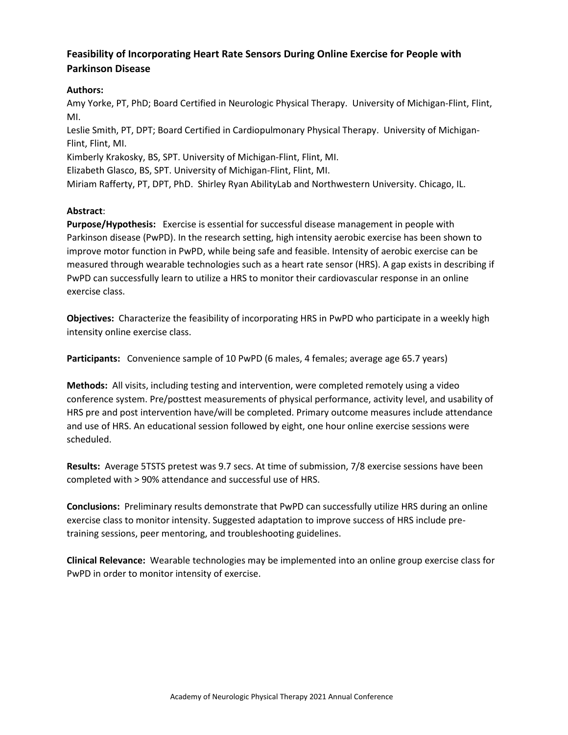# **Feasibility of Incorporating Heart Rate Sensors During Online Exercise for People with Parkinson Disease**

## **Authors:**

Amy Yorke, PT, PhD; Board Certified in Neurologic Physical Therapy. University of Michigan-Flint, Flint, MI.

Leslie Smith, PT, DPT; Board Certified in Cardiopulmonary Physical Therapy. University of Michigan-Flint, Flint, MI.

Kimberly Krakosky, BS, SPT. University of Michigan-Flint, Flint, MI.

Elizabeth Glasco, BS, SPT. University of Michigan-Flint, Flint, MI.

Miriam Rafferty, PT, DPT, PhD. Shirley Ryan AbilityLab and Northwestern University. Chicago, IL.

## **Abstract**:

**Purpose/Hypothesis:** Exercise is essential for successful disease management in people with Parkinson disease (PwPD). In the research setting, high intensity aerobic exercise has been shown to improve motor function in PwPD, while being safe and feasible. Intensity of aerobic exercise can be measured through wearable technologies such as a heart rate sensor (HRS). A gap exists in describing if PwPD can successfully learn to utilize a HRS to monitor their cardiovascular response in an online exercise class.

**Objectives:** Characterize the feasibility of incorporating HRS in PwPD who participate in a weekly high intensity online exercise class.

**Participants:** Convenience sample of 10 PwPD (6 males, 4 females; average age 65.7 years)

**Methods:** All visits, including testing and intervention, were completed remotely using a video conference system. Pre/posttest measurements of physical performance, activity level, and usability of HRS pre and post intervention have/will be completed. Primary outcome measures include attendance and use of HRS. An educational session followed by eight, one hour online exercise sessions were scheduled.

**Results:** Average 5TSTS pretest was 9.7 secs. At time of submission, 7/8 exercise sessions have been completed with > 90% attendance and successful use of HRS.

**Conclusions:** Preliminary results demonstrate that PwPD can successfully utilize HRS during an online exercise class to monitor intensity. Suggested adaptation to improve success of HRS include pretraining sessions, peer mentoring, and troubleshooting guidelines.

**Clinical Relevance:** Wearable technologies may be implemented into an online group exercise class for PwPD in order to monitor intensity of exercise.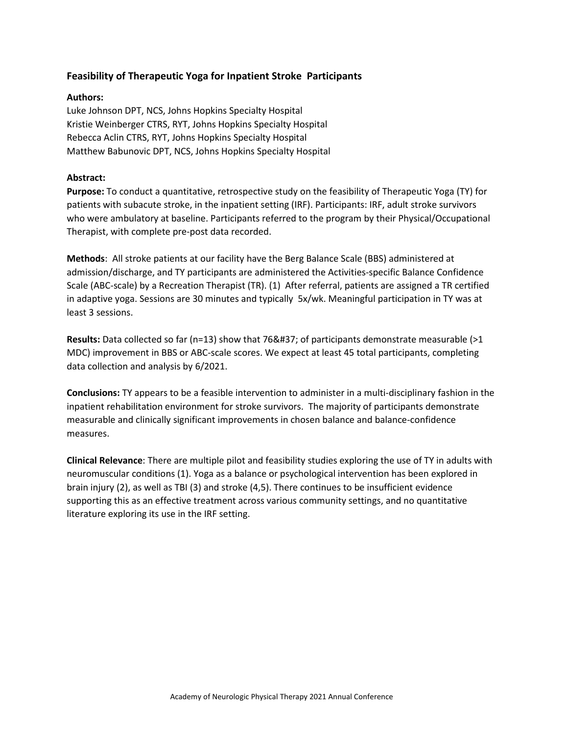## **Feasibility of Therapeutic Yoga for Inpatient Stroke Participants**

#### **Authors:**

Luke Johnson DPT, NCS, Johns Hopkins Specialty Hospital Kristie Weinberger CTRS, RYT, Johns Hopkins Specialty Hospital Rebecca Aclin CTRS, RYT, Johns Hopkins Specialty Hospital Matthew Babunovic DPT, NCS, Johns Hopkins Specialty Hospital

#### **Abstract:**

**Purpose:** To conduct a quantitative, retrospective study on the feasibility of Therapeutic Yoga (TY) for patients with subacute stroke, in the inpatient setting (IRF). Participants: IRF, adult stroke survivors who were ambulatory at baseline. Participants referred to the program by their Physical/Occupational Therapist, with complete pre-post data recorded.

**Methods**: All stroke patients at our facility have the Berg Balance Scale (BBS) administered at admission/discharge, and TY participants are administered the Activities-specific Balance Confidence Scale (ABC-scale) by a Recreation Therapist (TR). (1) After referral, patients are assigned a TR certified in adaptive yoga. Sessions are 30 minutes and typically 5x/wk. Meaningful participation in TY was at least 3 sessions.

**Results:** Data collected so far ( $n=13$ ) show that 76% of participants demonstrate measurable ( $>1$ MDC) improvement in BBS or ABC-scale scores. We expect at least 45 total participants, completing data collection and analysis by 6/2021.

**Conclusions:** TY appears to be a feasible intervention to administer in a multi-disciplinary fashion in the inpatient rehabilitation environment for stroke survivors. The majority of participants demonstrate measurable and clinically significant improvements in chosen balance and balance-confidence measures.

**Clinical Relevance**: There are multiple pilot and feasibility studies exploring the use of TY in adults with neuromuscular conditions (1). Yoga as a balance or psychological intervention has been explored in brain injury (2), as well as TBI (3) and stroke (4,5). There continues to be insufficient evidence supporting this as an effective treatment across various community settings, and no quantitative literature exploring its use in the IRF setting.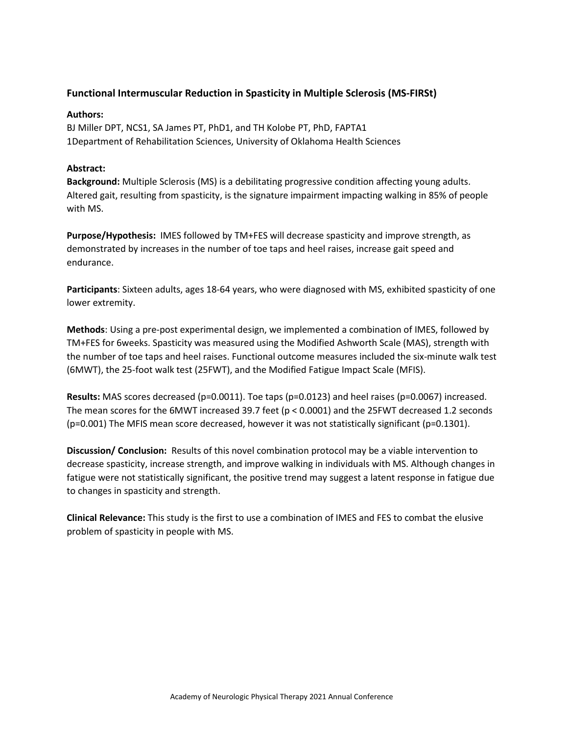## **Functional Intermuscular Reduction in Spasticity in Multiple Sclerosis (MS-FIRSt)**

#### **Authors:**

BJ Miller DPT, NCS1, SA James PT, PhD1, and TH Kolobe PT, PhD, FAPTA1 1Department of Rehabilitation Sciences, University of Oklahoma Health Sciences

#### **Abstract:**

**Background:** Multiple Sclerosis (MS) is a debilitating progressive condition affecting young adults. Altered gait, resulting from spasticity, is the signature impairment impacting walking in 85% of people with MS.

**Purpose/Hypothesis:** IMES followed by TM+FES will decrease spasticity and improve strength, as demonstrated by increases in the number of toe taps and heel raises, increase gait speed and endurance.

**Participants**: Sixteen adults, ages 18-64 years, who were diagnosed with MS, exhibited spasticity of one lower extremity.

**Methods**: Using a pre-post experimental design, we implemented a combination of IMES, followed by TM+FES for 6weeks. Spasticity was measured using the Modified Ashworth Scale (MAS), strength with the number of toe taps and heel raises. Functional outcome measures included the six-minute walk test (6MWT), the 25-foot walk test (25FWT), and the Modified Fatigue Impact Scale (MFIS).

**Results:** MAS scores decreased (p=0.0011). Toe taps (p=0.0123) and heel raises (p=0.0067) increased. The mean scores for the 6MWT increased 39.7 feet (p < 0.0001) and the 25FWT decreased 1.2 seconds (p=0.001) The MFIS mean score decreased, however it was not statistically significant (p=0.1301).

**Discussion/ Conclusion:** Results of this novel combination protocol may be a viable intervention to decrease spasticity, increase strength, and improve walking in individuals with MS. Although changes in fatigue were not statistically significant, the positive trend may suggest a latent response in fatigue due to changes in spasticity and strength.

**Clinical Relevance:** This study is the first to use a combination of IMES and FES to combat the elusive problem of spasticity in people with MS.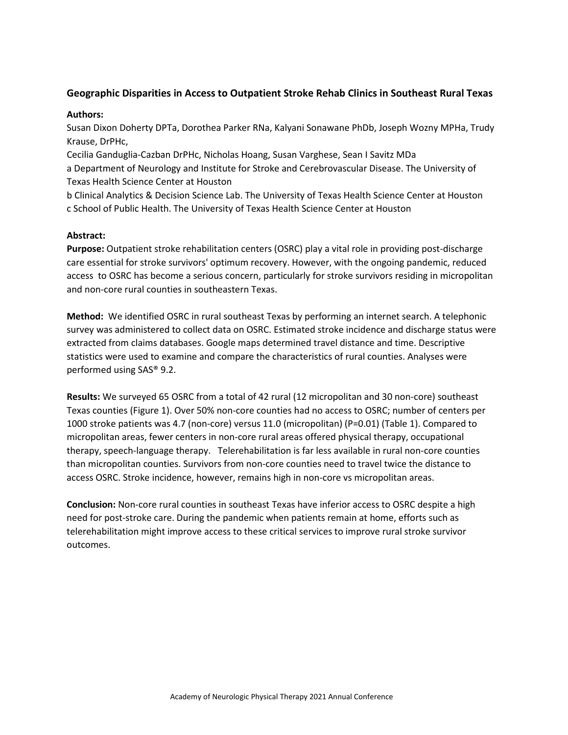## **Geographic Disparities in Access to Outpatient Stroke Rehab Clinics in Southeast Rural Texas**

#### **Authors:**

Susan Dixon Doherty DPTa, Dorothea Parker RNa, Kalyani Sonawane PhDb, Joseph Wozny MPHa, Trudy Krause, DrPHc,

Cecilia Ganduglia-Cazban DrPHc, Nicholas Hoang, Susan Varghese, Sean I Savitz MDa a Department of Neurology and Institute for Stroke and Cerebrovascular Disease. The University of Texas Health Science Center at Houston

b Clinical Analytics & Decision Science Lab. The University of Texas Health Science Center at Houston c School of Public Health. The University of Texas Health Science Center at Houston

#### **Abstract:**

**Purpose:** Outpatient stroke rehabilitation centers (OSRC) play a vital role in providing post-discharge care essential for stroke survivors' optimum recovery. However, with the ongoing pandemic, reduced access to OSRC has become a serious concern, particularly for stroke survivors residing in micropolitan and non-core rural counties in southeastern Texas.

**Method:** We identified OSRC in rural southeast Texas by performing an internet search. A telephonic survey was administered to collect data on OSRC. Estimated stroke incidence and discharge status were extracted from claims databases. Google maps determined travel distance and time. Descriptive statistics were used to examine and compare the characteristics of rural counties. Analyses were performed using SAS® 9.2.

**Results:** We surveyed 65 OSRC from a total of 42 rural (12 micropolitan and 30 non-core) southeast Texas counties (Figure 1). Over 50% non-core counties had no access to OSRC; number of centers per 1000 stroke patients was 4.7 (non-core) versus 11.0 (micropolitan) (P=0.01) (Table 1). Compared to micropolitan areas, fewer centers in non-core rural areas offered physical therapy, occupational therapy, speech-language therapy. Telerehabilitation is far less available in rural non-core counties than micropolitan counties. Survivors from non-core counties need to travel twice the distance to access OSRC. Stroke incidence, however, remains high in non-core vs micropolitan areas.

**Conclusion:** Non-core rural counties in southeast Texas have inferior access to OSRC despite a high need for post-stroke care. During the pandemic when patients remain at home, efforts such as telerehabilitation might improve access to these critical services to improve rural stroke survivor outcomes.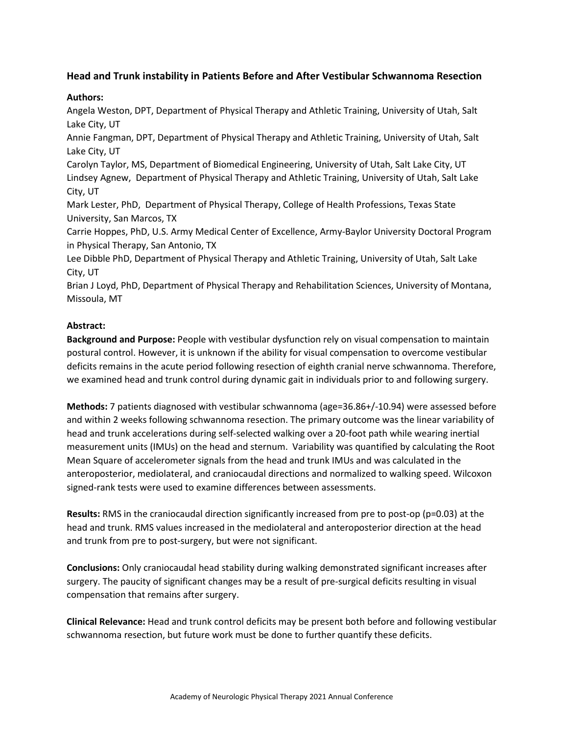## **Head and Trunk instability in Patients Before and After Vestibular Schwannoma Resection**

#### **Authors:**

Angela Weston, DPT, Department of Physical Therapy and Athletic Training, University of Utah, Salt Lake City, UT

Annie Fangman, DPT, Department of Physical Therapy and Athletic Training, University of Utah, Salt Lake City, UT

Carolyn Taylor, MS, Department of Biomedical Engineering, University of Utah, Salt Lake City, UT Lindsey Agnew, Department of Physical Therapy and Athletic Training, University of Utah, Salt Lake City, UT

Mark Lester, PhD, Department of Physical Therapy, College of Health Professions, Texas State University, San Marcos, TX

Carrie Hoppes, PhD, U.S. Army Medical Center of Excellence, Army-Baylor University Doctoral Program in Physical Therapy, San Antonio, TX

Lee Dibble PhD, Department of Physical Therapy and Athletic Training, University of Utah, Salt Lake City, UT

Brian J Loyd, PhD, Department of Physical Therapy and Rehabilitation Sciences, University of Montana, Missoula, MT

#### **Abstract:**

**Background and Purpose:** People with vestibular dysfunction rely on visual compensation to maintain postural control. However, it is unknown if the ability for visual compensation to overcome vestibular deficits remains in the acute period following resection of eighth cranial nerve schwannoma. Therefore, we examined head and trunk control during dynamic gait in individuals prior to and following surgery.

**Methods:** 7 patients diagnosed with vestibular schwannoma (age=36.86+/-10.94) were assessed before and within 2 weeks following schwannoma resection. The primary outcome was the linear variability of head and trunk accelerations during self-selected walking over a 20-foot path while wearing inertial measurement units (IMUs) on the head and sternum. Variability was quantified by calculating the Root Mean Square of accelerometer signals from the head and trunk IMUs and was calculated in the anteroposterior, mediolateral, and craniocaudal directions and normalized to walking speed. Wilcoxon signed-rank tests were used to examine differences between assessments.

**Results:** RMS in the craniocaudal direction significantly increased from pre to post-op (p=0.03) at the head and trunk. RMS values increased in the mediolateral and anteroposterior direction at the head and trunk from pre to post-surgery, but were not significant.

**Conclusions:** Only craniocaudal head stability during walking demonstrated significant increases after surgery. The paucity of significant changes may be a result of pre-surgical deficits resulting in visual compensation that remains after surgery.

**Clinical Relevance:** Head and trunk control deficits may be present both before and following vestibular schwannoma resection, but future work must be done to further quantify these deficits.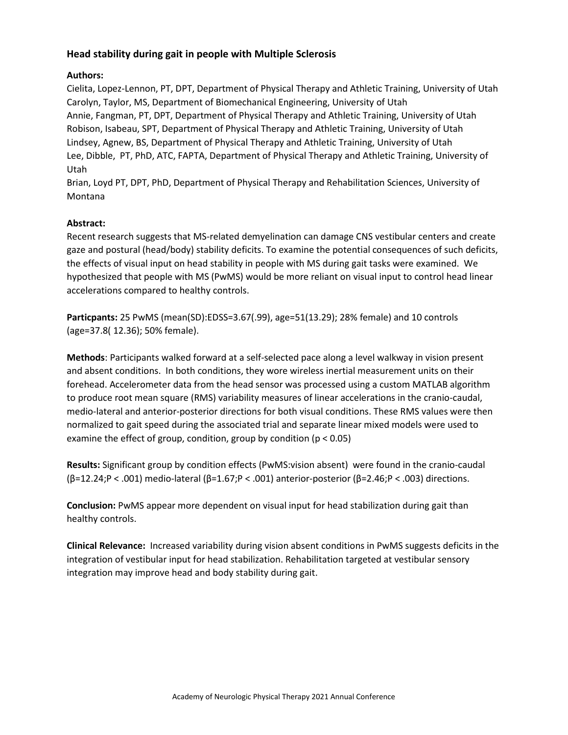## **Head stability during gait in people with Multiple Sclerosis**

## **Authors:**

Cielita, Lopez-Lennon, PT, DPT, Department of Physical Therapy and Athletic Training, University of Utah Carolyn, Taylor, MS, Department of Biomechanical Engineering, University of Utah Annie, Fangman, PT, DPT, Department of Physical Therapy and Athletic Training, University of Utah Robison, Isabeau, SPT, Department of Physical Therapy and Athletic Training, University of Utah Lindsey, Agnew, BS, Department of Physical Therapy and Athletic Training, University of Utah Lee, Dibble, PT, PhD, ATC, FAPTA, Department of Physical Therapy and Athletic Training, University of Utah

Brian, Loyd PT, DPT, PhD, Department of Physical Therapy and Rehabilitation Sciences, University of Montana

## **Abstract:**

Recent research suggests that MS-related demyelination can damage CNS vestibular centers and create gaze and postural (head/body) stability deficits. To examine the potential consequences of such deficits, the effects of visual input on head stability in people with MS during gait tasks were examined. We hypothesized that people with MS (PwMS) would be more reliant on visual input to control head linear accelerations compared to healthy controls.

**Particpants:** 25 PwMS (mean(SD):EDSS=3.67(.99), age=51(13.29); 28% female) and 10 controls (age=37.8( 12.36); 50% female).

**Methods**: Participants walked forward at a self-selected pace along a level walkway in vision present and absent conditions. In both conditions, they wore wireless inertial measurement units on their forehead. Accelerometer data from the head sensor was processed using a custom MATLAB algorithm to produce root mean square (RMS) variability measures of linear accelerations in the cranio-caudal, medio-lateral and anterior-posterior directions for both visual conditions. These RMS values were then normalized to gait speed during the associated trial and separate linear mixed models were used to examine the effect of group, condition, group by condition (p < 0.05)

**Results:** Significant group by condition effects (PwMS:vision absent) were found in the cranio-caudal (β=12.24;P < .001) medio-lateral (β=1.67;P < .001) anterior-posterior (β=2.46;P < .003) directions.

**Conclusion:** PwMS appear more dependent on visual input for head stabilization during gait than healthy controls.

**Clinical Relevance:** Increased variability during vision absent conditions in PwMS suggests deficits in the integration of vestibular input for head stabilization. Rehabilitation targeted at vestibular sensory integration may improve head and body stability during gait.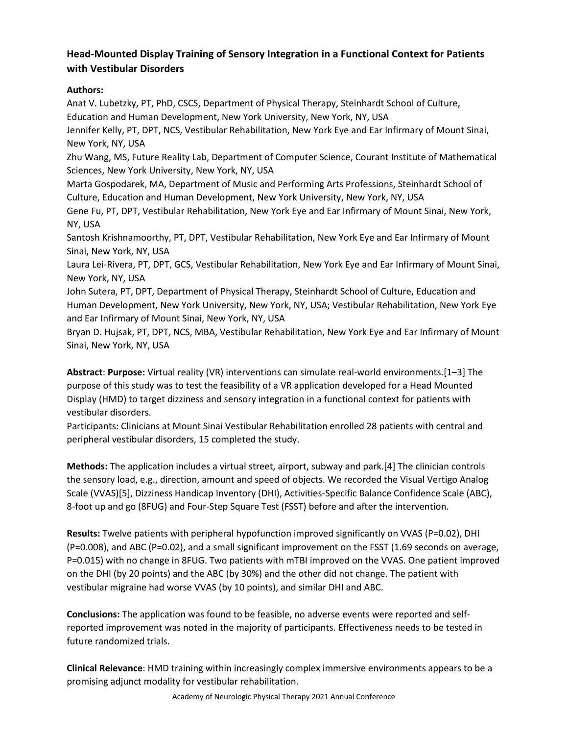# **Head-Mounted Display Training of Sensory Integration in a Functional Context for Patients with Vestibular Disorders**

## **Authors:**

Anat V. Lubetzky, PT, PhD, CSCS, Department of Physical Therapy, Steinhardt School of Culture, Education and Human Development, New York University, New York, NY, USA

Jennifer Kelly, PT, DPT, NCS, Vestibular Rehabilitation, New York Eye and Ear Infirmary of Mount Sinai, New York, NY, USA

Zhu Wang, MS, Future Reality Lab, Department of Computer Science, Courant Institute of Mathematical Sciences, New York University, New York, NY, USA

Marta Gospodarek, MA, Department of Music and Performing Arts Professions, Steinhardt School of Culture, Education and Human Development, New York University, New York, NY, USA

Gene Fu, PT, DPT, Vestibular Rehabilitation, New York Eye and Ear Infirmary of Mount Sinai, New York, NY, USA

Santosh Krishnamoorthy, PT, DPT, Vestibular Rehabilitation, New York Eye and Ear Infirmary of Mount Sinai, New York, NY, USA

Laura Lei-Rivera, PT, DPT, GCS, Vestibular Rehabilitation, New York Eye and Ear Infirmary of Mount Sinai, New York, NY, USA

John Sutera, PT, DPT, Department of Physical Therapy, Steinhardt School of Culture, Education and Human Development, New York University, New York, NY, USA; Vestibular Rehabilitation, New York Eye and Ear Infirmary of Mount Sinai, New York, NY, USA

Bryan D. Hujsak, PT, DPT, NCS, MBA, Vestibular Rehabilitation, New York Eye and Ear Infirmary of Mount Sinai, New York, NY, USA

**Abstract**: **Purpose:** Virtual reality (VR) interventions can simulate real-world environments.[1–3] The purpose of this study was to test the feasibility of a VR application developed for a Head Mounted Display (HMD) to target dizziness and sensory integration in a functional context for patients with vestibular disorders.

Participants: Clinicians at Mount Sinai Vestibular Rehabilitation enrolled 28 patients with central and peripheral vestibular disorders, 15 completed the study.

**Methods:** The application includes a virtual street, airport, subway and park.[4] The clinician controls the sensory load, e.g., direction, amount and speed of objects. We recorded the Visual Vertigo Analog Scale (VVAS)[5], Dizziness Handicap Inventory (DHI), Activities-Specific Balance Confidence Scale (ABC), 8-foot up and go (8FUG) and Four-Step Square Test (FSST) before and after the intervention.

**Results:** Twelve patients with peripheral hypofunction improved significantly on VVAS (P=0.02), DHI (P=0.008), and ABC (P=0.02), and a small significant improvement on the FSST (1.69 seconds on average, P=0.015) with no change in 8FUG. Two patients with mTBI improved on the VVAS. One patient improved on the DHI (by 20 points) and the ABC (by 30%) and the other did not change. The patient with vestibular migraine had worse VVAS (by 10 points), and similar DHI and ABC.

**Conclusions:** The application was found to be feasible, no adverse events were reported and selfreported improvement was noted in the majority of participants. Effectiveness needs to be tested in future randomized trials.

**Clinical Relevance**: HMD training within increasingly complex immersive environments appears to be a promising adjunct modality for vestibular rehabilitation.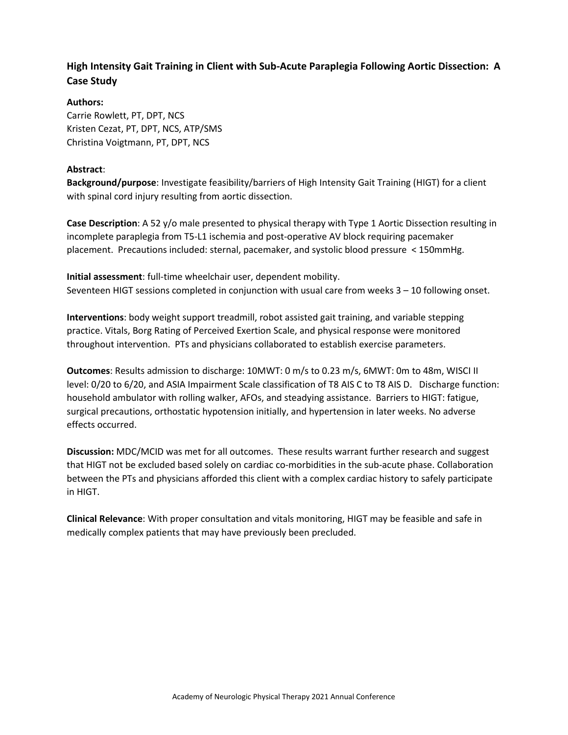# **High Intensity Gait Training in Client with Sub-Acute Paraplegia Following Aortic Dissection:  A Case Study**

## **Authors:**

Carrie Rowlett, PT, DPT, NCS Kristen Cezat, PT, DPT, NCS, ATP/SMS Christina Voigtmann, PT, DPT, NCS

## **Abstract**:

**Background/purpose**: Investigate feasibility/barriers of High Intensity Gait Training (HIGT) for a client with spinal cord injury resulting from aortic dissection.

**Case Description**: A 52 y/o male presented to physical therapy with Type 1 Aortic Dissection resulting in incomplete paraplegia from T5-L1 ischemia and post-operative AV block requiring pacemaker placement.  Precautions included: sternal, pacemaker, and systolic blood pressure < 150mmHg. 

**Initial assessment**: full-time wheelchair user, dependent mobility.  Seventeen HIGT sessions completed in conjunction with usual care from weeks 3 – 10 following onset.

**Interventions**: body weight support treadmill, robot assisted gait training, and variable stepping practice. Vitals, Borg Rating of Perceived Exertion Scale, and physical response were monitored throughout intervention.  PTs and physicians collaborated to establish exercise parameters.

**Outcomes**: Results admission to discharge: 10MWT: 0 m/s to 0.23 m/s, 6MWT: 0m to 48m, WISCI II level: 0/20 to 6/20, and ASIA Impairment Scale classification of T8 AIS C to T8 AIS D.   Discharge function: household ambulator with rolling walker, AFOs, and steadying assistance.  Barriers to HIGT: fatigue, surgical precautions, orthostatic hypotension initially, and hypertension in later weeks. No adverse effects occurred.

**Discussion:** MDC/MCID was met for all outcomes. These results warrant further research and suggest that HIGT not be excluded based solely on cardiac co-morbidities in the sub-acute phase. Collaboration between the PTs and physicians afforded this client with a complex cardiac history to safely participate in HIGT.

**Clinical Relevance**: With proper consultation and vitals monitoring, HIGT may be feasible and safe in medically complex patients that may have previously been precluded.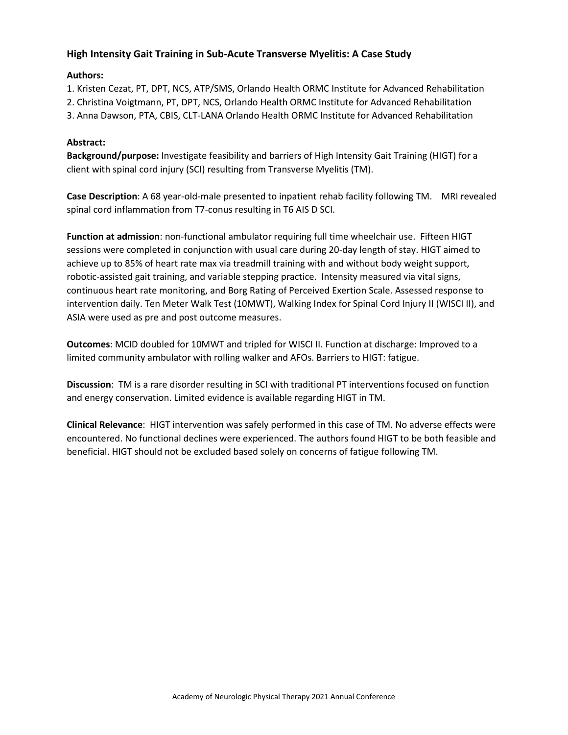## **High Intensity Gait Training in Sub-Acute Transverse Myelitis: A Case Study**

## **Authors:**

1. Kristen Cezat, PT, DPT, NCS, ATP/SMS, Orlando Health ORMC Institute for Advanced Rehabilitation

2. Christina Voigtmann, PT, DPT, NCS, Orlando Health ORMC Institute for Advanced Rehabilitation

3. Anna Dawson, PTA, CBIS, CLT-LANA Orlando Health ORMC Institute for Advanced Rehabilitation

## **Abstract:**

**Background/purpose:** Investigate feasibility and barriers of High Intensity Gait Training (HIGT) for a client with spinal cord injury (SCI) resulting from Transverse Myelitis (TM).

**Case Description**: A 68 year-old-male presented to inpatient rehab facility following TM.   MRI revealed spinal cord inflammation from T7-conus resulting in T6 AIS D SCI.

**Function at admission**: non-functional ambulator requiring full time wheelchair use. Fifteen HIGT sessions were completed in conjunction with usual care during 20-day length of stay. HIGT aimed to achieve up to 85% of heart rate max via treadmill training with and without body weight support, robotic-assisted gait training, and variable stepping practice.  Intensity measured via vital signs, continuous heart rate monitoring, and Borg Rating of Perceived Exertion Scale. Assessed response to intervention daily. Ten Meter Walk Test (10MWT), Walking Index for Spinal Cord Injury II (WISCI II), and ASIA were used as pre and post outcome measures.

**Outcomes**: MCID doubled for 10MWT and tripled for WISCI II. Function at discharge: Improved to a limited community ambulator with rolling walker and AFOs. Barriers to HIGT: fatigue.

**Discussion**: TM is a rare disorder resulting in SCI with traditional PT interventions focused on function and energy conservation. Limited evidence is available regarding HIGT in TM.

**Clinical Relevance**: HIGT intervention was safely performed in this case of TM. No adverse effects were encountered. No functional declines were experienced. The authors found HIGT to be both feasible and beneficial. HIGT should not be excluded based solely on concerns of fatigue following TM.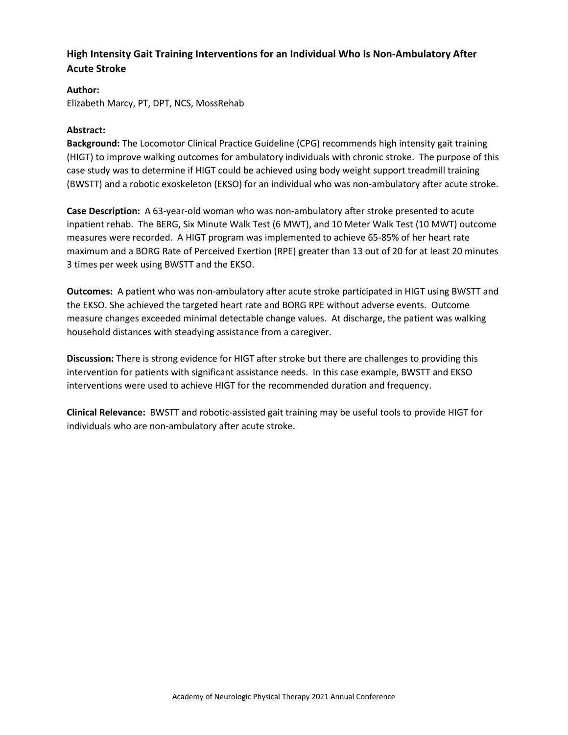# **High Intensity Gait Training Interventions for an Individual Who Is Non-Ambulatory After Acute Stroke**

## **Author:**

Elizabeth Marcy, PT, DPT, NCS, MossRehab

## **Abstract:**

**Background:** The Locomotor Clinical Practice Guideline (CPG) recommends high intensity gait training (HIGT) to improve walking outcomes for ambulatory individuals with chronic stroke. The purpose of this case study was to determine if HIGT could be achieved using body weight support treadmill training (BWSTT) and a robotic exoskeleton (EKSO) for an individual who was non-ambulatory after acute stroke.

**Case Description:** A 63-year-old woman who was non-ambulatory after stroke presented to acute inpatient rehab. The BERG, Six Minute Walk Test (6 MWT), and 10 Meter Walk Test (10 MWT) outcome measures were recorded. A HIGT program was implemented to achieve 65-85% of her heart rate maximum and a BORG Rate of Perceived Exertion (RPE) greater than 13 out of 20 for at least 20 minutes 3 times per week using BWSTT and the EKSO.

**Outcomes:** A patient who was non-ambulatory after acute stroke participated in HIGT using BWSTT and the EKSO. She achieved the targeted heart rate and BORG RPE without adverse events. Outcome measure changes exceeded minimal detectable change values. At discharge, the patient was walking household distances with steadying assistance from a caregiver.

**Discussion:** There is strong evidence for HIGT after stroke but there are challenges to providing this intervention for patients with significant assistance needs. In this case example, BWSTT and EKSO interventions were used to achieve HIGT for the recommended duration and frequency.

**Clinical Relevance:** BWSTT and robotic-assisted gait training may be useful tools to provide HIGT for individuals who are non-ambulatory after acute stroke.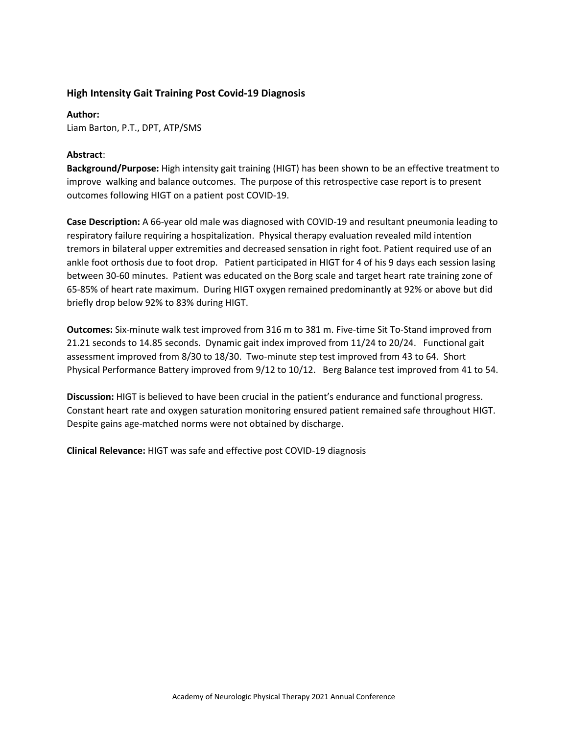#### **High Intensity Gait Training Post Covid-19 Diagnosis**

**Author:**  Liam Barton, P.T., DPT, ATP/SMS

#### **Abstract**:

**Background/Purpose:** High intensity gait training (HIGT) has been shown to be an effective treatment to improve walking and balance outcomes. The purpose of this retrospective case report is to present outcomes following HIGT on a patient post COVID-19.

**Case Description:** A 66-year old male was diagnosed with COVID-19 and resultant pneumonia leading to respiratory failure requiring a hospitalization. Physical therapy evaluation revealed mild intention tremors in bilateral upper extremities and decreased sensation in right foot. Patient required use of an ankle foot orthosis due to foot drop. Patient participated in HIGT for 4 of his 9 days each session lasing between 30-60 minutes. Patient was educated on the Borg scale and target heart rate training zone of 65-85% of heart rate maximum. During HIGT oxygen remained predominantly at 92% or above but did briefly drop below 92% to 83% during HIGT.

**Outcomes:** Six-minute walk test improved from 316 m to 381 m. Five-time Sit To-Stand improved from 21.21 seconds to 14.85 seconds. Dynamic gait index improved from 11/24 to 20/24. Functional gait assessment improved from 8/30 to 18/30. Two-minute step test improved from 43 to 64. Short Physical Performance Battery improved from 9/12 to 10/12. Berg Balance test improved from 41 to 54.

**Discussion:** HIGT is believed to have been crucial in the patient's endurance and functional progress. Constant heart rate and oxygen saturation monitoring ensured patient remained safe throughout HIGT. Despite gains age-matched norms were not obtained by discharge.

**Clinical Relevance:** HIGT was safe and effective post COVID-19 diagnosis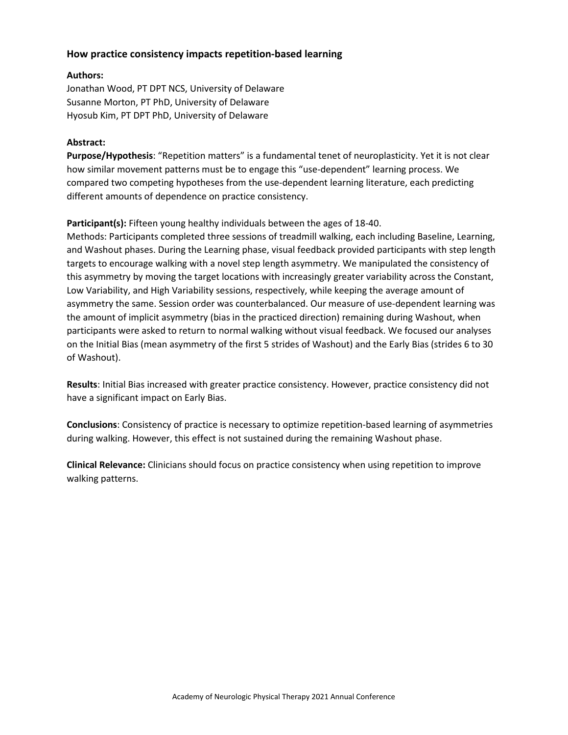## **How practice consistency impacts repetition-based learning**

#### **Authors:**

Jonathan Wood, PT DPT NCS, University of Delaware Susanne Morton, PT PhD, University of Delaware Hyosub Kim, PT DPT PhD, University of Delaware

#### **Abstract:**

**Purpose/Hypothesis**: "Repetition matters" is a fundamental tenet of neuroplasticity. Yet it is not clear how similar movement patterns must be to engage this "use-dependent" learning process. We compared two competing hypotheses from the use-dependent learning literature, each predicting different amounts of dependence on practice consistency.

**Participant(s):** Fifteen young healthy individuals between the ages of 18-40.

Methods: Participants completed three sessions of treadmill walking, each including Baseline, Learning, and Washout phases. During the Learning phase, visual feedback provided participants with step length targets to encourage walking with a novel step length asymmetry. We manipulated the consistency of this asymmetry by moving the target locations with increasingly greater variability across the Constant, Low Variability, and High Variability sessions, respectively, while keeping the average amount of asymmetry the same. Session order was counterbalanced. Our measure of use-dependent learning was the amount of implicit asymmetry (bias in the practiced direction) remaining during Washout, when participants were asked to return to normal walking without visual feedback. We focused our analyses on the Initial Bias (mean asymmetry of the first 5 strides of Washout) and the Early Bias (strides 6 to 30 of Washout).

**Results**: Initial Bias increased with greater practice consistency. However, practice consistency did not have a significant impact on Early Bias.

**Conclusions**: Consistency of practice is necessary to optimize repetition-based learning of asymmetries during walking. However, this effect is not sustained during the remaining Washout phase.

**Clinical Relevance:** Clinicians should focus on practice consistency when using repetition to improve walking patterns.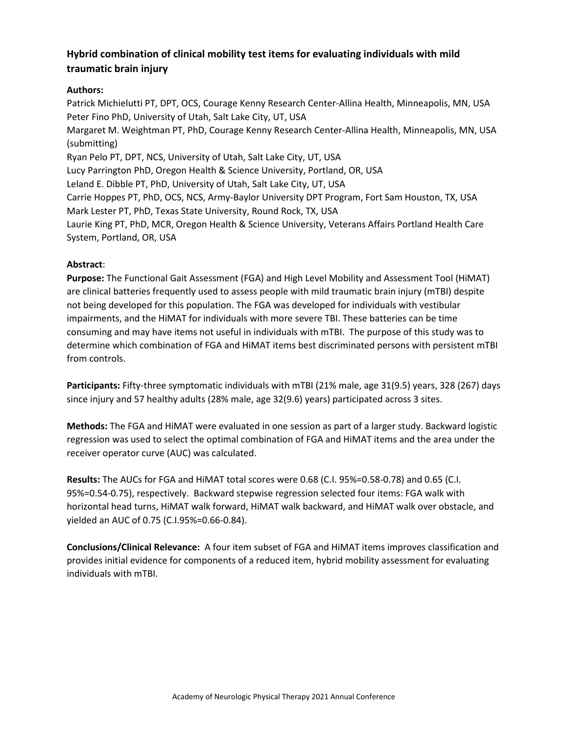# **Hybrid combination of clinical mobility test items for evaluating individuals with mild traumatic brain injury**

## **Authors:**

Patrick Michielutti PT, DPT, OCS, Courage Kenny Research Center-Allina Health, Minneapolis, MN, USA Peter Fino PhD, University of Utah, Salt Lake City, UT, USA Margaret M. Weightman PT, PhD, Courage Kenny Research Center-Allina Health, Minneapolis, MN, USA (submitting) Ryan Pelo PT, DPT, NCS, University of Utah, Salt Lake City, UT, USA Lucy Parrington PhD, Oregon Health & Science University, Portland, OR, USA Leland E. Dibble PT, PhD, University of Utah, Salt Lake City, UT, USA Carrie Hoppes PT, PhD, OCS, NCS, Army-Baylor University DPT Program, Fort Sam Houston, TX, USA Mark Lester PT, PhD, Texas State University, Round Rock, TX, USA Laurie King PT, PhD, MCR, Oregon Health & Science University, Veterans Affairs Portland Health Care System, Portland, OR, USA

## **Abstract**:

**Purpose:** The Functional Gait Assessment (FGA) and High Level Mobility and Assessment Tool (HiMAT) are clinical batteries frequently used to assess people with mild traumatic brain injury (mTBI) despite not being developed for this population. The FGA was developed for individuals with vestibular impairments, and the HiMAT for individuals with more severe TBI. These batteries can be time consuming and may have items not useful in individuals with mTBI. The purpose of this study was to determine which combination of FGA and HiMAT items best discriminated persons with persistent mTBI from controls.

**Participants:** Fifty-three symptomatic individuals with mTBI (21% male, age 31(9.5) years, 328 (267) days since injury and 57 healthy adults (28% male, age 32(9.6) years) participated across 3 sites.

**Methods:** The FGA and HiMAT were evaluated in one session as part of a larger study. Backward logistic regression was used to select the optimal combination of FGA and HiMAT items and the area under the receiver operator curve (AUC) was calculated.

**Results:** The AUCs for FGA and HiMAT total scores were 0.68 (C.I. 95%=0.58-0.78) and 0.65 (C.I. 95%=0.54-0.75), respectively. Backward stepwise regression selected four items: FGA walk with horizontal head turns, HiMAT walk forward, HiMAT walk backward, and HiMAT walk over obstacle, and yielded an AUC of 0.75 (C.I.95%=0.66-0.84).

**Conclusions/Clinical Relevance:** A four item subset of FGA and HiMAT items improves classification and provides initial evidence for components of a reduced item, hybrid mobility assessment for evaluating individuals with mTBI.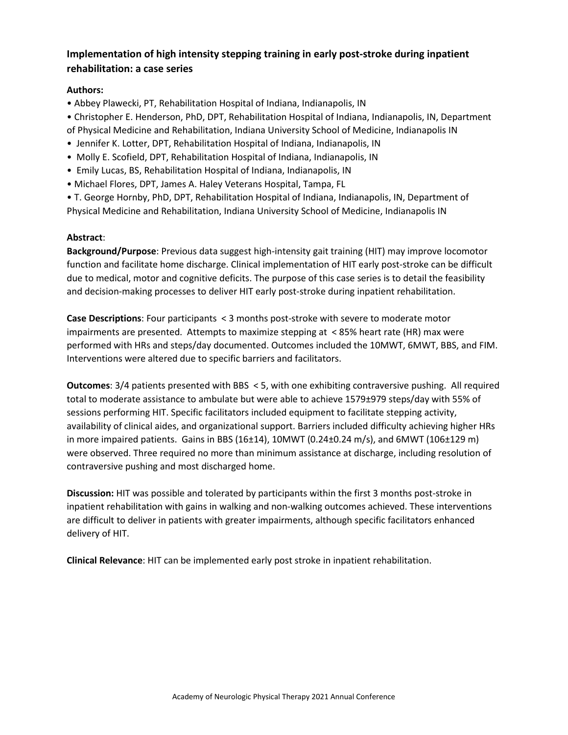# **Implementation of high intensity stepping training in early post-stroke during inpatient rehabilitation: a case series**

## **Authors:**

• Abbey Plawecki, PT, Rehabilitation Hospital of Indiana, Indianapolis, IN

• Christopher E. Henderson, PhD, DPT, Rehabilitation Hospital of Indiana, Indianapolis, IN, Department of Physical Medicine and Rehabilitation, Indiana University School of Medicine, Indianapolis IN

- Jennifer K. Lotter, DPT, Rehabilitation Hospital of Indiana, Indianapolis, IN
- Molly E. Scofield, DPT, Rehabilitation Hospital of Indiana, Indianapolis, IN
- Emily Lucas, BS, Rehabilitation Hospital of Indiana, Indianapolis, IN
- Michael Flores, DPT, James A. Haley Veterans Hospital, Tampa, FL

• T. George Hornby, PhD, DPT, Rehabilitation Hospital of Indiana, Indianapolis, IN, Department of Physical Medicine and Rehabilitation, Indiana University School of Medicine, Indianapolis IN

## **Abstract**:

**Background/Purpose**: Previous data suggest high-intensity gait training (HIT) may improve locomotor function and facilitate home discharge. Clinical implementation of HIT early post-stroke can be difficult due to medical, motor and cognitive deficits. The purpose of this case series is to detail the feasibility and decision-making processes to deliver HIT early post-stroke during inpatient rehabilitation.

**Case Descriptions**: Four participants < 3 months post-stroke with severe to moderate motor impairments are presented. Attempts to maximize stepping at < 85% heart rate (HR) max were performed with HRs and steps/day documented. Outcomes included the 10MWT, 6MWT, BBS, and FIM. Interventions were altered due to specific barriers and facilitators.

**Outcomes**: 3/4 patients presented with BBS < 5, with one exhibiting contraversive pushing. All required total to moderate assistance to ambulate but were able to achieve 1579±979 steps/day with 55% of sessions performing HIT. Specific facilitators included equipment to facilitate stepping activity, availability of clinical aides, and organizational support. Barriers included difficulty achieving higher HRs in more impaired patients. Gains in BBS (16±14), 10MWT (0.24±0.24 m/s), and 6MWT (106±129 m) were observed. Three required no more than minimum assistance at discharge, including resolution of contraversive pushing and most discharged home.

**Discussion:** HIT was possible and tolerated by participants within the first 3 months post-stroke in inpatient rehabilitation with gains in walking and non-walking outcomes achieved. These interventions are difficult to deliver in patients with greater impairments, although specific facilitators enhanced delivery of HIT.

**Clinical Relevance**: HIT can be implemented early post stroke in inpatient rehabilitation.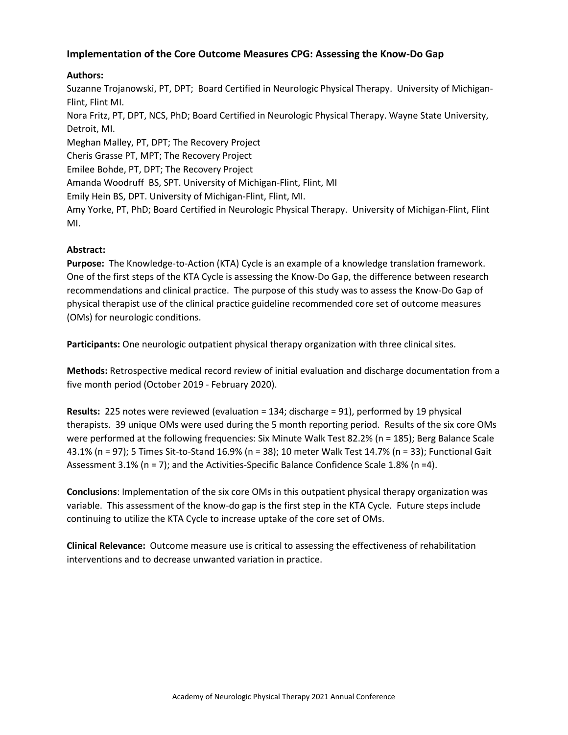## **Implementation of the Core Outcome Measures CPG: Assessing the Know-Do Gap**

## **Authors:**

Suzanne Trojanowski, PT, DPT; Board Certified in Neurologic Physical Therapy. University of Michigan-Flint, Flint MI. Nora Fritz, PT, DPT, NCS, PhD; Board Certified in Neurologic Physical Therapy. Wayne State University, Detroit, MI. Meghan Malley, PT, DPT; The Recovery Project Cheris Grasse PT, MPT; The Recovery Project Emilee Bohde, PT, DPT; The Recovery Project Amanda Woodruff BS, SPT. University of Michigan-Flint, Flint, MI Emily Hein BS, DPT. University of Michigan-Flint, Flint, MI. Amy Yorke, PT, PhD; Board Certified in Neurologic Physical Therapy. University of Michigan-Flint, Flint MI.

## **Abstract:**

**Purpose:** The Knowledge-to-Action (KTA) Cycle is an example of a knowledge translation framework. One of the first steps of the KTA Cycle is assessing the Know-Do Gap, the difference between research recommendations and clinical practice. The purpose of this study was to assess the Know-Do Gap of physical therapist use of the clinical practice guideline recommended core set of outcome measures (OMs) for neurologic conditions.

**Participants:** One neurologic outpatient physical therapy organization with three clinical sites.

**Methods:** Retrospective medical record review of initial evaluation and discharge documentation from a five month period (October 2019 - February 2020).

**Results:** 225 notes were reviewed (evaluation = 134; discharge = 91), performed by 19 physical therapists. 39 unique OMs were used during the 5 month reporting period. Results of the six core OMs were performed at the following frequencies: Six Minute Walk Test 82.2% (n = 185); Berg Balance Scale 43.1% (n = 97); 5 Times Sit-to-Stand 16.9% (n = 38); 10 meter Walk Test 14.7% (n = 33); Functional Gait Assessment 3.1% ( $n = 7$ ); and the Activities-Specific Balance Confidence Scale 1.8% ( $n = 4$ ).

**Conclusions**: Implementation of the six core OMs in this outpatient physical therapy organization was variable. This assessment of the know-do gap is the first step in the KTA Cycle. Future steps include continuing to utilize the KTA Cycle to increase uptake of the core set of OMs.

**Clinical Relevance:** Outcome measure use is critical to assessing the effectiveness of rehabilitation interventions and to decrease unwanted variation in practice.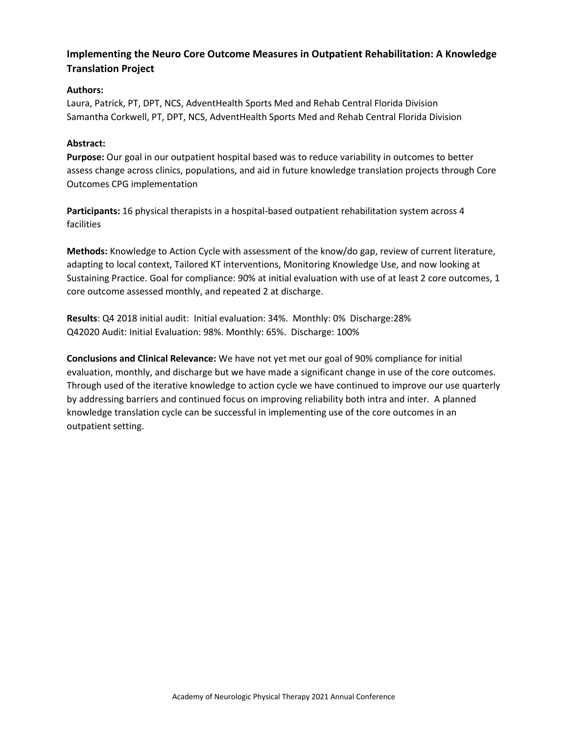## **Implementing the Neuro Core Outcome Measures in Outpatient Rehabilitation: A Knowledge Translation Project**

## **Authors:**

Laura, Patrick, PT, DPT, NCS, AdventHealth Sports Med and Rehab Central Florida Division Samantha Corkwell, PT, DPT, NCS, AdventHealth Sports Med and Rehab Central Florida Division

#### **Abstract:**

**Purpose:** Our goal in our outpatient hospital based was to reduce variability in outcomes to better assess change across clinics, populations, and aid in future knowledge translation projects through Core Outcomes CPG implementation

**Participants:** 16 physical therapists in a hospital-based outpatient rehabilitation system across 4 facilities

**Methods:** Knowledge to Action Cycle with assessment of the know/do gap, review of current literature, adapting to local context, Tailored KT interventions, Monitoring Knowledge Use, and now looking at Sustaining Practice. Goal for compliance: 90% at initial evaluation with use of at least 2 core outcomes, 1 core outcome assessed monthly, and repeated 2 at discharge.

**Results**: Q4 2018 initial audit: Initial evaluation: 34%. Monthly: 0% Discharge:28% Q42020 Audit: Initial Evaluation: 98%. Monthly: 65%. Discharge: 100%

**Conclusions and Clinical Relevance:** We have not yet met our goal of 90% compliance for initial evaluation, monthly, and discharge but we have made a significant change in use of the core outcomes. Through used of the iterative knowledge to action cycle we have continued to improve our use quarterly by addressing barriers and continued focus on improving reliability both intra and inter. A planned knowledge translation cycle can be successful in implementing use of the core outcomes in an outpatient setting.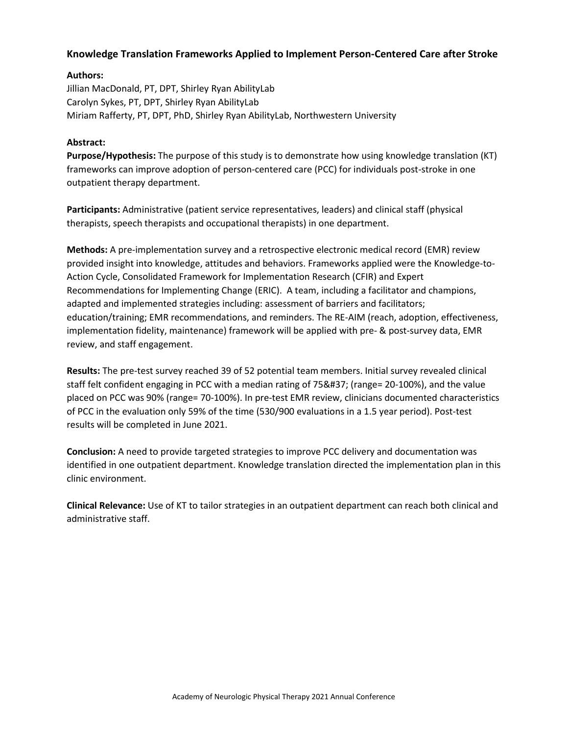## **Knowledge Translation Frameworks Applied to Implement Person-Centered Care after Stroke**

### **Authors:**

Jillian MacDonald, PT, DPT, Shirley Ryan AbilityLab Carolyn Sykes, PT, DPT, Shirley Ryan AbilityLab Miriam Rafferty, PT, DPT, PhD, Shirley Ryan AbilityLab, Northwestern University

#### **Abstract:**

**Purpose/Hypothesis:** The purpose of this study is to demonstrate how using knowledge translation (KT) frameworks can improve adoption of person-centered care (PCC) for individuals post-stroke in one outpatient therapy department.

**Participants:** Administrative (patient service representatives, leaders) and clinical staff (physical therapists, speech therapists and occupational therapists) in one department.

**Methods:** A pre-implementation survey and a retrospective electronic medical record (EMR) review provided insight into knowledge, attitudes and behaviors. Frameworks applied were the Knowledge-to-Action Cycle, Consolidated Framework for Implementation Research (CFIR) and Expert Recommendations for Implementing Change (ERIC). A team, including a facilitator and champions, adapted and implemented strategies including: assessment of barriers and facilitators; education/training; EMR recommendations, and reminders. The RE-AIM (reach, adoption, effectiveness, implementation fidelity, maintenance) framework will be applied with pre- & post-survey data, EMR review, and staff engagement.

**Results:** The pre-test survey reached 39 of 52 potential team members. Initial survey revealed clinical staff felt confident engaging in PCC with a median rating of 75% (range= 20-100%), and the value placed on PCC was 90% (range= 70-100%). In pre-test EMR review, clinicians documented characteristics of PCC in the evaluation only 59% of the time (530/900 evaluations in a 1.5 year period). Post-test results will be completed in June 2021.

**Conclusion:** A need to provide targeted strategies to improve PCC delivery and documentation was identified in one outpatient department. Knowledge translation directed the implementation plan in this clinic environment.

**Clinical Relevance:** Use of KT to tailor strategies in an outpatient department can reach both clinical and administrative staff.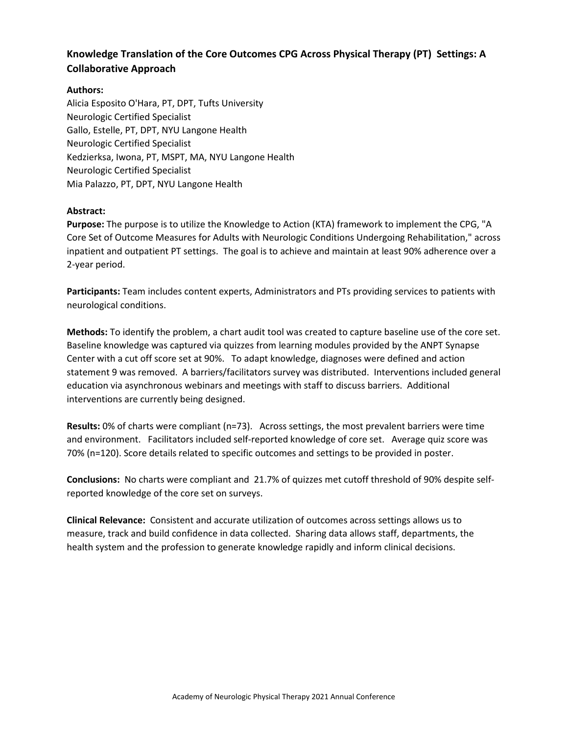# **Knowledge Translation of the Core Outcomes CPG Across Physical Therapy (PT) Settings: A Collaborative Approach**

### **Authors:**

Alicia Esposito O'Hara, PT, DPT, Tufts University Neurologic Certified Specialist Gallo, Estelle, PT, DPT, NYU Langone Health Neurologic Certified Specialist Kedzierksa, Iwona, PT, MSPT, MA, NYU Langone Health Neurologic Certified Specialist Mia Palazzo, PT, DPT, NYU Langone Health

#### **Abstract:**

**Purpose:** The purpose is to utilize the Knowledge to Action (KTA) framework to implement the CPG, "A Core Set of Outcome Measures for Adults with Neurologic Conditions Undergoing Rehabilitation," across inpatient and outpatient PT settings. The goal is to achieve and maintain at least 90% adherence over a 2-year period.

**Participants:** Team includes content experts, Administrators and PTs providing services to patients with neurological conditions.

**Methods:** To identify the problem, a chart audit tool was created to capture baseline use of the core set. Baseline knowledge was captured via quizzes from learning modules provided by the ANPT Synapse Center with a cut off score set at 90%. To adapt knowledge, diagnoses were defined and action statement 9 was removed. A barriers/facilitators survey was distributed. Interventions included general education via asynchronous webinars and meetings with staff to discuss barriers. Additional interventions are currently being designed.

**Results:** 0% of charts were compliant (n=73). Across settings, the most prevalent barriers were time and environment. Facilitators included self-reported knowledge of core set. Average quiz score was 70% (n=120). Score details related to specific outcomes and settings to be provided in poster.

**Conclusions:** No charts were compliant and 21.7% of quizzes met cutoff threshold of 90% despite selfreported knowledge of the core set on surveys.

**Clinical Relevance:** Consistent and accurate utilization of outcomes across settings allows us to measure, track and build confidence in data collected. Sharing data allows staff, departments, the health system and the profession to generate knowledge rapidly and inform clinical decisions.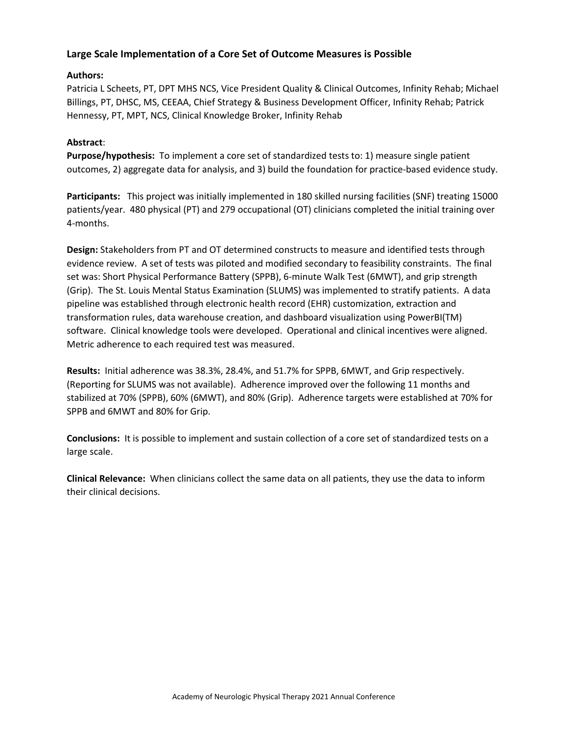## **Large Scale Implementation of a Core Set of Outcome Measures is Possible**

### **Authors:**

Patricia L Scheets, PT, DPT MHS NCS, Vice President Quality & Clinical Outcomes, Infinity Rehab; Michael Billings, PT, DHSC, MS, CEEAA, Chief Strategy & Business Development Officer, Infinity Rehab; Patrick Hennessy, PT, MPT, NCS, Clinical Knowledge Broker, Infinity Rehab

#### **Abstract**:

**Purpose/hypothesis:** To implement a core set of standardized tests to: 1) measure single patient outcomes, 2) aggregate data for analysis, and 3) build the foundation for practice-based evidence study.

**Participants:** This project was initially implemented in 180 skilled nursing facilities (SNF) treating 15000 patients/year. 480 physical (PT) and 279 occupational (OT) clinicians completed the initial training over 4-months.

**Design:** Stakeholders from PT and OT determined constructs to measure and identified tests through evidence review. A set of tests was piloted and modified secondary to feasibility constraints. The final set was: Short Physical Performance Battery (SPPB), 6-minute Walk Test (6MWT), and grip strength (Grip). The St. Louis Mental Status Examination (SLUMS) was implemented to stratify patients. A data pipeline was established through electronic health record (EHR) customization, extraction and transformation rules, data warehouse creation, and dashboard visualization using PowerBI(TM) software. Clinical knowledge tools were developed. Operational and clinical incentives were aligned. Metric adherence to each required test was measured.

**Results:** Initial adherence was 38.3%, 28.4%, and 51.7% for SPPB, 6MWT, and Grip respectively. (Reporting for SLUMS was not available). Adherence improved over the following 11 months and stabilized at 70% (SPPB), 60% (6MWT), and 80% (Grip). Adherence targets were established at 70% for SPPB and 6MWT and 80% for Grip.

**Conclusions:** It is possible to implement and sustain collection of a core set of standardized tests on a large scale.

**Clinical Relevance:** When clinicians collect the same data on all patients, they use the data to inform their clinical decisions.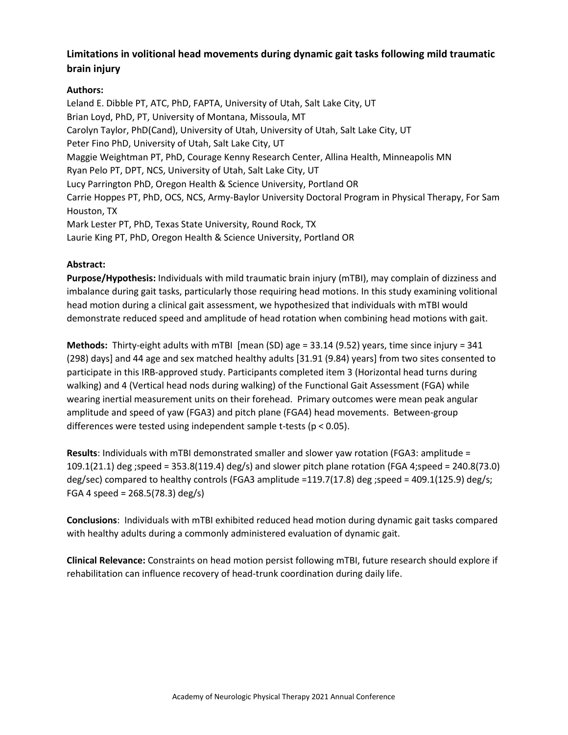## **Limitations in volitional head movements during dynamic gait tasks following mild traumatic brain injury**

## **Authors:**

Leland E. Dibble PT, ATC, PhD, FAPTA, University of Utah, Salt Lake City, UT Brian Loyd, PhD, PT, University of Montana, Missoula, MT Carolyn Taylor, PhD(Cand), University of Utah, University of Utah, Salt Lake City, UT Peter Fino PhD, University of Utah, Salt Lake City, UT Maggie Weightman PT, PhD, Courage Kenny Research Center, Allina Health, Minneapolis MN Ryan Pelo PT, DPT, NCS, University of Utah, Salt Lake City, UT Lucy Parrington PhD, Oregon Health & Science University, Portland OR Carrie Hoppes PT, PhD, OCS, NCS, Army-Baylor University Doctoral Program in Physical Therapy, For Sam Houston, TX Mark Lester PT, PhD, Texas State University, Round Rock, TX Laurie King PT, PhD, Oregon Health & Science University, Portland OR

## **Abstract:**

**Purpose/Hypothesis:** Individuals with mild traumatic brain injury (mTBI), may complain of dizziness and imbalance during gait tasks, particularly those requiring head motions. In this study examining volitional head motion during a clinical gait assessment, we hypothesized that individuals with mTBI would demonstrate reduced speed and amplitude of head rotation when combining head motions with gait.

**Methods:** Thirty-eight adults with mTBI [mean (SD) age = 33.14 (9.52) years, time since injury = 341 (298) days] and 44 age and sex matched healthy adults [31.91 (9.84) years] from two sites consented to participate in this IRB-approved study. Participants completed item 3 (Horizontal head turns during walking) and 4 (Vertical head nods during walking) of the Functional Gait Assessment (FGA) while wearing inertial measurement units on their forehead. Primary outcomes were mean peak angular amplitude and speed of yaw (FGA3) and pitch plane (FGA4) head movements. Between-group differences were tested using independent sample t-tests (p < 0.05).

**Results**: Individuals with mTBI demonstrated smaller and slower yaw rotation (FGA3: amplitude = 109.1(21.1) deg ;speed = 353.8(119.4) deg/s) and slower pitch plane rotation (FGA 4;speed = 240.8(73.0) deg/sec) compared to healthy controls (FGA3 amplitude =119.7(17.8) deg ;speed = 409.1(125.9) deg/s; FGA 4 speed = 268.5(78.3) deg/s)

**Conclusions**: Individuals with mTBI exhibited reduced head motion during dynamic gait tasks compared with healthy adults during a commonly administered evaluation of dynamic gait.

**Clinical Relevance:** Constraints on head motion persist following mTBI, future research should explore if rehabilitation can influence recovery of head-trunk coordination during daily life.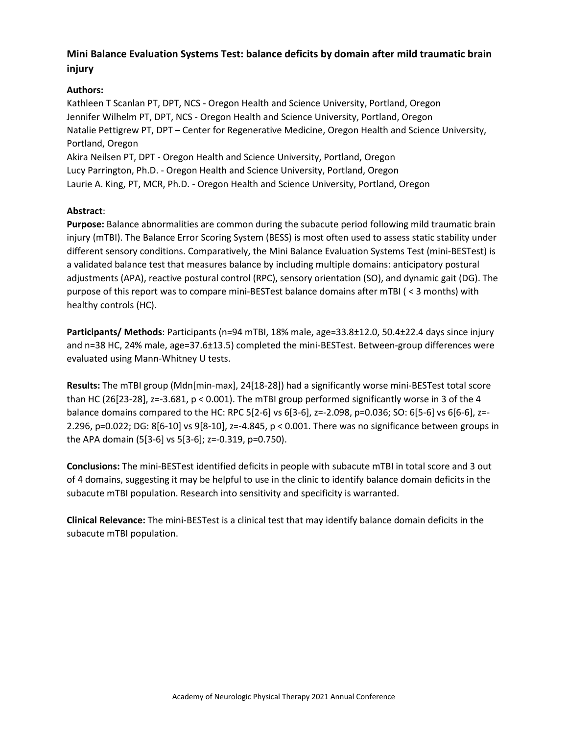# **Mini Balance Evaluation Systems Test: balance deficits by domain after mild traumatic brain injury**

## **Authors:**

Kathleen T Scanlan PT, DPT, NCS - Oregon Health and Science University, Portland, Oregon Jennifer Wilhelm PT, DPT, NCS - Oregon Health and Science University, Portland, Oregon Natalie Pettigrew PT, DPT – Center for Regenerative Medicine, Oregon Health and Science University, Portland, Oregon Akira Neilsen PT, DPT - Oregon Health and Science University, Portland, Oregon Lucy Parrington, Ph.D. - Oregon Health and Science University, Portland, Oregon

Laurie A. King, PT, MCR, Ph.D. - Oregon Health and Science University, Portland, Oregon

## **Abstract**:

**Purpose:** Balance abnormalities are common during the subacute period following mild traumatic brain injury (mTBI). The Balance Error Scoring System (BESS) is most often used to assess static stability under different sensory conditions. Comparatively, the Mini Balance Evaluation Systems Test (mini-BESTest) is a validated balance test that measures balance by including multiple domains: anticipatory postural adjustments (APA), reactive postural control (RPC), sensory orientation (SO), and dynamic gait (DG). The purpose of this report was to compare mini-BESTest balance domains after mTBI ( < 3 months) with healthy controls (HC).

**Participants/ Methods**: Participants (n=94 mTBI, 18% male, age=33.8±12.0, 50.4±22.4 days since injury and n=38 HC, 24% male, age=37.6±13.5) completed the mini-BESTest. Between-group differences were evaluated using Mann-Whitney U tests.

**Results:** The mTBI group (Mdn[min-max], 24[18-28]) had a significantly worse mini-BESTest total score than HC (26[23-28], z=-3.681, p < 0.001). The mTBI group performed significantly worse in 3 of the 4 balance domains compared to the HC: RPC 5[2-6] vs 6[3-6], z=-2.098, p=0.036; SO: 6[5-6] vs 6[6-6], z=- 2.296, p=0.022; DG: 8[6-10] vs 9[8-10], z=-4.845, p < 0.001. There was no significance between groups in the APA domain (5[3-6] vs 5[3-6]; z=-0.319, p=0.750).

**Conclusions:** The mini-BESTest identified deficits in people with subacute mTBI in total score and 3 out of 4 domains, suggesting it may be helpful to use in the clinic to identify balance domain deficits in the subacute mTBI population. Research into sensitivity and specificity is warranted.

**Clinical Relevance:** The mini-BESTest is a clinical test that may identify balance domain deficits in the subacute mTBI population.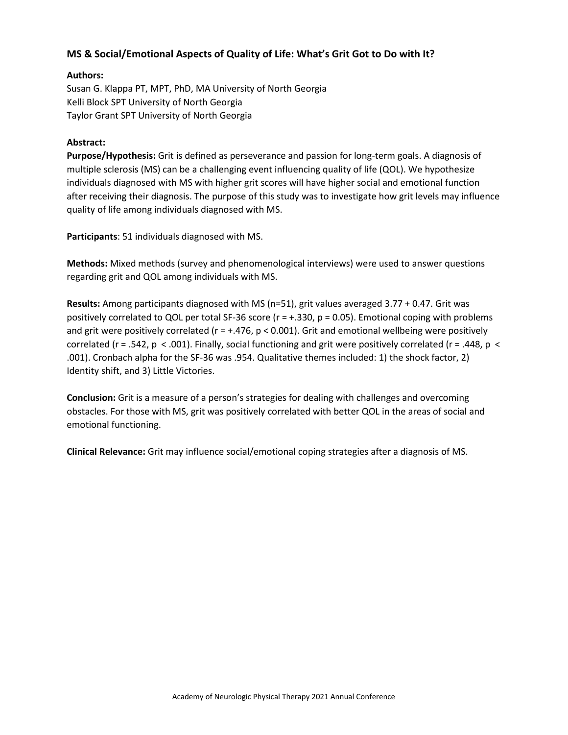## **MS & Social/Emotional Aspects of Quality of Life: What's Grit Got to Do with It?**

#### **Authors:**

Susan G. Klappa PT, MPT, PhD, MA University of North Georgia Kelli Block SPT University of North Georgia Taylor Grant SPT University of North Georgia

#### **Abstract:**

**Purpose/Hypothesis:** Grit is defined as perseverance and passion for long-term goals. A diagnosis of multiple sclerosis (MS) can be a challenging event influencing quality of life (QOL). We hypothesize individuals diagnosed with MS with higher grit scores will have higher social and emotional function after receiving their diagnosis. The purpose of this study was to investigate how grit levels may influence quality of life among individuals diagnosed with MS.

**Participants**: 51 individuals diagnosed with MS.

**Methods:** Mixed methods (survey and phenomenological interviews) were used to answer questions regarding grit and QOL among individuals with MS.

**Results:** Among participants diagnosed with MS (n=51), grit values averaged 3.77 + 0.47. Grit was positively correlated to QOL per total SF-36 score ( $r = +0.330$ ,  $p = 0.05$ ). Emotional coping with problems and grit were positively correlated ( $r = +0.476$ ,  $p < 0.001$ ). Grit and emotional wellbeing were positively correlated (r = .542,  $p < .001$ ). Finally, social functioning and grit were positively correlated (r = .448,  $p <$ .001). Cronbach alpha for the SF-36 was .954. Qualitative themes included: 1) the shock factor, 2) Identity shift, and 3) Little Victories.

**Conclusion:** Grit is a measure of a person's strategies for dealing with challenges and overcoming obstacles. For those with MS, grit was positively correlated with better QOL in the areas of social and emotional functioning.

**Clinical Relevance:** Grit may influence social/emotional coping strategies after a diagnosis of MS.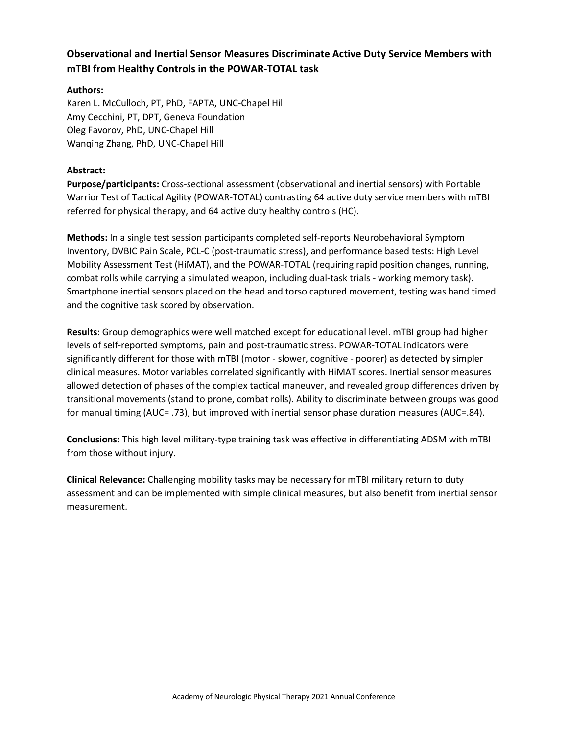# **Observational and Inertial Sensor Measures Discriminate Active Duty Service Members with mTBI from Healthy Controls in the POWAR-TOTAL task**

### **Authors:**

Karen L. McCulloch, PT, PhD, FAPTA, UNC-Chapel Hill Amy Cecchini, PT, DPT, Geneva Foundation Oleg Favorov, PhD, UNC-Chapel Hill Wanqing Zhang, PhD, UNC-Chapel Hill

### **Abstract:**

**Purpose/participants:** Cross-sectional assessment (observational and inertial sensors) with Portable Warrior Test of Tactical Agility (POWAR-TOTAL) contrasting 64 active duty service members with mTBI referred for physical therapy, and 64 active duty healthy controls (HC).

**Methods:** In a single test session participants completed self-reports Neurobehavioral Symptom Inventory, DVBIC Pain Scale, PCL-C (post-traumatic stress), and performance based tests: High Level Mobility Assessment Test (HiMAT), and the POWAR-TOTAL (requiring rapid position changes, running, combat rolls while carrying a simulated weapon, including dual-task trials - working memory task). Smartphone inertial sensors placed on the head and torso captured movement, testing was hand timed and the cognitive task scored by observation.

**Results**: Group demographics were well matched except for educational level. mTBI group had higher levels of self-reported symptoms, pain and post-traumatic stress. POWAR-TOTAL indicators were significantly different for those with mTBI (motor - slower, cognitive - poorer) as detected by simpler clinical measures. Motor variables correlated significantly with HiMAT scores. Inertial sensor measures allowed detection of phases of the complex tactical maneuver, and revealed group differences driven by transitional movements (stand to prone, combat rolls). Ability to discriminate between groups was good for manual timing (AUC= .73), but improved with inertial sensor phase duration measures (AUC=.84).

**Conclusions:** This high level military-type training task was effective in differentiating ADSM with mTBI from those without injury.

**Clinical Relevance:** Challenging mobility tasks may be necessary for mTBI military return to duty assessment and can be implemented with simple clinical measures, but also benefit from inertial sensor measurement.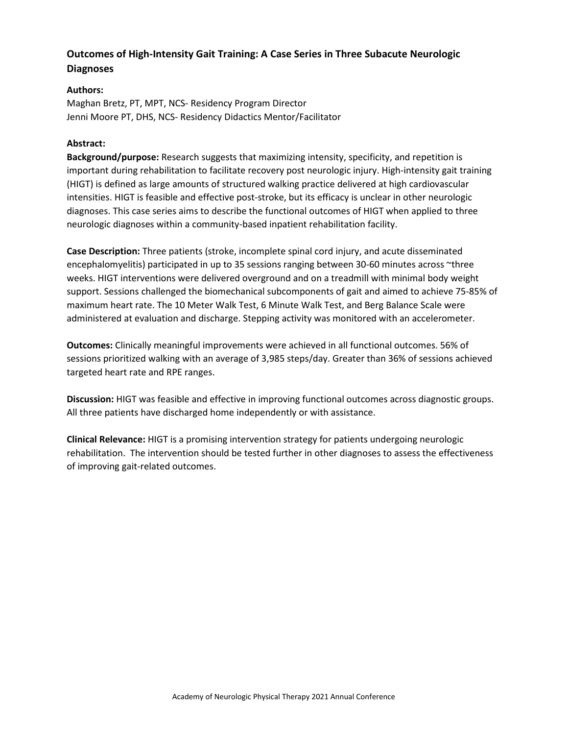# **Outcomes of High-Intensity Gait Training: A Case Series in Three Subacute Neurologic Diagnoses**

### **Authors:**

Maghan Bretz, PT, MPT, NCS- Residency Program Director Jenni Moore PT, DHS, NCS- Residency Didactics Mentor/Facilitator

#### **Abstract:**

**Background/purpose:** Research suggests that maximizing intensity, specificity, and repetition is important during rehabilitation to facilitate recovery post neurologic injury. High-intensity gait training (HIGT) is defined as large amounts of structured walking practice delivered at high cardiovascular intensities. HIGT is feasible and effective post-stroke, but its efficacy is unclear in other neurologic diagnoses. This case series aims to describe the functional outcomes of HIGT when applied to three neurologic diagnoses within a community-based inpatient rehabilitation facility.

**Case Description:** Three patients (stroke, incomplete spinal cord injury, and acute disseminated encephalomyelitis) participated in up to 35 sessions ranging between 30-60 minutes across ~three weeks. HIGT interventions were delivered overground and on a treadmill with minimal body weight support. Sessions challenged the biomechanical subcomponents of gait and aimed to achieve 75-85% of maximum heart rate. The 10 Meter Walk Test, 6 Minute Walk Test, and Berg Balance Scale were administered at evaluation and discharge. Stepping activity was monitored with an accelerometer.

**Outcomes:** Clinically meaningful improvements were achieved in all functional outcomes. 56% of sessions prioritized walking with an average of 3,985 steps/day. Greater than 36% of sessions achieved targeted heart rate and RPE ranges.

**Discussion:** HIGT was feasible and effective in improving functional outcomes across diagnostic groups. All three patients have discharged home independently or with assistance.

**Clinical Relevance:** HIGT is a promising intervention strategy for patients undergoing neurologic rehabilitation. The intervention should be tested further in other diagnoses to assess the effectiveness of improving gait-related outcomes.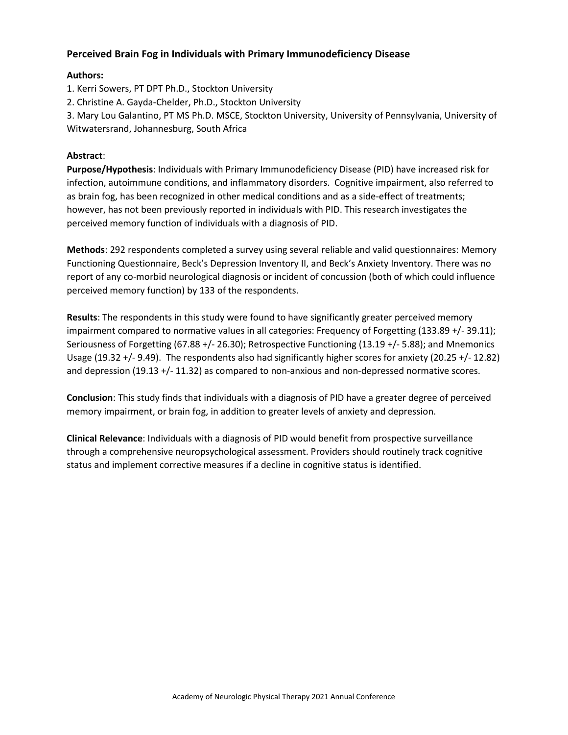## **Perceived Brain Fog in Individuals with Primary Immunodeficiency Disease**

### **Authors:**

- 1. Kerri Sowers, PT DPT Ph.D., Stockton University
- 2. Christine A. Gayda-Chelder, Ph.D., Stockton University

3. Mary Lou Galantino, PT MS Ph.D. MSCE, Stockton University, University of Pennsylvania, University of Witwatersrand, Johannesburg, South Africa

### **Abstract**:

**Purpose/Hypothesis**: Individuals with Primary Immunodeficiency Disease (PID) have increased risk for infection, autoimmune conditions, and inflammatory disorders. Cognitive impairment, also referred to as brain fog, has been recognized in other medical conditions and as a side-effect of treatments; however, has not been previously reported in individuals with PID. This research investigates the perceived memory function of individuals with a diagnosis of PID.

**Methods**: 292 respondents completed a survey using several reliable and valid questionnaires: Memory Functioning Questionnaire, Beck's Depression Inventory II, and Beck's Anxiety Inventory. There was no report of any co-morbid neurological diagnosis or incident of concussion (both of which could influence perceived memory function) by 133 of the respondents.

**Results**: The respondents in this study were found to have significantly greater perceived memory impairment compared to normative values in all categories: Frequency of Forgetting (133.89 +/- 39.11); Seriousness of Forgetting (67.88 +/- 26.30); Retrospective Functioning (13.19 +/- 5.88); and Mnemonics Usage (19.32 +/- 9.49). The respondents also had significantly higher scores for anxiety (20.25 +/- 12.82) and depression (19.13 +/- 11.32) as compared to non-anxious and non-depressed normative scores.

**Conclusion**: This study finds that individuals with a diagnosis of PID have a greater degree of perceived memory impairment, or brain fog, in addition to greater levels of anxiety and depression.

**Clinical Relevance**: Individuals with a diagnosis of PID would benefit from prospective surveillance through a comprehensive neuropsychological assessment. Providers should routinely track cognitive status and implement corrective measures if a decline in cognitive status is identified.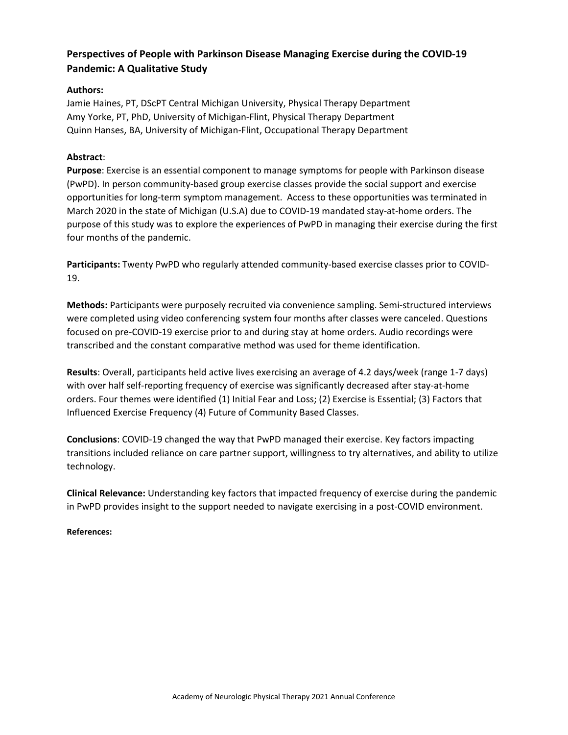# **Perspectives of People with Parkinson Disease Managing Exercise during the COVID-19 Pandemic: A Qualitative Study**

## **Authors:**

Jamie Haines, PT, DScPT Central Michigan University, Physical Therapy Department Amy Yorke, PT, PhD, University of Michigan-Flint, Physical Therapy Department Quinn Hanses, BA, University of Michigan-Flint, Occupational Therapy Department

#### **Abstract**:

**Purpose**: Exercise is an essential component to manage symptoms for people with Parkinson disease (PwPD). In person community-based group exercise classes provide the social support and exercise opportunities for long-term symptom management. Access to these opportunities was terminated in March 2020 in the state of Michigan (U.S.A) due to COVID-19 mandated stay-at-home orders. The purpose of this study was to explore the experiences of PwPD in managing their exercise during the first four months of the pandemic.

**Participants:** Twenty PwPD who regularly attended community-based exercise classes prior to COVID-19.

**Methods:** Participants were purposely recruited via convenience sampling. Semi-structured interviews were completed using video conferencing system four months after classes were canceled. Questions focused on pre-COVID-19 exercise prior to and during stay at home orders. Audio recordings were transcribed and the constant comparative method was used for theme identification.

**Results**: Overall, participants held active lives exercising an average of 4.2 days/week (range 1-7 days) with over half self-reporting frequency of exercise was significantly decreased after stay-at-home orders. Four themes were identified (1) Initial Fear and Loss; (2) Exercise is Essential; (3) Factors that Influenced Exercise Frequency (4) Future of Community Based Classes.

**Conclusions**: COVID-19 changed the way that PwPD managed their exercise. Key factors impacting transitions included reliance on care partner support, willingness to try alternatives, and ability to utilize technology.

**Clinical Relevance:** Understanding key factors that impacted frequency of exercise during the pandemic in PwPD provides insight to the support needed to navigate exercising in a post-COVID environment.

#### **References:**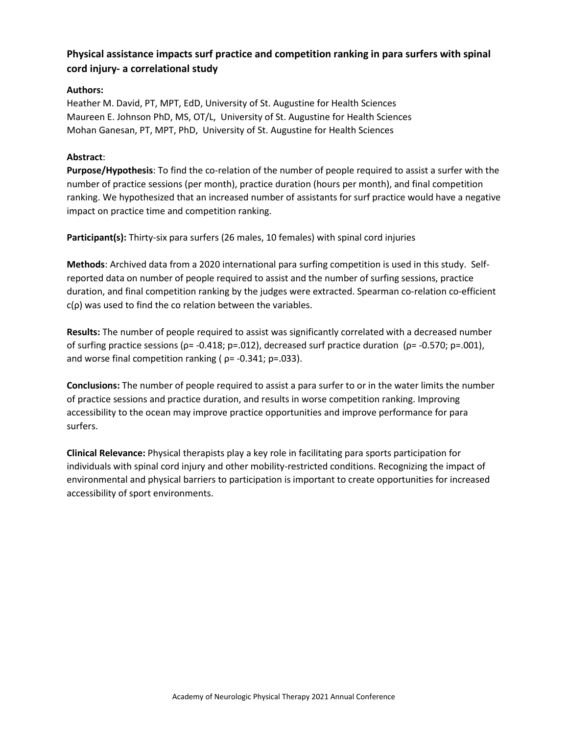# **Physical assistance impacts surf practice and competition ranking in para surfers with spinal cord injury- a correlational study**

## **Authors:**

Heather M. David, PT, MPT, EdD, University of St. Augustine for Health Sciences Maureen E. Johnson PhD, MS, OT/L, University of St. Augustine for Health Sciences Mohan Ganesan, PT, MPT, PhD, University of St. Augustine for Health Sciences

## **Abstract**:

**Purpose/Hypothesis**: To find the co-relation of the number of people required to assist a surfer with the number of practice sessions (per month), practice duration (hours per month), and final competition ranking. We hypothesized that an increased number of assistants for surf practice would have a negative impact on practice time and competition ranking.

**Participant(s):** Thirty-six para surfers (26 males, 10 females) with spinal cord injuries

**Methods**: Archived data from a 2020 international para surfing competition is used in this study. Selfreported data on number of people required to assist and the number of surfing sessions, practice duration, and final competition ranking by the judges were extracted. Spearman co-relation co-efficient  $c(\rho)$  was used to find the co relation between the variables.

**Results:** The number of people required to assist was significantly correlated with a decreased number of surfing practice sessions ( $ρ = -0.418$ ;  $p = .012$ ), decreased surf practice duration ( $ρ = -0.570$ ;  $p = .001$ ), and worse final competition ranking ( $\rho$ = -0.341; p=.033).

**Conclusions:** The number of people required to assist a para surfer to or in the water limits the number of practice sessions and practice duration, and results in worse competition ranking. Improving accessibility to the ocean may improve practice opportunities and improve performance for para surfers.

**Clinical Relevance:** Physical therapists play a key role in facilitating para sports participation for individuals with spinal cord injury and other mobility-restricted conditions. Recognizing the impact of environmental and physical barriers to participation is important to create opportunities for increased accessibility of sport environments.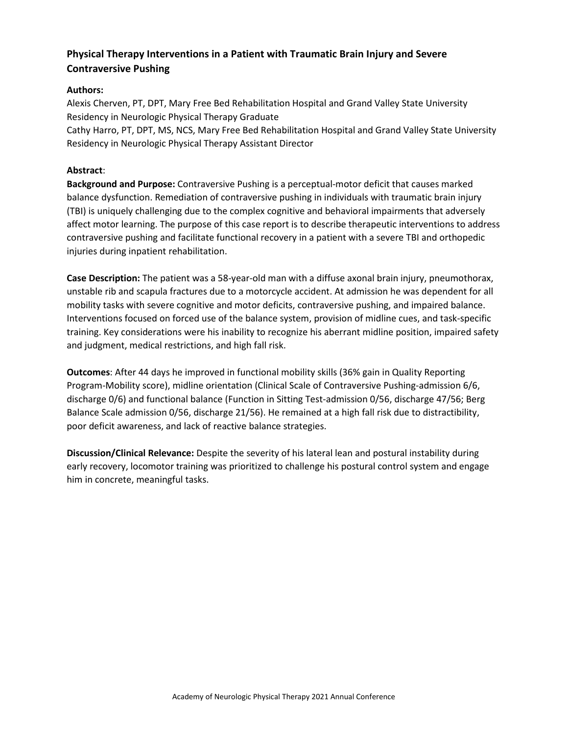# **Physical Therapy Interventions in a Patient with Traumatic Brain Injury and Severe Contraversive Pushing**

### **Authors:**

Alexis Cherven, PT, DPT, Mary Free Bed Rehabilitation Hospital and Grand Valley State University Residency in Neurologic Physical Therapy Graduate Cathy Harro, PT, DPT, MS, NCS, Mary Free Bed Rehabilitation Hospital and Grand Valley State University

Residency in Neurologic Physical Therapy Assistant Director

#### **Abstract**:

**Background and Purpose:** Contraversive Pushing is a perceptual-motor deficit that causes marked balance dysfunction. Remediation of contraversive pushing in individuals with traumatic brain injury (TBI) is uniquely challenging due to the complex cognitive and behavioral impairments that adversely affect motor learning. The purpose of this case report is to describe therapeutic interventions to address contraversive pushing and facilitate functional recovery in a patient with a severe TBI and orthopedic injuries during inpatient rehabilitation.

**Case Description:** The patient was a 58-year-old man with a diffuse axonal brain injury, pneumothorax, unstable rib and scapula fractures due to a motorcycle accident. At admission he was dependent for all mobility tasks with severe cognitive and motor deficits, contraversive pushing, and impaired balance. Interventions focused on forced use of the balance system, provision of midline cues, and task-specific training. Key considerations were his inability to recognize his aberrant midline position, impaired safety and judgment, medical restrictions, and high fall risk.

**Outcomes**: After 44 days he improved in functional mobility skills (36% gain in Quality Reporting Program-Mobility score), midline orientation (Clinical Scale of Contraversive Pushing-admission 6/6, discharge 0/6) and functional balance (Function in Sitting Test-admission 0/56, discharge 47/56; Berg Balance Scale admission 0/56, discharge 21/56). He remained at a high fall risk due to distractibility, poor deficit awareness, and lack of reactive balance strategies.

**Discussion/Clinical Relevance:** Despite the severity of his lateral lean and postural instability during early recovery, locomotor training was prioritized to challenge his postural control system and engage him in concrete, meaningful tasks.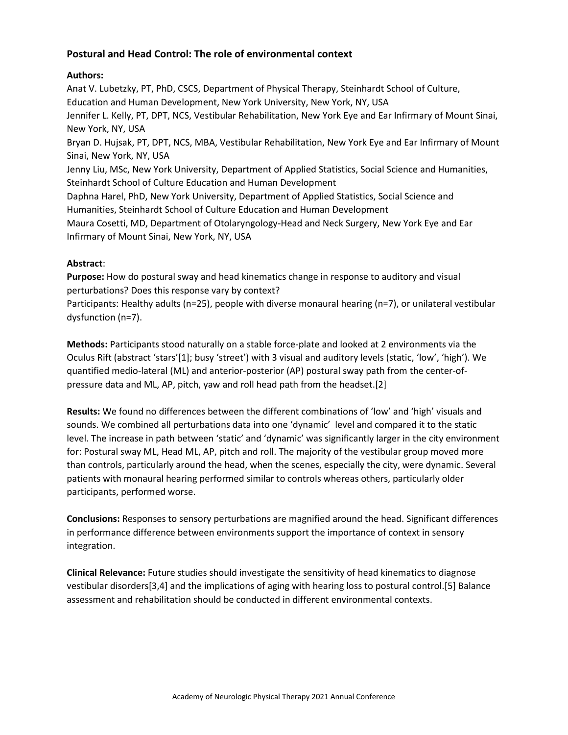## **Postural and Head Control: The role of environmental context**

## **Authors:**

Anat V. Lubetzky, PT, PhD, CSCS, Department of Physical Therapy, Steinhardt School of Culture, Education and Human Development, New York University, New York, NY, USA Jennifer L. Kelly, PT, DPT, NCS, Vestibular Rehabilitation, New York Eye and Ear Infirmary of Mount Sinai, New York, NY, USA Bryan D. Hujsak, PT, DPT, NCS, MBA, Vestibular Rehabilitation, New York Eye and Ear Infirmary of Mount Sinai, New York, NY, USA Jenny Liu, MSc, New York University, Department of Applied Statistics, Social Science and Humanities, Steinhardt School of Culture Education and Human Development Daphna Harel, PhD, New York University, Department of Applied Statistics, Social Science and Humanities, Steinhardt School of Culture Education and Human Development Maura Cosetti, MD, Department of Otolaryngology-Head and Neck Surgery, New York Eye and Ear Infirmary of Mount Sinai, New York, NY, USA

#### **Abstract**:

**Purpose:** How do postural sway and head kinematics change in response to auditory and visual perturbations? Does this response vary by context?

Participants: Healthy adults (n=25), people with diverse monaural hearing (n=7), or unilateral vestibular dysfunction (n=7).

**Methods:** Participants stood naturally on a stable force-plate and looked at 2 environments via the Oculus Rift (abstract 'stars'[1]; busy 'street') with 3 visual and auditory levels (static, 'low', 'high'). We quantified medio-lateral (ML) and anterior-posterior (AP) postural sway path from the center-ofpressure data and ML, AP, pitch, yaw and roll head path from the headset.[2]

**Results:** We found no differences between the different combinations of 'low' and 'high' visuals and sounds. We combined all perturbations data into one 'dynamic' level and compared it to the static level. The increase in path between 'static' and 'dynamic' was significantly larger in the city environment for: Postural sway ML, Head ML, AP, pitch and roll. The majority of the vestibular group moved more than controls, particularly around the head, when the scenes, especially the city, were dynamic. Several patients with monaural hearing performed similar to controls whereas others, particularly older participants, performed worse.

**Conclusions:** Responses to sensory perturbations are magnified around the head. Significant differences in performance difference between environments support the importance of context in sensory integration.

**Clinical Relevance:** Future studies should investigate the sensitivity of head kinematics to diagnose vestibular disorders[3,4] and the implications of aging with hearing loss to postural control.[5] Balance assessment and rehabilitation should be conducted in different environmental contexts.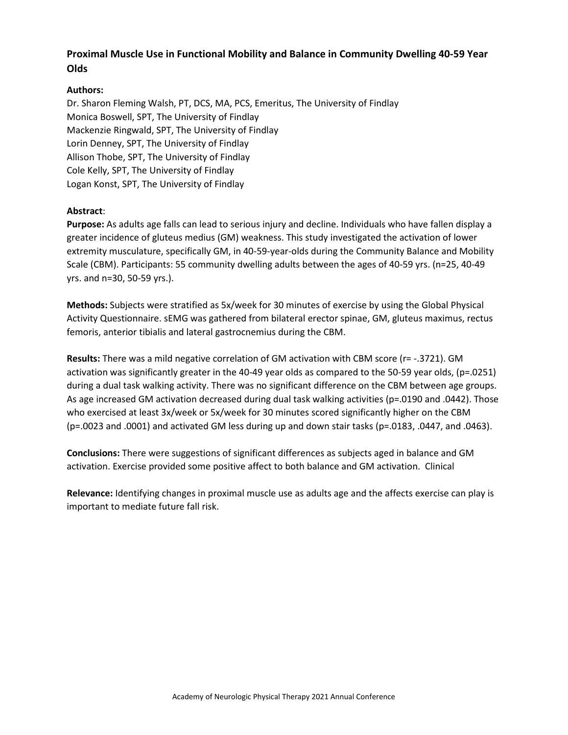## **Proximal Muscle Use in Functional Mobility and Balance in Community Dwelling 40-59 Year Olds**

### **Authors:**

Dr. Sharon Fleming Walsh, PT, DCS, MA, PCS, Emeritus, The University of Findlay Monica Boswell, SPT, The University of Findlay Mackenzie Ringwald, SPT, The University of Findlay Lorin Denney, SPT, The University of Findlay Allison Thobe, SPT, The University of Findlay Cole Kelly, SPT, The University of Findlay Logan Konst, SPT, The University of Findlay

#### **Abstract**:

**Purpose:** As adults age falls can lead to serious injury and decline. Individuals who have fallen display a greater incidence of gluteus medius (GM) weakness. This study investigated the activation of lower extremity musculature, specifically GM, in 40-59-year-olds during the Community Balance and Mobility Scale (CBM). Participants: 55 community dwelling adults between the ages of 40-59 yrs. (n=25, 40-49 yrs. and n=30, 50-59 yrs.).

**Methods:** Subjects were stratified as 5x/week for 30 minutes of exercise by using the Global Physical Activity Questionnaire. sEMG was gathered from bilateral erector spinae, GM, gluteus maximus, rectus femoris, anterior tibialis and lateral gastrocnemius during the CBM.

**Results:** There was a mild negative correlation of GM activation with CBM score (r= -.3721). GM activation was significantly greater in the 40-49 year olds as compared to the 50-59 year olds, (p=.0251) during a dual task walking activity. There was no significant difference on the CBM between age groups. As age increased GM activation decreased during dual task walking activities (p=.0190 and .0442). Those who exercised at least 3x/week or 5x/week for 30 minutes scored significantly higher on the CBM (p=.0023 and .0001) and activated GM less during up and down stair tasks (p=.0183, .0447, and .0463).

**Conclusions:** There were suggestions of significant differences as subjects aged in balance and GM activation. Exercise provided some positive affect to both balance and GM activation. Clinical

**Relevance:** Identifying changes in proximal muscle use as adults age and the affects exercise can play is important to mediate future fall risk.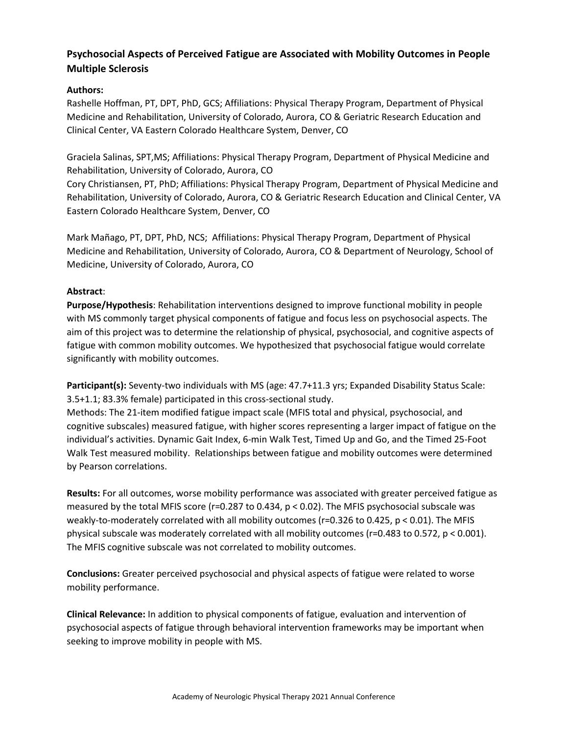## **Psychosocial Aspects of Perceived Fatigue are Associated with Mobility Outcomes in People Multiple Sclerosis**

## **Authors:**

Rashelle Hoffman, PT, DPT, PhD, GCS; Affiliations: Physical Therapy Program, Department of Physical Medicine and Rehabilitation, University of Colorado, Aurora, CO & Geriatric Research Education and Clinical Center, VA Eastern Colorado Healthcare System, Denver, CO

Graciela Salinas, SPT,MS; Affiliations: Physical Therapy Program, Department of Physical Medicine and Rehabilitation, University of Colorado, Aurora, CO

Cory Christiansen, PT, PhD; Affiliations: Physical Therapy Program, Department of Physical Medicine and Rehabilitation, University of Colorado, Aurora, CO & Geriatric Research Education and Clinical Center, VA Eastern Colorado Healthcare System, Denver, CO

Mark Mañago, PT, DPT, PhD, NCS; Affiliations: Physical Therapy Program, Department of Physical Medicine and Rehabilitation, University of Colorado, Aurora, CO & Department of Neurology, School of Medicine, University of Colorado, Aurora, CO

## **Abstract**:

**Purpose/Hypothesis**: Rehabilitation interventions designed to improve functional mobility in people with MS commonly target physical components of fatigue and focus less on psychosocial aspects. The aim of this project was to determine the relationship of physical, psychosocial, and cognitive aspects of fatigue with common mobility outcomes. We hypothesized that psychosocial fatigue would correlate significantly with mobility outcomes.

**Participant(s):** Seventy-two individuals with MS (age: 47.7+11.3 yrs; Expanded Disability Status Scale: 3.5+1.1; 83.3% female) participated in this cross-sectional study.

Methods: The 21-item modified fatigue impact scale (MFIS total and physical, psychosocial, and cognitive subscales) measured fatigue, with higher scores representing a larger impact of fatigue on the individual's activities. Dynamic Gait Index, 6-min Walk Test, Timed Up and Go, and the Timed 25-Foot Walk Test measured mobility. Relationships between fatigue and mobility outcomes were determined by Pearson correlations.

**Results:** For all outcomes, worse mobility performance was associated with greater perceived fatigue as measured by the total MFIS score (r=0.287 to 0.434, p < 0.02). The MFIS psychosocial subscale was weakly-to-moderately correlated with all mobility outcomes (r=0.326 to 0.425, p < 0.01). The MFIS physical subscale was moderately correlated with all mobility outcomes (r=0.483 to 0.572, p < 0.001). The MFIS cognitive subscale was not correlated to mobility outcomes.

**Conclusions:** Greater perceived psychosocial and physical aspects of fatigue were related to worse mobility performance.

**Clinical Relevance:** In addition to physical components of fatigue, evaluation and intervention of psychosocial aspects of fatigue through behavioral intervention frameworks may be important when seeking to improve mobility in people with MS.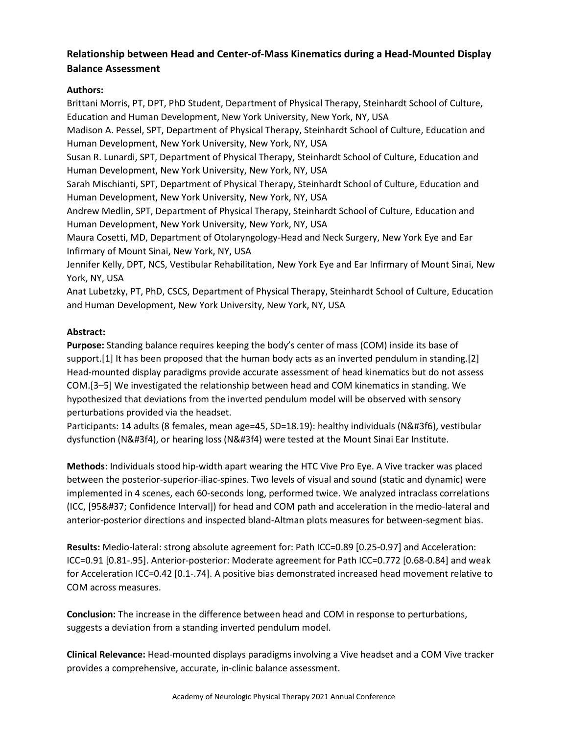# **Relationship between Head and Center-of-Mass Kinematics during a Head-Mounted Display Balance Assessment**

## **Authors:**

Brittani Morris, PT, DPT, PhD Student, Department of Physical Therapy, Steinhardt School of Culture, Education and Human Development, New York University, New York, NY, USA

Madison A. Pessel, SPT, Department of Physical Therapy, Steinhardt School of Culture, Education and Human Development, New York University, New York, NY, USA

Susan R. Lunardi, SPT, Department of Physical Therapy, Steinhardt School of Culture, Education and Human Development, New York University, New York, NY, USA

Sarah Mischianti, SPT, Department of Physical Therapy, Steinhardt School of Culture, Education and Human Development, New York University, New York, NY, USA

Andrew Medlin, SPT, Department of Physical Therapy, Steinhardt School of Culture, Education and Human Development, New York University, New York, NY, USA

Maura Cosetti, MD, Department of Otolaryngology-Head and Neck Surgery, New York Eye and Ear Infirmary of Mount Sinai, New York, NY, USA

Jennifer Kelly, DPT, NCS, Vestibular Rehabilitation, New York Eye and Ear Infirmary of Mount Sinai, New York, NY, USA

Anat Lubetzky, PT, PhD, CSCS, Department of Physical Therapy, Steinhardt School of Culture, Education and Human Development, New York University, New York, NY, USA

## **Abstract:**

**Purpose:** Standing balance requires keeping the body's center of mass (COM) inside its base of support.[1] It has been proposed that the human body acts as an inverted pendulum in standing.[2] Head-mounted display paradigms provide accurate assessment of head kinematics but do not assess COM.[3–5] We investigated the relationship between head and COM kinematics in standing. We hypothesized that deviations from the inverted pendulum model will be observed with sensory perturbations provided via the headset.

Participants: 14 adults (8 females, mean age=45, SD=18.19): healthy individuals (N&#3f6), vestibular dysfunction (N&#3f4), or hearing loss (N&#3f4) were tested at the Mount Sinai Ear Institute.

**Methods**: Individuals stood hip-width apart wearing the HTC Vive Pro Eye. A Vive tracker was placed between the posterior-superior-iliac-spines. Two levels of visual and sound (static and dynamic) were implemented in 4 scenes, each 60-seconds long, performed twice. We analyzed intraclass correlations (ICC, [95% Confidence Interval]) for head and COM path and acceleration in the medio-lateral and anterior-posterior directions and inspected bland-Altman plots measures for between-segment bias.

**Results:** Medio-lateral: strong absolute agreement for: Path ICC=0.89 [0.25-0.97] and Acceleration: ICC=0.91 [0.81-.95]. Anterior-posterior: Moderate agreement for Path ICC=0.772 [0.68-0.84] and weak for Acceleration ICC=0.42 [0.1-.74]. A positive bias demonstrated increased head movement relative to COM across measures.

**Conclusion:** The increase in the difference between head and COM in response to perturbations, suggests a deviation from a standing inverted pendulum model.

**Clinical Relevance:** Head-mounted displays paradigms involving a Vive headset and a COM Vive tracker provides a comprehensive, accurate, in-clinic balance assessment.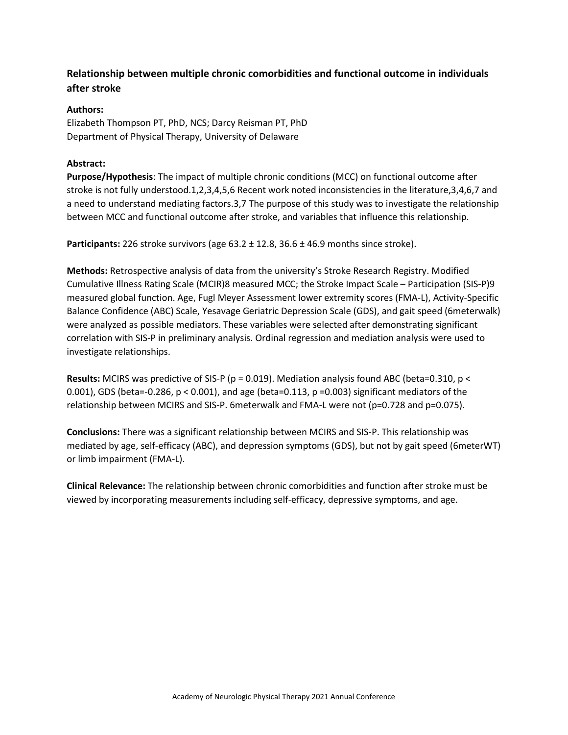# **Relationship between multiple chronic comorbidities and functional outcome in individuals after stroke**

## **Authors:**

Elizabeth Thompson PT, PhD, NCS; Darcy Reisman PT, PhD Department of Physical Therapy, University of Delaware

### **Abstract:**

**Purpose/Hypothesis**: The impact of multiple chronic conditions (MCC) on functional outcome after stroke is not fully understood.1,2,3,4,5,6 Recent work noted inconsistencies in the literature,3,4,6,7 and a need to understand mediating factors.3,7 The purpose of this study was to investigate the relationship between MCC and functional outcome after stroke, and variables that influence this relationship.

**Participants:** 226 stroke survivors (age 63.2 ± 12.8, 36.6 ± 46.9 months since stroke).

**Methods:** Retrospective analysis of data from the university's Stroke Research Registry. Modified Cumulative Illness Rating Scale (MCIR)8 measured MCC; the Stroke Impact Scale – Participation (SIS-P)9 measured global function. Age, Fugl Meyer Assessment lower extremity scores (FMA-L), Activity-Specific Balance Confidence (ABC) Scale, Yesavage Geriatric Depression Scale (GDS), and gait speed (6meterwalk) were analyzed as possible mediators. These variables were selected after demonstrating significant correlation with SIS-P in preliminary analysis. Ordinal regression and mediation analysis were used to investigate relationships.

**Results:** MCIRS was predictive of SIS-P (p = 0.019). Mediation analysis found ABC (beta=0.310, p < 0.001), GDS (beta=-0.286,  $p < 0.001$ ), and age (beta=0.113,  $p = 0.003$ ) significant mediators of the relationship between MCIRS and SIS-P. 6meterwalk and FMA-L were not (p=0.728 and p=0.075).

**Conclusions:** There was a significant relationship between MCIRS and SIS-P. This relationship was mediated by age, self-efficacy (ABC), and depression symptoms (GDS), but not by gait speed (6meterWT) or limb impairment (FMA-L).

**Clinical Relevance:** The relationship between chronic comorbidities and function after stroke must be viewed by incorporating measurements including self-efficacy, depressive symptoms, and age.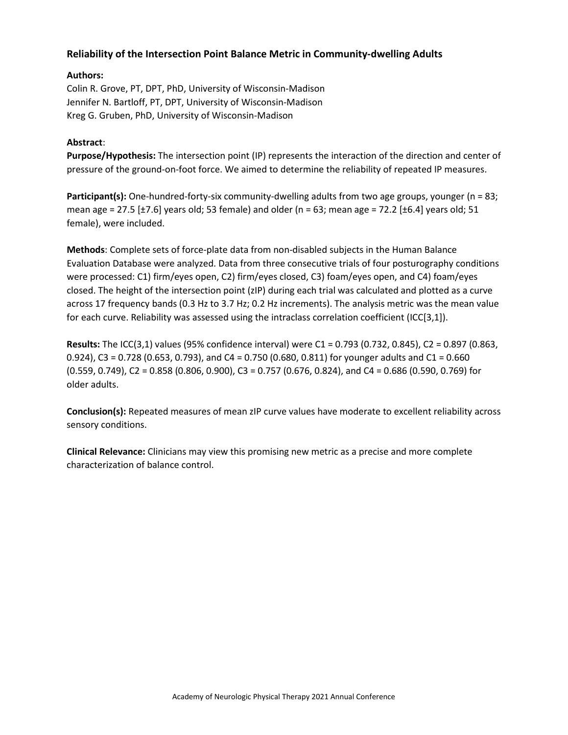## **Reliability of the Intersection Point Balance Metric in Community-dwelling Adults**

### **Authors:**

Colin R. Grove, PT, DPT, PhD, University of Wisconsin-Madison Jennifer N. Bartloff, PT, DPT, University of Wisconsin-Madison Kreg G. Gruben, PhD, University of Wisconsin-Madison

#### **Abstract**:

**Purpose/Hypothesis:** The intersection point (IP) represents the interaction of the direction and center of pressure of the ground-on-foot force. We aimed to determine the reliability of repeated IP measures.

Participant(s): One-hundred-forty-six community-dwelling adults from two age groups, younger (n = 83; mean age = 27.5 [ $\pm$ 7.6] years old; 53 female) and older (n = 63; mean age = 72.2 [ $\pm$ 6.4] years old; 51 female), were included.

**Methods**: Complete sets of force-plate data from non-disabled subjects in the Human Balance Evaluation Database were analyzed. Data from three consecutive trials of four posturography conditions were processed: C1) firm/eyes open, C2) firm/eyes closed, C3) foam/eyes open, and C4) foam/eyes closed. The height of the intersection point (zIP) during each trial was calculated and plotted as a curve across 17 frequency bands (0.3 Hz to 3.7 Hz; 0.2 Hz increments). The analysis metric was the mean value for each curve. Reliability was assessed using the intraclass correlation coefficient (ICC[3,1]).

**Results:** The ICC(3,1) values (95% confidence interval) were C1 = 0.793 (0.732, 0.845), C2 = 0.897 (0.863, 0.924), C3 = 0.728 (0.653, 0.793), and C4 = 0.750 (0.680, 0.811) for younger adults and C1 = 0.660 (0.559, 0.749), C2 = 0.858 (0.806, 0.900), C3 = 0.757 (0.676, 0.824), and C4 = 0.686 (0.590, 0.769) for older adults.

**Conclusion(s):** Repeated measures of mean zIP curve values have moderate to excellent reliability across sensory conditions.

**Clinical Relevance:** Clinicians may view this promising new metric as a precise and more complete characterization of balance control.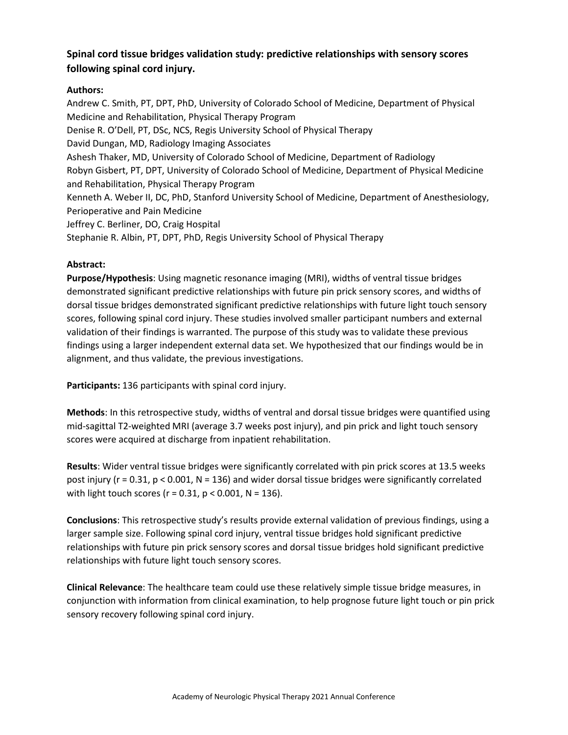# **Spinal cord tissue bridges validation study: predictive relationships with sensory scores following spinal cord injury.**

## **Authors:**

Andrew C. Smith, PT, DPT, PhD, University of Colorado School of Medicine, Department of Physical Medicine and Rehabilitation, Physical Therapy Program Denise R. O'Dell, PT, DSc, NCS, Regis University School of Physical Therapy David Dungan, MD, Radiology Imaging Associates Ashesh Thaker, MD, University of Colorado School of Medicine, Department of Radiology Robyn Gisbert, PT, DPT, University of Colorado School of Medicine, Department of Physical Medicine and Rehabilitation, Physical Therapy Program Kenneth A. Weber II, DC, PhD, Stanford University School of Medicine, Department of Anesthesiology, Perioperative and Pain Medicine Jeffrey C. Berliner, DO, Craig Hospital Stephanie R. Albin, PT, DPT, PhD, Regis University School of Physical Therapy

#### **Abstract:**

**Purpose/Hypothesis**: Using magnetic resonance imaging (MRI), widths of ventral tissue bridges demonstrated significant predictive relationships with future pin prick sensory scores, and widths of dorsal tissue bridges demonstrated significant predictive relationships with future light touch sensory scores, following spinal cord injury. These studies involved smaller participant numbers and external validation of their findings is warranted. The purpose of this study was to validate these previous findings using a larger independent external data set. We hypothesized that our findings would be in alignment, and thus validate, the previous investigations.

**Participants:** 136 participants with spinal cord injury.

**Methods**: In this retrospective study, widths of ventral and dorsal tissue bridges were quantified using mid-sagittal T2-weighted MRI (average 3.7 weeks post injury), and pin prick and light touch sensory scores were acquired at discharge from inpatient rehabilitation.

**Results**: Wider ventral tissue bridges were significantly correlated with pin prick scores at 13.5 weeks post injury ( $r = 0.31$ ,  $p < 0.001$ ,  $N = 136$ ) and wider dorsal tissue bridges were significantly correlated with light touch scores ( $r = 0.31$ ,  $p < 0.001$ ,  $N = 136$ ).

**Conclusions**: This retrospective study's results provide external validation of previous findings, using a larger sample size. Following spinal cord injury, ventral tissue bridges hold significant predictive relationships with future pin prick sensory scores and dorsal tissue bridges hold significant predictive relationships with future light touch sensory scores.

**Clinical Relevance**: The healthcare team could use these relatively simple tissue bridge measures, in conjunction with information from clinical examination, to help prognose future light touch or pin prick sensory recovery following spinal cord injury.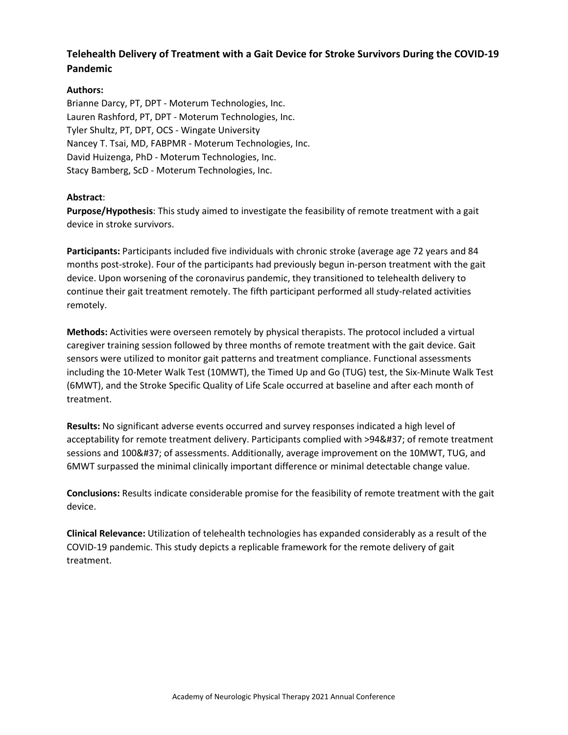# **Telehealth Delivery of Treatment with a Gait Device for Stroke Survivors During the COVID-19 Pandemic**

## **Authors:**

Brianne Darcy, PT, DPT - Moterum Technologies, Inc. Lauren Rashford, PT, DPT - Moterum Technologies, Inc. Tyler Shultz, PT, DPT, OCS - Wingate University Nancey T. Tsai, MD, FABPMR - Moterum Technologies, Inc. David Huizenga, PhD - Moterum Technologies, Inc. Stacy Bamberg, ScD - Moterum Technologies, Inc.

#### **Abstract**:

**Purpose/Hypothesis**: This study aimed to investigate the feasibility of remote treatment with a gait device in stroke survivors.

**Participants:** Participants included five individuals with chronic stroke (average age 72 years and 84 months post-stroke). Four of the participants had previously begun in-person treatment with the gait device. Upon worsening of the coronavirus pandemic, they transitioned to telehealth delivery to continue their gait treatment remotely. The fifth participant performed all study-related activities remotely.

**Methods:** Activities were overseen remotely by physical therapists. The protocol included a virtual caregiver training session followed by three months of remote treatment with the gait device. Gait sensors were utilized to monitor gait patterns and treatment compliance. Functional assessments including the 10-Meter Walk Test (10MWT), the Timed Up and Go (TUG) test, the Six-Minute Walk Test (6MWT), and the Stroke Specific Quality of Life Scale occurred at baseline and after each month of treatment.

**Results:** No significant adverse events occurred and survey responses indicated a high level of acceptability for remote treatment delivery. Participants complied with >94% of remote treatment sessions and 100% of assessments. Additionally, average improvement on the 10MWT, TUG, and 6MWT surpassed the minimal clinically important difference or minimal detectable change value.

**Conclusions:** Results indicate considerable promise for the feasibility of remote treatment with the gait device.

**Clinical Relevance:** Utilization of telehealth technologies has expanded considerably as a result of the COVID-19 pandemic. This study depicts a replicable framework for the remote delivery of gait treatment.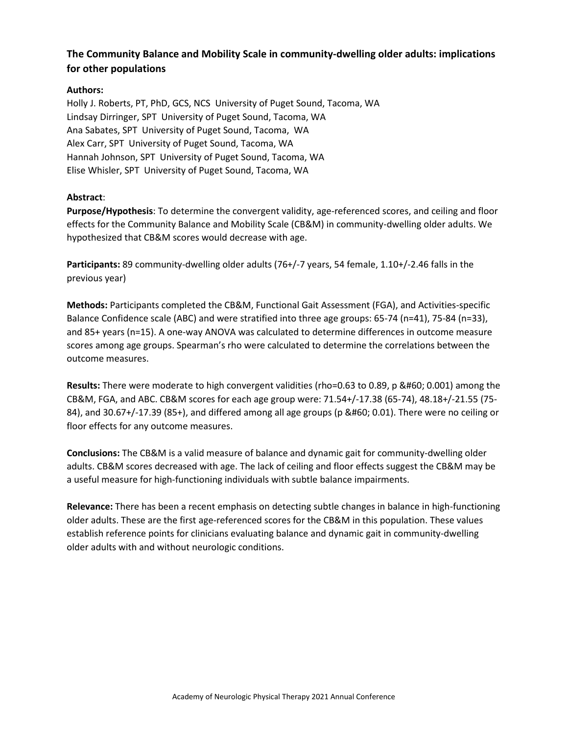# **The Community Balance and Mobility Scale in community-dwelling older adults: implications for other populations**

## **Authors:**

Holly J. Roberts, PT, PhD, GCS, NCS University of Puget Sound, Tacoma, WA Lindsay Dirringer, SPT University of Puget Sound, Tacoma, WA Ana Sabates, SPT University of Puget Sound, Tacoma, WA Alex Carr, SPT University of Puget Sound, Tacoma, WA Hannah Johnson, SPT University of Puget Sound, Tacoma, WA Elise Whisler, SPT University of Puget Sound, Tacoma, WA

## **Abstract**:

**Purpose/Hypothesis**: To determine the convergent validity, age-referenced scores, and ceiling and floor effects for the Community Balance and Mobility Scale (CB&M) in community-dwelling older adults. We hypothesized that CB&M scores would decrease with age.

**Participants:** 89 community-dwelling older adults (76+/-7 years, 54 female, 1.10+/-2.46 falls in the previous year)

**Methods:** Participants completed the CB&M, Functional Gait Assessment (FGA), and Activities-specific Balance Confidence scale (ABC) and were stratified into three age groups: 65-74 (n=41), 75-84 (n=33), and 85+ years (n=15). A one-way ANOVA was calculated to determine differences in outcome measure scores among age groups. Spearman's rho were calculated to determine the correlations between the outcome measures.

**Results:** There were moderate to high convergent validities (rho=0.63 to 0.89, p < 0.001) among the CB&M, FGA, and ABC. CB&M scores for each age group were: 71.54+/-17.38 (65-74), 48.18+/-21.55 (75- 84), and 30.67+/-17.39 (85+), and differed among all age groups (p < 0.01). There were no ceiling or floor effects for any outcome measures.

**Conclusions:** The CB&M is a valid measure of balance and dynamic gait for community-dwelling older adults. CB&M scores decreased with age. The lack of ceiling and floor effects suggest the CB&M may be a useful measure for high-functioning individuals with subtle balance impairments.

**Relevance:** There has been a recent emphasis on detecting subtle changes in balance in high-functioning older adults. These are the first age-referenced scores for the CB&M in this population. These values establish reference points for clinicians evaluating balance and dynamic gait in community-dwelling older adults with and without neurologic conditions.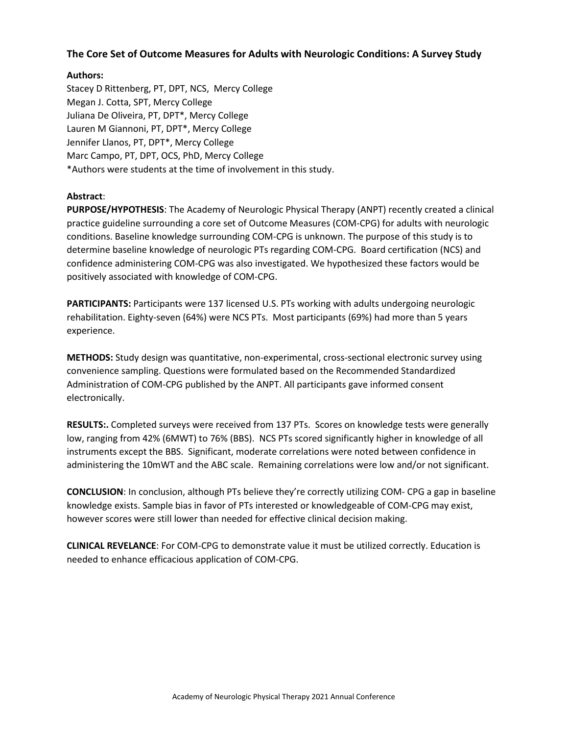## **The Core Set of Outcome Measures for Adults with Neurologic Conditions: A Survey Study**

#### **Authors:**

Stacey D Rittenberg, PT, DPT, NCS, Mercy College Megan J. Cotta, SPT, Mercy College Juliana De Oliveira, PT, DPT\*, Mercy College Lauren M Giannoni, PT, DPT\*, Mercy College Jennifer Llanos, PT, DPT\*, Mercy College Marc Campo, PT, DPT, OCS, PhD, Mercy College \*Authors were students at the time of involvement in this study.

#### **Abstract**:

**PURPOSE/HYPOTHESIS**: The Academy of Neurologic Physical Therapy (ANPT) recently created a clinical practice guideline surrounding a core set of Outcome Measures (COM-CPG) for adults with neurologic conditions. Baseline knowledge surrounding COM-CPG is unknown. The purpose of this study is to determine baseline knowledge of neurologic PTs regarding COM-CPG. Board certification (NCS) and confidence administering COM-CPG was also investigated. We hypothesized these factors would be positively associated with knowledge of COM-CPG.

**PARTICIPANTS:** Participants were 137 licensed U.S. PTs working with adults undergoing neurologic rehabilitation. Eighty-seven (64%) were NCS PTs. Most participants (69%) had more than 5 years experience.

**METHODS:** Study design was quantitative, non-experimental, cross-sectional electronic survey using convenience sampling. Questions were formulated based on the Recommended Standardized Administration of COM-CPG published by the ANPT. All participants gave informed consent electronically.

**RESULTS:.** Completed surveys were received from 137 PTs. Scores on knowledge tests were generally low, ranging from 42% (6MWT) to 76% (BBS). NCS PTs scored significantly higher in knowledge of all instruments except the BBS. Significant, moderate correlations were noted between confidence in administering the 10mWT and the ABC scale. Remaining correlations were low and/or not significant.

**CONCLUSION**: In conclusion, although PTs believe they're correctly utilizing COM- CPG a gap in baseline knowledge exists. Sample bias in favor of PTs interested or knowledgeable of COM-CPG may exist, however scores were still lower than needed for effective clinical decision making.

**CLINICAL REVELANCE**: For COM-CPG to demonstrate value it must be utilized correctly. Education is needed to enhance efficacious application of COM-CPG.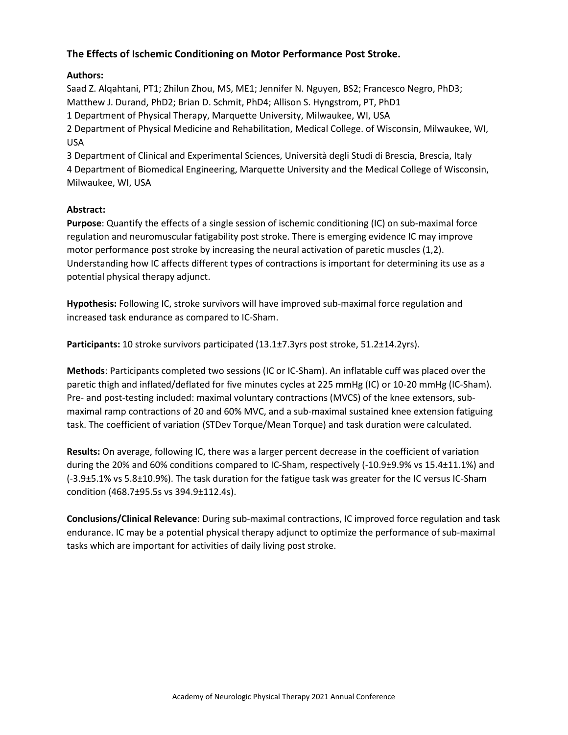## **The Effects of Ischemic Conditioning on Motor Performance Post Stroke.**

### **Authors:**

Saad Z. Alqahtani, PT1; Zhilun Zhou, MS, ME1; Jennifer N. Nguyen, BS2; Francesco Negro, PhD3; Matthew J. Durand, PhD2; Brian D. Schmit, PhD4; Allison S. Hyngstrom, PT, PhD1 1 Department of Physical Therapy, Marquette University, Milwaukee, WI, USA 2 Department of Physical Medicine and Rehabilitation, Medical College. of Wisconsin, Milwaukee, WI, USA 3 Department of Clinical and Experimental Sciences, Università degli Studi di Brescia, Brescia, Italy

4 Department of Biomedical Engineering, Marquette University and the Medical College of Wisconsin, Milwaukee, WI, USA

#### **Abstract:**

**Purpose**: Quantify the effects of a single session of ischemic conditioning (IC) on sub-maximal force regulation and neuromuscular fatigability post stroke. There is emerging evidence IC may improve motor performance post stroke by increasing the neural activation of paretic muscles (1,2). Understanding how IC affects different types of contractions is important for determining its use as a potential physical therapy adjunct.

**Hypothesis:** Following IC, stroke survivors will have improved sub-maximal force regulation and increased task endurance as compared to IC-Sham.

**Participants:** 10 stroke survivors participated (13.1±7.3yrs post stroke, 51.2±14.2yrs).

**Methods**: Participants completed two sessions (IC or IC-Sham). An inflatable cuff was placed over the paretic thigh and inflated/deflated for five minutes cycles at 225 mmHg (IC) or 10-20 mmHg (IC-Sham). Pre- and post-testing included: maximal voluntary contractions (MVCS) of the knee extensors, submaximal ramp contractions of 20 and 60% MVC, and a sub-maximal sustained knee extension fatiguing task. The coefficient of variation (STDev Torque/Mean Torque) and task duration were calculated.

**Results:** On average, following IC, there was a larger percent decrease in the coefficient of variation during the 20% and 60% conditions compared to IC-Sham, respectively (-10.9±9.9% vs 15.4±11.1%) and (-3.9±5.1% vs 5.8±10.9%). The task duration for the fatigue task was greater for the IC versus IC-Sham condition (468.7±95.5s vs 394.9±112.4s).

**Conclusions/Clinical Relevance**: During sub-maximal contractions, IC improved force regulation and task endurance. IC may be a potential physical therapy adjunct to optimize the performance of sub-maximal tasks which are important for activities of daily living post stroke.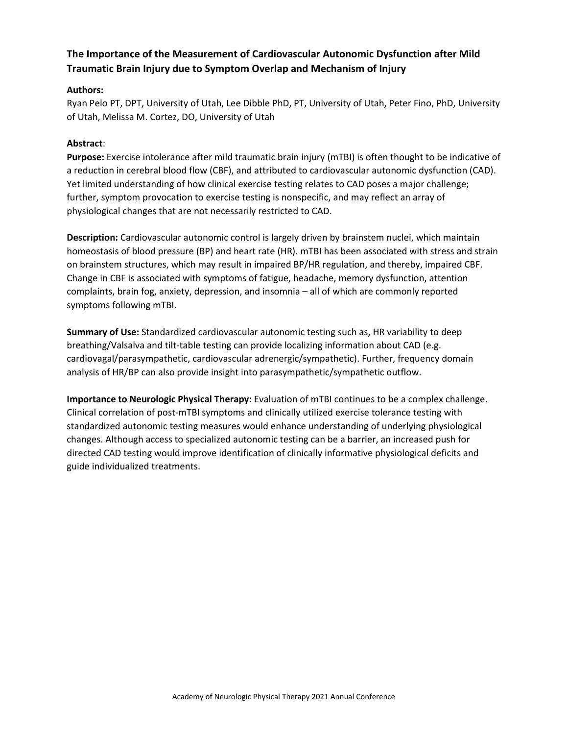# **The Importance of the Measurement of Cardiovascular Autonomic Dysfunction after Mild Traumatic Brain Injury due to Symptom Overlap and Mechanism of Injury**

### **Authors:**

Ryan Pelo PT, DPT, University of Utah, Lee Dibble PhD, PT, University of Utah, Peter Fino, PhD, University of Utah, Melissa M. Cortez, DO, University of Utah

### **Abstract**:

**Purpose:** Exercise intolerance after mild traumatic brain injury (mTBI) is often thought to be indicative of a reduction in cerebral blood flow (CBF), and attributed to cardiovascular autonomic dysfunction (CAD). Yet limited understanding of how clinical exercise testing relates to CAD poses a major challenge; further, symptom provocation to exercise testing is nonspecific, and may reflect an array of physiological changes that are not necessarily restricted to CAD.

**Description:** Cardiovascular autonomic control is largely driven by brainstem nuclei, which maintain homeostasis of blood pressure (BP) and heart rate (HR). mTBI has been associated with stress and strain on brainstem structures, which may result in impaired BP/HR regulation, and thereby, impaired CBF. Change in CBF is associated with symptoms of fatigue, headache, memory dysfunction, attention complaints, brain fog, anxiety, depression, and insomnia – all of which are commonly reported symptoms following mTBI.

**Summary of Use:** Standardized cardiovascular autonomic testing such as, HR variability to deep breathing/Valsalva and tilt-table testing can provide localizing information about CAD (e.g. cardiovagal/parasympathetic, cardiovascular adrenergic/sympathetic). Further, frequency domain analysis of HR/BP can also provide insight into parasympathetic/sympathetic outflow.

**Importance to Neurologic Physical Therapy:** Evaluation of mTBI continues to be a complex challenge. Clinical correlation of post-mTBI symptoms and clinically utilized exercise tolerance testing with standardized autonomic testing measures would enhance understanding of underlying physiological changes. Although access to specialized autonomic testing can be a barrier, an increased push for directed CAD testing would improve identification of clinically informative physiological deficits and guide individualized treatments.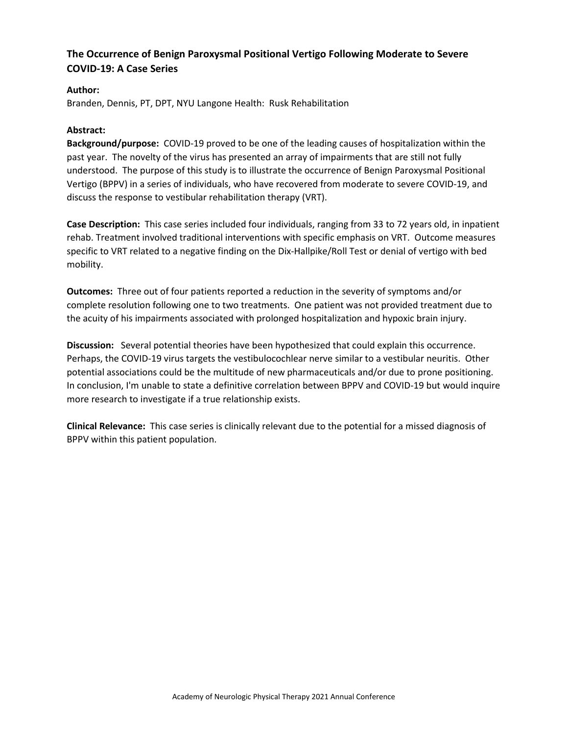## **The Occurrence of Benign Paroxysmal Positional Vertigo Following Moderate to Severe COVID-19: A Case Series**

#### **Author:**

Branden, Dennis, PT, DPT, NYU Langone Health: Rusk Rehabilitation

#### **Abstract:**

**Background/purpose:** COVID-19 proved to be one of the leading causes of hospitalization within the past year. The novelty of the virus has presented an array of impairments that are still not fully understood. The purpose of this study is to illustrate the occurrence of Benign Paroxysmal Positional Vertigo (BPPV) in a series of individuals, who have recovered from moderate to severe COVID-19, and discuss the response to vestibular rehabilitation therapy (VRT).

**Case Description:** This case series included four individuals, ranging from 33 to 72 years old, in inpatient rehab. Treatment involved traditional interventions with specific emphasis on VRT. Outcome measures specific to VRT related to a negative finding on the Dix-Hallpike/Roll Test or denial of vertigo with bed mobility.

**Outcomes:** Three out of four patients reported a reduction in the severity of symptoms and/or complete resolution following one to two treatments. One patient was not provided treatment due to the acuity of his impairments associated with prolonged hospitalization and hypoxic brain injury.

**Discussion:** Several potential theories have been hypothesized that could explain this occurrence. Perhaps, the COVID-19 virus targets the vestibulocochlear nerve similar to a vestibular neuritis. Other potential associations could be the multitude of new pharmaceuticals and/or due to prone positioning. In conclusion, I'm unable to state a definitive correlation between BPPV and COVID-19 but would inquire more research to investigate if a true relationship exists.

**Clinical Relevance:** This case series is clinically relevant due to the potential for a missed diagnosis of BPPV within this patient population.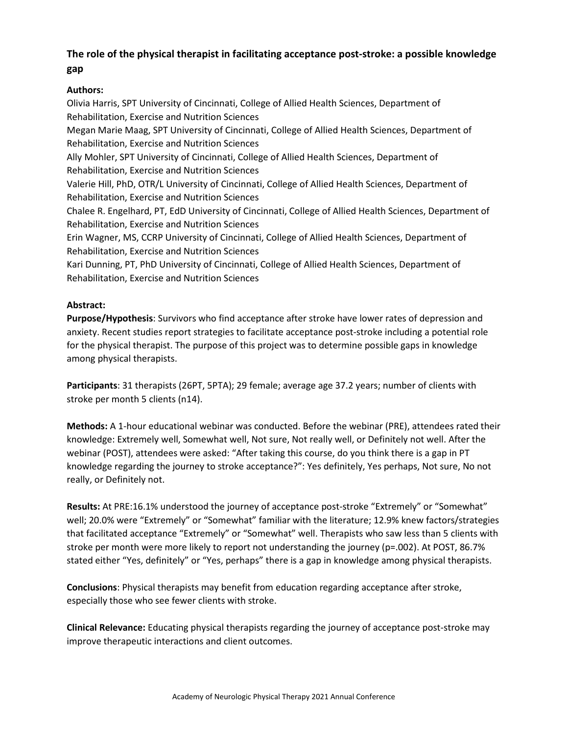# **The role of the physical therapist in facilitating acceptance post-stroke: a possible knowledge gap**

## **Authors:**

Olivia Harris, SPT University of Cincinnati, College of Allied Health Sciences, Department of Rehabilitation, Exercise and Nutrition Sciences Megan Marie Maag, SPT University of Cincinnati, College of Allied Health Sciences, Department of Rehabilitation, Exercise and Nutrition Sciences Ally Mohler, SPT University of Cincinnati, College of Allied Health Sciences, Department of Rehabilitation, Exercise and Nutrition Sciences Valerie Hill, PhD, OTR/L University of Cincinnati, College of Allied Health Sciences, Department of Rehabilitation, Exercise and Nutrition Sciences Chalee R. Engelhard, PT, EdD University of Cincinnati, College of Allied Health Sciences, Department of Rehabilitation, Exercise and Nutrition Sciences Erin Wagner, MS, CCRP University of Cincinnati, College of Allied Health Sciences, Department of Rehabilitation, Exercise and Nutrition Sciences Kari Dunning, PT, PhD University of Cincinnati, College of Allied Health Sciences, Department of Rehabilitation, Exercise and Nutrition Sciences

## **Abstract:**

**Purpose/Hypothesis**: Survivors who find acceptance after stroke have lower rates of depression and anxiety. Recent studies report strategies to facilitate acceptance post-stroke including a potential role for the physical therapist. The purpose of this project was to determine possible gaps in knowledge among physical therapists.

**Participants**: 31 therapists (26PT, 5PTA); 29 female; average age 37.2 years; number of clients with stroke per month 5 clients (n14).

**Methods:** A 1-hour educational webinar was conducted. Before the webinar (PRE), attendees rated their knowledge: Extremely well, Somewhat well, Not sure, Not really well, or Definitely not well. After the webinar (POST), attendees were asked: "After taking this course, do you think there is a gap in PT knowledge regarding the journey to stroke acceptance?": Yes definitely, Yes perhaps, Not sure, No not really, or Definitely not.

**Results:** At PRE:16.1% understood the journey of acceptance post-stroke "Extremely" or "Somewhat" well; 20.0% were "Extremely" or "Somewhat" familiar with the literature; 12.9% knew factors/strategies that facilitated acceptance "Extremely" or "Somewhat" well. Therapists who saw less than 5 clients with stroke per month were more likely to report not understanding the journey (p=.002). At POST, 86.7% stated either "Yes, definitely" or "Yes, perhaps" there is a gap in knowledge among physical therapists.

**Conclusions**: Physical therapists may benefit from education regarding acceptance after stroke, especially those who see fewer clients with stroke.

**Clinical Relevance:** Educating physical therapists regarding the journey of acceptance post-stroke may improve therapeutic interactions and client outcomes.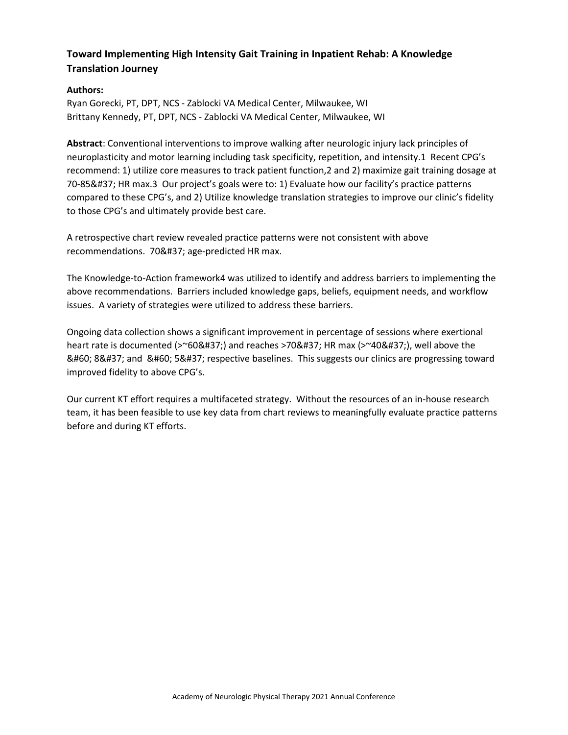# **Toward Implementing High Intensity Gait Training in Inpatient Rehab: A Knowledge Translation Journey**

## **Authors:**

Ryan Gorecki, PT, DPT, NCS - Zablocki VA Medical Center, Milwaukee, WI Brittany Kennedy, PT, DPT, NCS - Zablocki VA Medical Center, Milwaukee, WI

**Abstract**: Conventional interventions to improve walking after neurologic injury lack principles of neuroplasticity and motor learning including task specificity, repetition, and intensity.1 Recent CPG's recommend: 1) utilize core measures to track patient function,2 and 2) maximize gait training dosage at 70-85% HR max.3 Our project's goals were to: 1) Evaluate how our facility's practice patterns compared to these CPG's, and 2) Utilize knowledge translation strategies to improve our clinic's fidelity to those CPG's and ultimately provide best care.

A retrospective chart review revealed practice patterns were not consistent with above recommendations. 70% age-predicted HR max.

The Knowledge-to-Action framework4 was utilized to identify and address barriers to implementing the above recommendations. Barriers included knowledge gaps, beliefs, equipment needs, and workflow issues. A variety of strategies were utilized to address these barriers.

Ongoing data collection shows a significant improvement in percentage of sessions where exertional heart rate is documented ( $>$ ~60%) and reaches  $>$ 70% HR max ( $>$ ~40%), well above the < 8&#37; and &#60; 5&#37; respective baselines. This suggests our clinics are progressing toward improved fidelity to above CPG's.

Our current KT effort requires a multifaceted strategy. Without the resources of an in-house research team, it has been feasible to use key data from chart reviews to meaningfully evaluate practice patterns before and during KT efforts.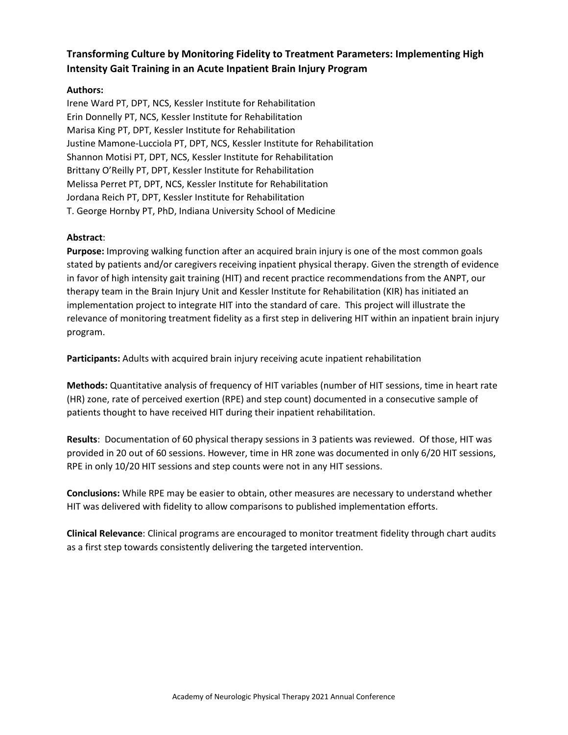# **Transforming Culture by Monitoring Fidelity to Treatment Parameters: Implementing High Intensity Gait Training in an Acute Inpatient Brain Injury Program**

### **Authors:**

Irene Ward PT, DPT, NCS, Kessler Institute for Rehabilitation Erin Donnelly PT, NCS, Kessler Institute for Rehabilitation Marisa King PT, DPT, Kessler Institute for Rehabilitation Justine Mamone-Lucciola PT, DPT, NCS, Kessler Institute for Rehabilitation Shannon Motisi PT, DPT, NCS, Kessler Institute for Rehabilitation Brittany O'Reilly PT, DPT, Kessler Institute for Rehabilitation Melissa Perret PT, DPT, NCS, Kessler Institute for Rehabilitation Jordana Reich PT, DPT, Kessler Institute for Rehabilitation T. George Hornby PT, PhD, Indiana University School of Medicine

#### **Abstract**:

**Purpose:** Improving walking function after an acquired brain injury is one of the most common goals stated by patients and/or caregivers receiving inpatient physical therapy. Given the strength of evidence in favor of high intensity gait training (HIT) and recent practice recommendations from the ANPT, our therapy team in the Brain Injury Unit and Kessler Institute for Rehabilitation (KIR) has initiated an implementation project to integrate HIT into the standard of care. This project will illustrate the relevance of monitoring treatment fidelity as a first step in delivering HIT within an inpatient brain injury program.

**Participants:** Adults with acquired brain injury receiving acute inpatient rehabilitation

**Methods:** Quantitative analysis of frequency of HIT variables (number of HIT sessions, time in heart rate (HR) zone, rate of perceived exertion (RPE) and step count) documented in a consecutive sample of patients thought to have received HIT during their inpatient rehabilitation.

**Results**: Documentation of 60 physical therapy sessions in 3 patients was reviewed. Of those, HIT was provided in 20 out of 60 sessions. However, time in HR zone was documented in only 6/20 HIT sessions, RPE in only 10/20 HIT sessions and step counts were not in any HIT sessions.

**Conclusions:** While RPE may be easier to obtain, other measures are necessary to understand whether HIT was delivered with fidelity to allow comparisons to published implementation efforts.

**Clinical Relevance**: Clinical programs are encouraged to monitor treatment fidelity through chart audits as a first step towards consistently delivering the targeted intervention.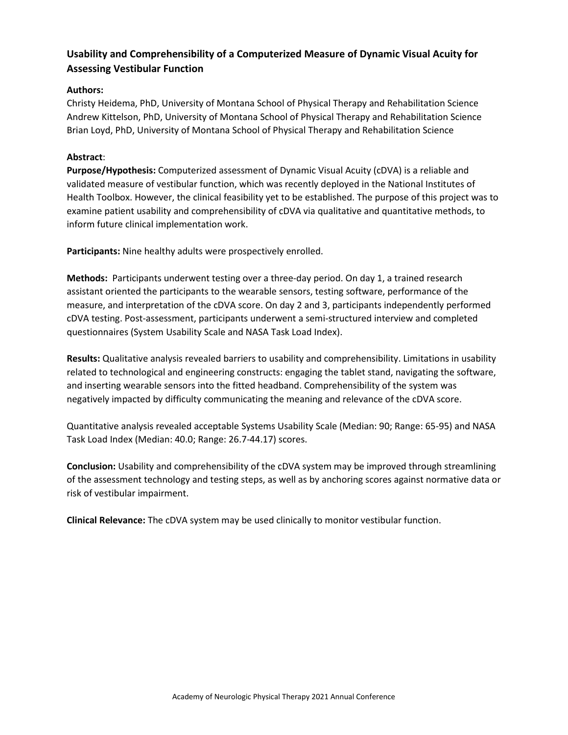# **Usability and Comprehensibility of a Computerized Measure of Dynamic Visual Acuity for Assessing Vestibular Function**

## **Authors:**

Christy Heidema, PhD, University of Montana School of Physical Therapy and Rehabilitation Science Andrew Kittelson, PhD, University of Montana School of Physical Therapy and Rehabilitation Science Brian Loyd, PhD, University of Montana School of Physical Therapy and Rehabilitation Science

#### **Abstract**:

**Purpose/Hypothesis:** Computerized assessment of Dynamic Visual Acuity (cDVA) is a reliable and validated measure of vestibular function, which was recently deployed in the National Institutes of Health Toolbox. However, the clinical feasibility yet to be established. The purpose of this project was to examine patient usability and comprehensibility of cDVA via qualitative and quantitative methods, to inform future clinical implementation work.

**Participants:** Nine healthy adults were prospectively enrolled.

**Methods:** Participants underwent testing over a three-day period. On day 1, a trained research assistant oriented the participants to the wearable sensors, testing software, performance of the measure, and interpretation of the cDVA score. On day 2 and 3, participants independently performed cDVA testing. Post-assessment, participants underwent a semi-structured interview and completed questionnaires (System Usability Scale and NASA Task Load Index).

**Results:** Qualitative analysis revealed barriers to usability and comprehensibility. Limitations in usability related to technological and engineering constructs: engaging the tablet stand, navigating the software, and inserting wearable sensors into the fitted headband. Comprehensibility of the system was negatively impacted by difficulty communicating the meaning and relevance of the cDVA score.

Quantitative analysis revealed acceptable Systems Usability Scale (Median: 90; Range: 65-95) and NASA Task Load Index (Median: 40.0; Range: 26.7-44.17) scores.

**Conclusion:** Usability and comprehensibility of the cDVA system may be improved through streamlining of the assessment technology and testing steps, as well as by anchoring scores against normative data or risk of vestibular impairment.

**Clinical Relevance:** The cDVA system may be used clinically to monitor vestibular function.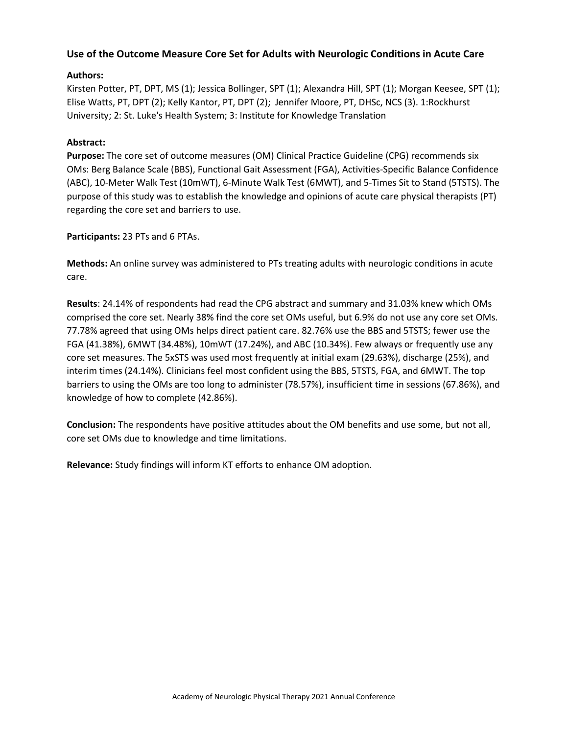## **Use of the Outcome Measure Core Set for Adults with Neurologic Conditions in Acute Care**

## **Authors:**

Kirsten Potter, PT, DPT, MS (1); Jessica Bollinger, SPT (1); Alexandra Hill, SPT (1); Morgan Keesee, SPT (1); Elise Watts, PT, DPT (2); Kelly Kantor, PT, DPT (2); Jennifer Moore, PT, DHSc, NCS (3). 1:Rockhurst University; 2: St. Luke's Health System; 3: Institute for Knowledge Translation

#### **Abstract:**

**Purpose:** The core set of outcome measures (OM) Clinical Practice Guideline (CPG) recommends six OMs: Berg Balance Scale (BBS), Functional Gait Assessment (FGA), Activities-Specific Balance Confidence (ABC), 10-Meter Walk Test (10mWT), 6-Minute Walk Test (6MWT), and 5-Times Sit to Stand (5TSTS). The purpose of this study was to establish the knowledge and opinions of acute care physical therapists (PT) regarding the core set and barriers to use.

#### **Participants:** 23 PTs and 6 PTAs.

**Methods:** An online survey was administered to PTs treating adults with neurologic conditions in acute care.

**Results**: 24.14% of respondents had read the CPG abstract and summary and 31.03% knew which OMs comprised the core set. Nearly 38% find the core set OMs useful, but 6.9% do not use any core set OMs. 77.78% agreed that using OMs helps direct patient care. 82.76% use the BBS and 5TSTS; fewer use the FGA (41.38%), 6MWT (34.48%), 10mWT (17.24%), and ABC (10.34%). Few always or frequently use any core set measures. The 5xSTS was used most frequently at initial exam (29.63%), discharge (25%), and interim times (24.14%). Clinicians feel most confident using the BBS, 5TSTS, FGA, and 6MWT. The top barriers to using the OMs are too long to administer (78.57%), insufficient time in sessions (67.86%), and knowledge of how to complete (42.86%).

**Conclusion:** The respondents have positive attitudes about the OM benefits and use some, but not all, core set OMs due to knowledge and time limitations.

**Relevance:** Study findings will inform KT efforts to enhance OM adoption.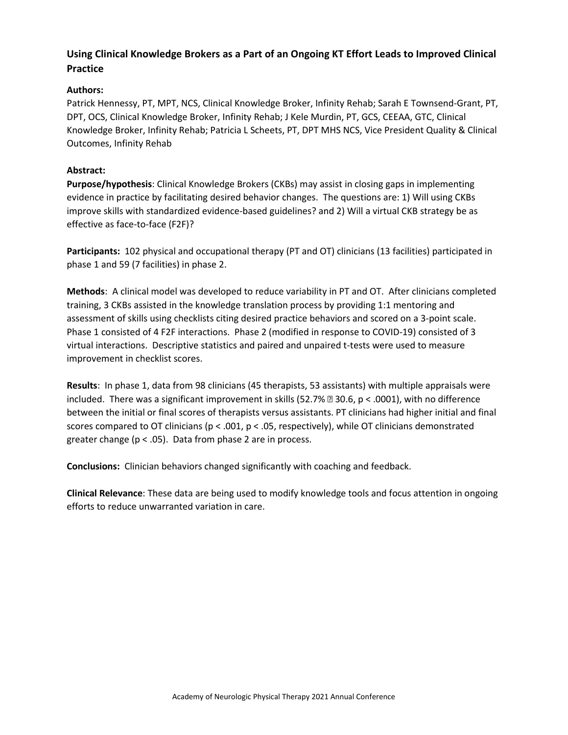# **Using Clinical Knowledge Brokers as a Part of an Ongoing KT Effort Leads to Improved Clinical Practice**

## **Authors:**

Patrick Hennessy, PT, MPT, NCS, Clinical Knowledge Broker, Infinity Rehab; Sarah E Townsend-Grant, PT, DPT, OCS, Clinical Knowledge Broker, Infinity Rehab; J Kele Murdin, PT, GCS, CEEAA, GTC, Clinical Knowledge Broker, Infinity Rehab; Patricia L Scheets, PT, DPT MHS NCS, Vice President Quality & Clinical Outcomes, Infinity Rehab

## **Abstract:**

**Purpose/hypothesis**: Clinical Knowledge Brokers (CKBs) may assist in closing gaps in implementing evidence in practice by facilitating desired behavior changes. The questions are: 1) Will using CKBs improve skills with standardized evidence-based guidelines? and 2) Will a virtual CKB strategy be as effective as face-to-face (F2F)?

**Participants:** 102 physical and occupational therapy (PT and OT) clinicians (13 facilities) participated in phase 1 and 59 (7 facilities) in phase 2.

**Methods**: A clinical model was developed to reduce variability in PT and OT. After clinicians completed training, 3 CKBs assisted in the knowledge translation process by providing 1:1 mentoring and assessment of skills using checklists citing desired practice behaviors and scored on a 3-point scale. Phase 1 consisted of 4 F2F interactions. Phase 2 (modified in response to COVID-19) consisted of 3 virtual interactions. Descriptive statistics and paired and unpaired t-tests were used to measure improvement in checklist scores.

**Results**: In phase 1, data from 98 clinicians (45 therapists, 53 assistants) with multiple appraisals were included. There was a significant improvement in skills (52.7%  $\textdegree$  30.6, p < .0001), with no difference between the initial or final scores of therapists versus assistants. PT clinicians had higher initial and final scores compared to OT clinicians ( $p < .001$ ,  $p < .05$ , respectively), while OT clinicians demonstrated greater change (p < .05). Data from phase 2 are in process.

**Conclusions:** Clinician behaviors changed significantly with coaching and feedback.

**Clinical Relevance**: These data are being used to modify knowledge tools and focus attention in ongoing efforts to reduce unwarranted variation in care.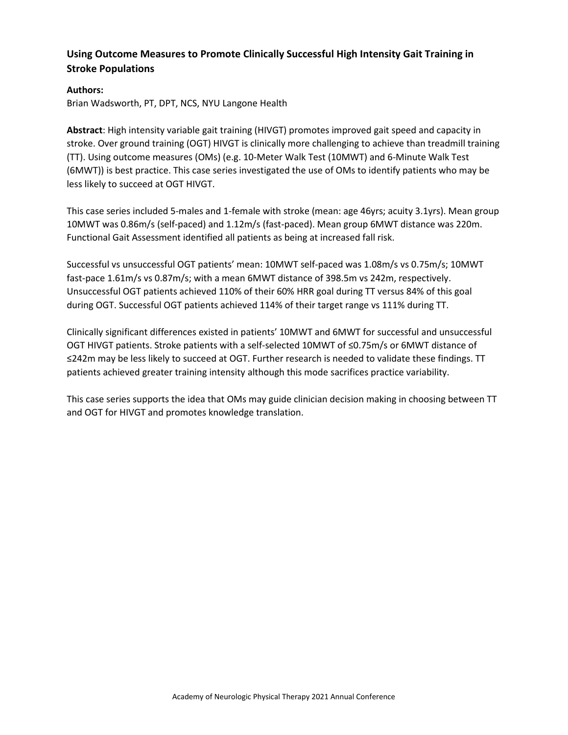# **Using Outcome Measures to Promote Clinically Successful High Intensity Gait Training in Stroke Populations**

#### **Authors:**

Brian Wadsworth, PT, DPT, NCS, NYU Langone Health

**Abstract**: High intensity variable gait training (HIVGT) promotes improved gait speed and capacity in stroke. Over ground training (OGT) HIVGT is clinically more challenging to achieve than treadmill training (TT). Using outcome measures (OMs) (e.g. 10-Meter Walk Test (10MWT) and 6-Minute Walk Test (6MWT)) is best practice. This case series investigated the use of OMs to identify patients who may be less likely to succeed at OGT HIVGT.

This case series included 5-males and 1-female with stroke (mean: age 46yrs; acuity 3.1yrs). Mean group 10MWT was 0.86m/s (self-paced) and 1.12m/s (fast-paced). Mean group 6MWT distance was 220m. Functional Gait Assessment identified all patients as being at increased fall risk.

Successful vs unsuccessful OGT patients' mean: 10MWT self-paced was 1.08m/s vs 0.75m/s; 10MWT fast-pace 1.61m/s vs 0.87m/s; with a mean 6MWT distance of 398.5m vs 242m, respectively. Unsuccessful OGT patients achieved 110% of their 60% HRR goal during TT versus 84% of this goal during OGT. Successful OGT patients achieved 114% of their target range vs 111% during TT.

Clinically significant differences existed in patients' 10MWT and 6MWT for successful and unsuccessful OGT HIVGT patients. Stroke patients with a self-selected 10MWT of ≤0.75m/s or 6MWT distance of ≤242m may be less likely to succeed at OGT. Further research is needed to validate these findings. TT patients achieved greater training intensity although this mode sacrifices practice variability.

This case series supports the idea that OMs may guide clinician decision making in choosing between TT and OGT for HIVGT and promotes knowledge translation.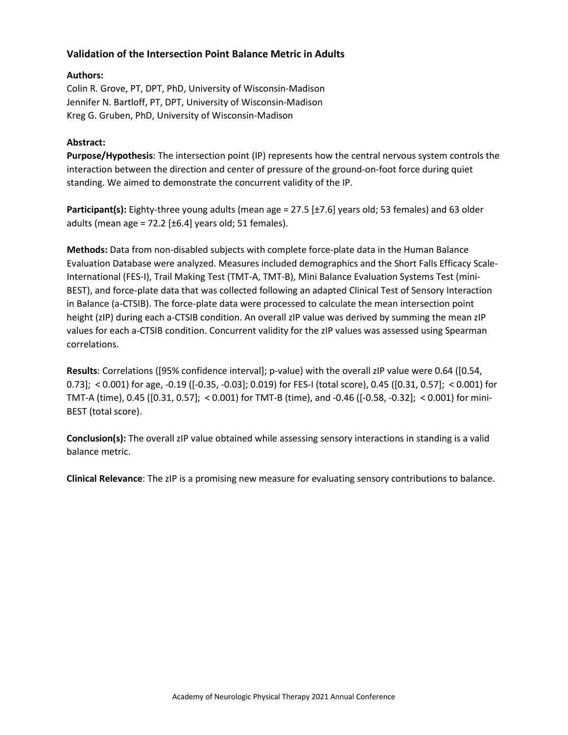## **Validation of the Intersection Point Balance Metric in Adults**

### **Authors:**

Colin R. Grove, PT, DPT, PhD, University of Wisconsin-Madison Jennifer N. Bartloff, PT, DPT, University of Wisconsin-Madison Kreg G. Gruben, PhD, University of Wisconsin-Madison

#### **Abstract:**

**Purpose/Hypothesis**: The intersection point (IP) represents how the central nervous system controls the interaction between the direction and center of pressure of the ground-on-foot force during quiet standing. We aimed to demonstrate the concurrent validity of the IP.

**Participant(s):** Eighty-three young adults (mean age = 27.5 [±7.6] years old; 53 females) and 63 older adults (mean age = 72.2  $[\pm 6.4]$  years old; 51 females).

**Methods:** Data from non-disabled subjects with complete force-plate data in the Human Balance Evaluation Database were analyzed. Measures included demographics and the Short Falls Efficacy Scale-International (FES-I), Trail Making Test (TMT-A, TMT-B), Mini Balance Evaluation Systems Test (mini-BEST), and force-plate data that was collected following an adapted Clinical Test of Sensory Interaction in Balance (a-CTSIB). The force-plate data were processed to calculate the mean intersection point height (zIP) during each a-CTSIB condition. An overall zIP value was derived by summing the mean zIP values for each a-CTSIB condition. Concurrent validity for the zIP values was assessed using Spearman correlations.

**Results**: Correlations ([95% confidence interval]; p-value) with the overall zIP value were 0.64 ([0.54, 0.73]; < 0.001) for age, -0.19 ([-0.35, -0.03]; 0.019) for FES-I (total score), 0.45 ([0.31, 0.57]; < 0.001) for TMT-A (time), 0.45 ([0.31, 0.57]; < 0.001) for TMT-B (time), and -0.46 ([-0.58, -0.32]; < 0.001) for mini-BEST (total score).

**Conclusion(s):** The overall zIP value obtained while assessing sensory interactions in standing is a valid balance metric.

**Clinical Relevance**: The zIP is a promising new measure for evaluating sensory contributions to balance.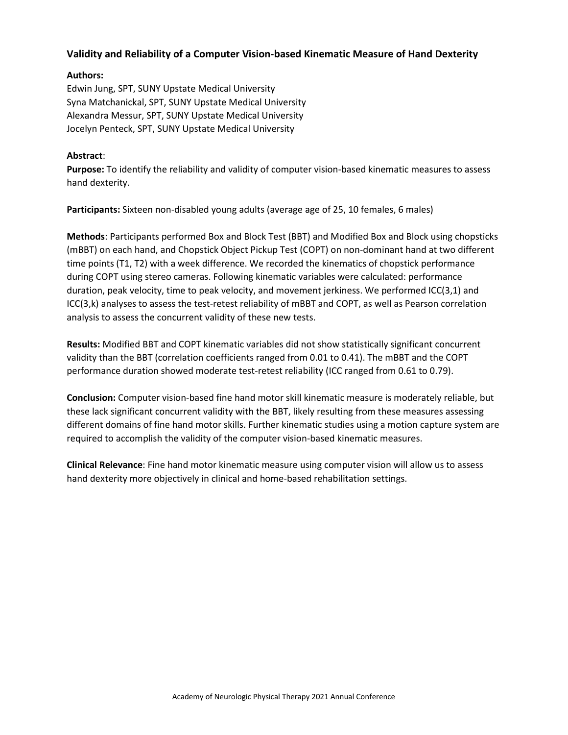## **Validity and Reliability of a Computer Vision-based Kinematic Measure of Hand Dexterity**

#### **Authors:**

Edwin Jung, SPT, SUNY Upstate Medical University Syna Matchanickal, SPT, SUNY Upstate Medical University Alexandra Messur, SPT, SUNY Upstate Medical University Jocelyn Penteck, SPT, SUNY Upstate Medical University

#### **Abstract**:

**Purpose:** To identify the reliability and validity of computer vision-based kinematic measures to assess hand dexterity.

**Participants:** Sixteen non-disabled young adults (average age of 25, 10 females, 6 males)

**Methods**: Participants performed Box and Block Test (BBT) and Modified Box and Block using chopsticks (mBBT) on each hand, and Chopstick Object Pickup Test (COPT) on non-dominant hand at two different time points (T1, T2) with a week difference. We recorded the kinematics of chopstick performance during COPT using stereo cameras. Following kinematic variables were calculated: performance duration, peak velocity, time to peak velocity, and movement jerkiness. We performed ICC(3,1) and ICC(3,k) analyses to assess the test-retest reliability of mBBT and COPT, as well as Pearson correlation analysis to assess the concurrent validity of these new tests.

**Results:** Modified BBT and COPT kinematic variables did not show statistically significant concurrent validity than the BBT (correlation coefficients ranged from 0.01 to 0.41). The mBBT and the COPT performance duration showed moderate test-retest reliability (ICC ranged from 0.61 to 0.79).

**Conclusion:** Computer vision-based fine hand motor skill kinematic measure is moderately reliable, but these lack significant concurrent validity with the BBT, likely resulting from these measures assessing different domains of fine hand motor skills. Further kinematic studies using a motion capture system are required to accomplish the validity of the computer vision-based kinematic measures.

**Clinical Relevance**: Fine hand motor kinematic measure using computer vision will allow us to assess hand dexterity more objectively in clinical and home-based rehabilitation settings.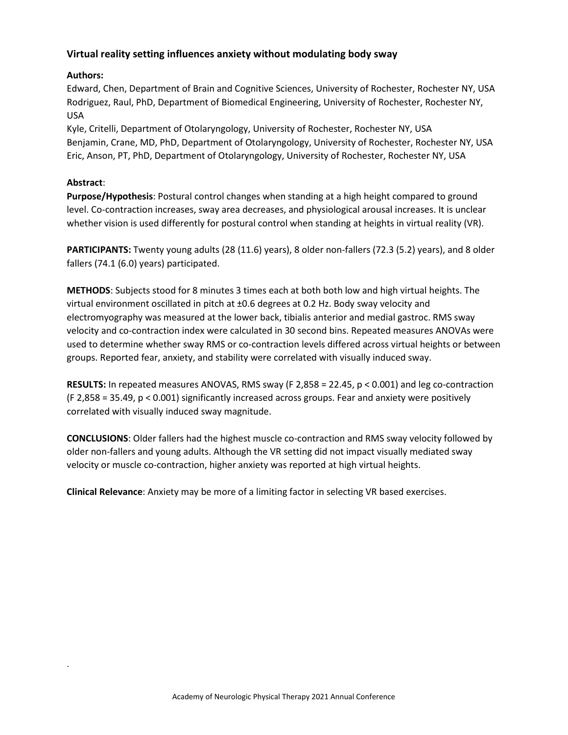## **Virtual reality setting influences anxiety without modulating body sway**

## **Authors:**

Edward, Chen, Department of Brain and Cognitive Sciences, University of Rochester, Rochester NY, USA Rodriguez, Raul, PhD, Department of Biomedical Engineering, University of Rochester, Rochester NY, USA

Kyle, Critelli, Department of Otolaryngology, University of Rochester, Rochester NY, USA Benjamin, Crane, MD, PhD, Department of Otolaryngology, University of Rochester, Rochester NY, USA Eric, Anson, PT, PhD, Department of Otolaryngology, University of Rochester, Rochester NY, USA

## **Abstract**:

.

**Purpose/Hypothesis**: Postural control changes when standing at a high height compared to ground level. Co-contraction increases, sway area decreases, and physiological arousal increases. It is unclear whether vision is used differently for postural control when standing at heights in virtual reality (VR).

**PARTICIPANTS:** Twenty young adults (28 (11.6) years), 8 older non-fallers (72.3 (5.2) years), and 8 older fallers (74.1 (6.0) years) participated.

**METHODS**: Subjects stood for 8 minutes 3 times each at both both low and high virtual heights. The virtual environment oscillated in pitch at ±0.6 degrees at 0.2 Hz. Body sway velocity and electromyography was measured at the lower back, tibialis anterior and medial gastroc. RMS sway velocity and co-contraction index were calculated in 30 second bins. Repeated measures ANOVAs were used to determine whether sway RMS or co-contraction levels differed across virtual heights or between groups. Reported fear, anxiety, and stability were correlated with visually induced sway.

**RESULTS:** In repeated measures ANOVAS, RMS sway (F 2,858 = 22.45, p < 0.001) and leg co-contraction (F 2,858 = 35.49, p < 0.001) significantly increased across groups. Fear and anxiety were positively correlated with visually induced sway magnitude.

**CONCLUSIONS**: Older fallers had the highest muscle co-contraction and RMS sway velocity followed by older non-fallers and young adults. Although the VR setting did not impact visually mediated sway velocity or muscle co-contraction, higher anxiety was reported at high virtual heights.

**Clinical Relevance**: Anxiety may be more of a limiting factor in selecting VR based exercises.